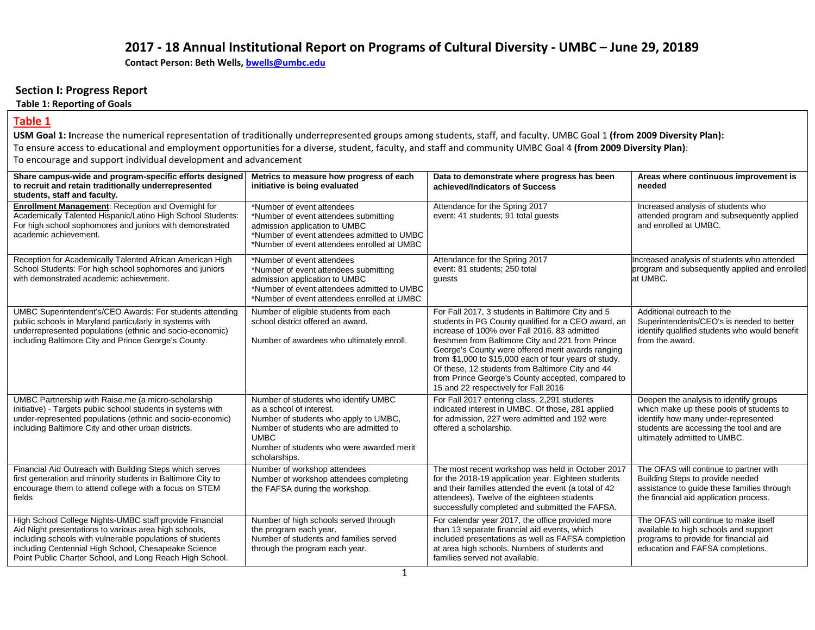## **2017 - 18 Annual Institutional Report on Programs of Cultural Diversity - UMBC – June 29, 20189**

**Contact Person: Beth Wells, [bwells@umbc.edu](mailto:bwells@umbc.edu)**

#### **Section I: Progress Report**

#### **Table 1: Reporting of Goals**

#### **Table 1**

**USM Goal 1: I**ncrease the numerical representation of traditionally underrepresented groups among students, staff, and faculty. UMBC Goal 1 **(from 2009 Diversity Plan):** To ensure access to educational and employment opportunities for a diverse, student, faculty, and staff and community UMBC Goal 4 **(from 2009 Diversity Plan)**: To encourage and support individual development and advancement

| Share campus-wide and program-specific efforts designed<br>to recruit and retain traditionally underrepresented<br>students, staff and faculty.                                                                                                                                                   | Metrics to measure how progress of each<br>initiative is being evaluated                                                                                                                                                         | Data to demonstrate where progress has been<br>achieved/Indicators of Success                                                                                                                                                                                                                                                                                                                                                                                               | Areas where continuous improvement is<br>needed                                                                                                                                                      |
|---------------------------------------------------------------------------------------------------------------------------------------------------------------------------------------------------------------------------------------------------------------------------------------------------|----------------------------------------------------------------------------------------------------------------------------------------------------------------------------------------------------------------------------------|-----------------------------------------------------------------------------------------------------------------------------------------------------------------------------------------------------------------------------------------------------------------------------------------------------------------------------------------------------------------------------------------------------------------------------------------------------------------------------|------------------------------------------------------------------------------------------------------------------------------------------------------------------------------------------------------|
| <b>Enrollment Management:</b> Reception and Overnight for<br>Academically Talented Hispanic/Latino High School Students:<br>For high school sophomores and juniors with demonstrated<br>academic achievement.                                                                                     | *Number of event attendees<br>*Number of event attendees submitting<br>admission application to UMBC<br>*Number of event attendees admitted to UMBC<br>*Number of event attendees enrolled at UMBC                               | Attendance for the Spring 2017<br>event: 41 students; 91 total quests                                                                                                                                                                                                                                                                                                                                                                                                       | Increased analysis of students who<br>attended program and subsequently applied<br>and enrolled at UMBC.                                                                                             |
| Reception for Academically Talented African American High<br>School Students: For high school sophomores and juniors<br>with demonstrated academic achievement.                                                                                                                                   | *Number of event attendees<br>*Number of event attendees submitting<br>admission application to UMBC<br>*Number of event attendees admitted to UMBC<br>*Number of event attendees enrolled at UMBC                               | Attendance for the Spring 2017<br>event: 81 students; 250 total<br>guests                                                                                                                                                                                                                                                                                                                                                                                                   | Increased analysis of students who attended<br>program and subsequently applied and enrolled<br>at UMBC.                                                                                             |
| UMBC Superintendent's/CEO Awards: For students attending<br>public schools in Maryland particularly in systems with<br>underrepresented populations (ethnic and socio-economic)<br>including Baltimore City and Prince George's County.                                                           | Number of eligible students from each<br>school district offered an award.<br>Number of awardees who ultimately enroll.                                                                                                          | For Fall 2017, 3 students in Baltimore City and 5<br>students in PG County qualified for a CEO award, an<br>increase of 100% over Fall 2016. 83 admitted<br>freshmen from Baltimore City and 221 from Prince<br>George's County were offered merit awards ranging<br>from \$1,000 to \$15,000 each of four years of study.<br>Of these, 12 students from Baltimore City and 44<br>from Prince George's County accepted, compared to<br>15 and 22 respectively for Fall 2016 | Additional outreach to the<br>Superintendents/CEO's is needed to better<br>identify qualified students who would benefit<br>from the award.                                                          |
| UMBC Partnership with Raise.me (a micro-scholarship<br>initiative) - Targets public school students in systems with<br>under-represented populations (ethnic and socio-economic)<br>including Baltimore City and other urban districts.                                                           | Number of students who identify UMBC<br>as a school of interest.<br>Number of students who apply to UMBC,<br>Number of students who are admitted to<br><b>UMBC</b><br>Number of students who were awarded merit<br>scholarships. | For Fall 2017 entering class, 2,291 students<br>indicated interest in UMBC. Of those, 281 applied<br>for admission, 227 were admitted and 192 were<br>offered a scholarship.                                                                                                                                                                                                                                                                                                | Deepen the analysis to identify groups<br>which make up these pools of students to<br>identify how many under-represented<br>students are accessing the tool and are<br>ultimately admitted to UMBC. |
| Financial Aid Outreach with Building Steps which serves<br>first generation and minority students in Baltimore City to<br>encourage them to attend college with a focus on STEM<br>fields                                                                                                         | Number of workshop attendees<br>Number of workshop attendees completing<br>the FAFSA during the workshop.                                                                                                                        | The most recent workshop was held in October 2017<br>for the 2018-19 application year. Eighteen students<br>and their families attended the event (a total of 42<br>attendees). Twelve of the eighteen students<br>successfully completed and submitted the FAFSA.                                                                                                                                                                                                          | The OFAS will continue to partner with<br>Building Steps to provide needed<br>assistance to guide these families through<br>the financial aid application process.                                   |
| High School College Nights-UMBC staff provide Financial<br>Aid Night presentations to various area high schools,<br>including schools with vulnerable populations of students<br>including Centennial High School, Chesapeake Science<br>Point Public Charter School, and Long Reach High School. | Number of high schools served through<br>the program each year.<br>Number of students and families served<br>through the program each year.                                                                                      | For calendar year 2017, the office provided more<br>than 13 separate financial aid events, which<br>included presentations as well as FAFSA completion<br>at area high schools. Numbers of students and<br>families served not available.                                                                                                                                                                                                                                   | The OFAS will continue to make itself<br>available to high schools and support<br>programs to provide for financial aid<br>education and FAFSA completions.                                          |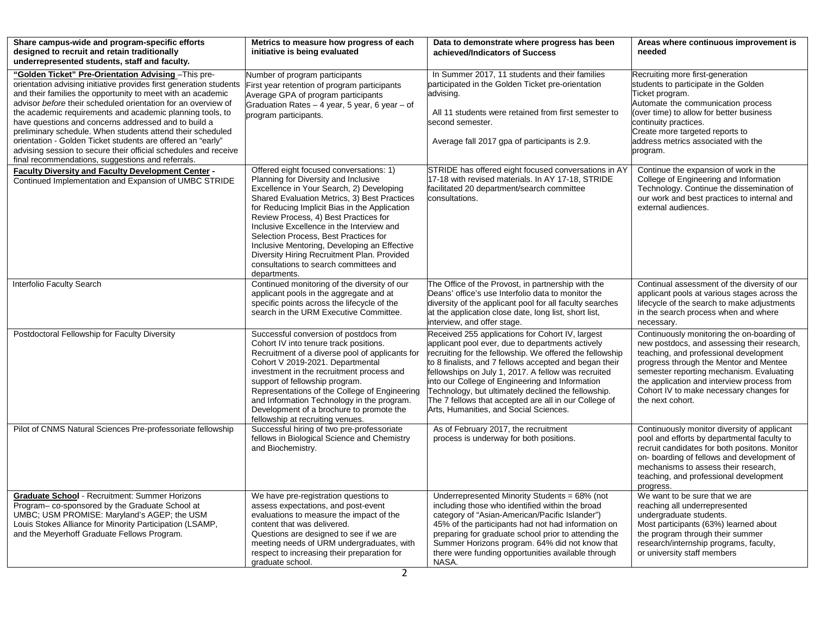| Share campus-wide and program-specific efforts<br>designed to recruit and retain traditionally<br>underrepresented students, staff and faculty.                                                                                                                                                                                                                                                                                                                                                                                                                                                                                      | Metrics to measure how progress of each<br>initiative is being evaluated                                                                                                                                                                                                                                                                                                                                                                                                                                             | Data to demonstrate where progress has been<br>achieved/Indicators of Success                                                                                                                                                                                                                                                                                                                                                                                                                  | Areas where continuous improvement is<br>needed                                                                                                                                                                                                                                                                                        |
|--------------------------------------------------------------------------------------------------------------------------------------------------------------------------------------------------------------------------------------------------------------------------------------------------------------------------------------------------------------------------------------------------------------------------------------------------------------------------------------------------------------------------------------------------------------------------------------------------------------------------------------|----------------------------------------------------------------------------------------------------------------------------------------------------------------------------------------------------------------------------------------------------------------------------------------------------------------------------------------------------------------------------------------------------------------------------------------------------------------------------------------------------------------------|------------------------------------------------------------------------------------------------------------------------------------------------------------------------------------------------------------------------------------------------------------------------------------------------------------------------------------------------------------------------------------------------------------------------------------------------------------------------------------------------|----------------------------------------------------------------------------------------------------------------------------------------------------------------------------------------------------------------------------------------------------------------------------------------------------------------------------------------|
| "Golden Ticket" Pre-Orientation Advising - This pre-<br>orientation advising initiative provides first generation students<br>and their families the opportunity to meet with an academic<br>advisor before their scheduled orientation for an overview of<br>the academic requirements and academic planning tools, to<br>have questions and concerns addressed and to build a<br>preliminary schedule. When students attend their scheduled<br>orientation - Golden Ticket students are offered an "early"<br>advising session to secure their official schedules and receive<br>final recommendations, suggestions and referrals. | Number of program participants<br>First year retention of program participants<br>Average GPA of program participants<br>Graduation Rates - 4 year, 5 year, 6 year - of<br>program participants.                                                                                                                                                                                                                                                                                                                     | In Summer 2017, 11 students and their families<br>participated in the Golden Ticket pre-orientation<br>advising.<br>All 11 students were retained from first semester to<br>second semester.<br>Average fall 2017 gpa of participants is 2.9.                                                                                                                                                                                                                                                  | Recruiting more first-generation<br>students to participate in the Golden<br>Ticket program.<br>Automate the communication process<br>(over time) to allow for better business<br>continuity practices.<br>Create more targeted reports to<br>address metrics associated with the<br>program.                                          |
| <b>Faculty Diversity and Faculty Development Center -</b><br>Continued Implementation and Expansion of UMBC STRIDE                                                                                                                                                                                                                                                                                                                                                                                                                                                                                                                   | Offered eight focused conversations: 1)<br>Planning for Diversity and Inclusive<br>Excellence in Your Search, 2) Developing<br>Shared Evaluation Metrics, 3) Best Practices<br>for Reducing Implicit Bias in the Application<br>Review Process, 4) Best Practices for<br>Inclusive Excellence in the Interview and<br>Selection Process, Best Practices for<br>Inclusive Mentoring, Developing an Effective<br>Diversity Hiring Recruitment Plan. Provided<br>consultations to search committees and<br>departments. | STRIDE has offered eight focused conversations in AY<br>17-18 with revised materials. In AY 17-18, STRIDE<br>facilitated 20 department/search committee<br>consultations.                                                                                                                                                                                                                                                                                                                      | Continue the expansion of work in the<br>College of Engineering and Information<br>Technology. Continue the dissemination of<br>our work and best practices to internal and<br>external audiences.                                                                                                                                     |
| Interfolio Faculty Search                                                                                                                                                                                                                                                                                                                                                                                                                                                                                                                                                                                                            | Continued monitoring of the diversity of our<br>applicant pools in the aggregate and at<br>specific points across the lifecycle of the<br>search in the URM Executive Committee.                                                                                                                                                                                                                                                                                                                                     | The Office of the Provost, in partnership with the<br>Deans' office's use Interfolio data to monitor the<br>diversity of the applicant pool for all faculty searches<br>at the application close date, long list, short list,<br>interview, and offer stage.                                                                                                                                                                                                                                   | Continual assessment of the diversity of our<br>applicant pools at various stages across the<br>lifecycle of the search to make adjustments<br>in the search process when and where<br>necessary.                                                                                                                                      |
| Postdoctoral Fellowship for Faculty Diversity                                                                                                                                                                                                                                                                                                                                                                                                                                                                                                                                                                                        | Successful conversion of postdocs from<br>Cohort IV into tenure track positions.<br>Recruitment of a diverse pool of applicants for<br>Cohort V 2019-2021. Departmental<br>investment in the recruitment process and<br>support of fellowship program.<br>Representations of the College of Engineering<br>and Information Technology in the program.<br>Development of a brochure to promote the<br>fellowship at recruiting venues.                                                                                | Received 255 applications for Cohort IV, largest<br>applicant pool ever, due to departments actively<br>recruiting for the fellowship. We offered the fellowship<br>to 8 finalists, and 7 fellows accepted and began their<br>fellowships on July 1, 2017. A fellow was recruited<br>into our College of Engineering and Information<br>Technology, but ultimately declined the fellowship.<br>The 7 fellows that accepted are all in our College of<br>Arts, Humanities, and Social Sciences. | Continuously monitoring the on-boarding of<br>new postdocs, and assessing their research,<br>teaching, and professional development<br>progress through the Mentor and Mentee<br>semester reporting mechanism. Evaluating<br>the application and interview process from<br>Cohort IV to make necessary changes for<br>the next cohort. |
| Pilot of CNMS Natural Sciences Pre-professoriate fellowship                                                                                                                                                                                                                                                                                                                                                                                                                                                                                                                                                                          | Successful hiring of two pre-professoriate<br>fellows in Biological Science and Chemistry<br>and Biochemistry.                                                                                                                                                                                                                                                                                                                                                                                                       | As of February 2017, the recruitment<br>process is underway for both positions.                                                                                                                                                                                                                                                                                                                                                                                                                | Continuously monitor diversity of applicant<br>pool and efforts by departmental faculty to<br>recruit candidates for both positons. Monitor<br>on-boarding of fellows and development of<br>mechanisms to assess their research,<br>teaching, and professional development<br>progress.                                                |
| <b>Graduate School</b> - Recruitment: Summer Horizons<br>Program-co-sponsored by the Graduate School at<br>UMBC; USM PROMISE: Maryland's AGEP; the USM<br>Louis Stokes Alliance for Minority Participation (LSAMP,<br>and the Meyerhoff Graduate Fellows Program.                                                                                                                                                                                                                                                                                                                                                                    | We have pre-registration questions to<br>assess expectations, and post-event<br>evaluations to measure the impact of the<br>content that was delivered.<br>Questions are designed to see if we are<br>meeting needs of URM undergraduates, with<br>respect to increasing their preparation for<br>graduate school.                                                                                                                                                                                                   | Underrepresented Minority Students = 68% (not<br>including those who identified within the broad<br>category of "Asian-American/Pacific Islander")<br>45% of the participants had not had information on<br>preparing for graduate school prior to attending the<br>Summer Horizons program. 64% did not know that<br>there were funding opportunities available through<br>NASA.                                                                                                              | We want to be sure that we are<br>reaching all underrepresented<br>undergraduate students.<br>Most participants (63%) learned about<br>the program through their summer<br>research/internship programs, faculty,<br>or university staff members                                                                                       |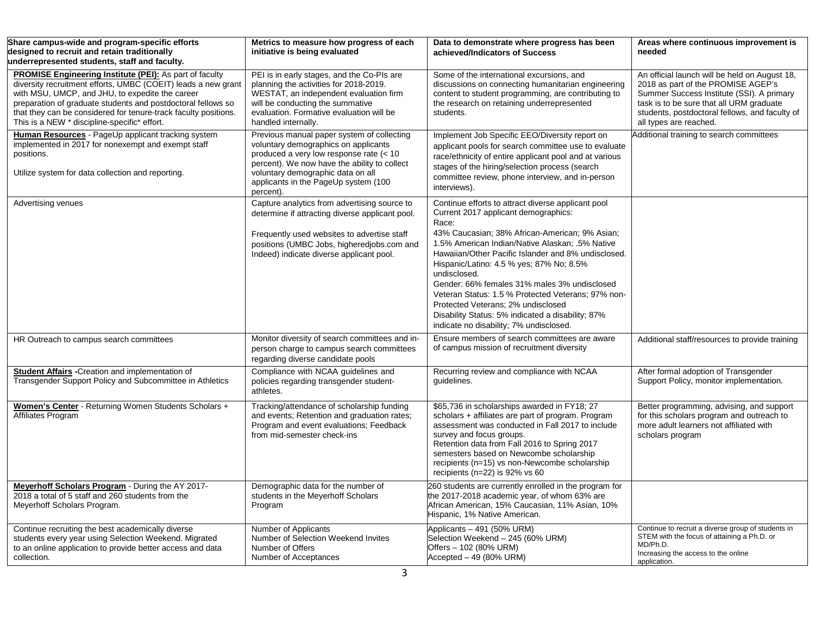| Share campus-wide and program-specific efforts<br>designed to recruit and retain traditionally<br>underrepresented students, staff and faculty.                                                                                                                                                                                                                       | Metrics to measure how progress of each<br>initiative is being evaluated                                                                                                                                                                                                | Data to demonstrate where progress has been<br>achieved/Indicators of Success                                                                                                                                                                                                                                                                                                                                                                                                                                                                                           | Areas where continuous improvement is<br>needed                                                                                                                                                                                                          |
|-----------------------------------------------------------------------------------------------------------------------------------------------------------------------------------------------------------------------------------------------------------------------------------------------------------------------------------------------------------------------|-------------------------------------------------------------------------------------------------------------------------------------------------------------------------------------------------------------------------------------------------------------------------|-------------------------------------------------------------------------------------------------------------------------------------------------------------------------------------------------------------------------------------------------------------------------------------------------------------------------------------------------------------------------------------------------------------------------------------------------------------------------------------------------------------------------------------------------------------------------|----------------------------------------------------------------------------------------------------------------------------------------------------------------------------------------------------------------------------------------------------------|
| <b>PROMISE Engineering Institute (PEI):</b> As part of faculty<br>diversity recruitment efforts, UMBC (COEIT) leads a new grant<br>with MSU, UMCP, and JHU, to expedite the career<br>preparation of graduate students and postdoctoral fellows so<br>that they can be considered for tenure-track faculty positions.<br>This is a NEW * discipline-specific* effort. | PEI is in early stages, and the Co-PIs are<br>planning the activities for 2018-2019.<br>WESTAT, an independent evaluation firm<br>will be conducting the summative<br>evaluation. Formative evaluation will be<br>handled internally.                                   | Some of the international excursions, and<br>discussions on connecting humanitarian engineering<br>content to student programming, are contributing to<br>the research on retaining underrepresented<br>students.                                                                                                                                                                                                                                                                                                                                                       | An official launch will be held on August 18,<br>2018 as part of the PROMISE AGEP's<br>Summer Success Institute (SSI). A primary<br>task is to be sure that all URM graduate<br>students, postdoctoral fellows, and faculty of<br>all types are reached. |
| Human Resources - PageUp applicant tracking system<br>implemented in 2017 for nonexempt and exempt staff<br>positions.<br>Utilize system for data collection and reporting.                                                                                                                                                                                           | Previous manual paper system of collecting<br>voluntary demographics on applicants<br>produced a very low response rate (< 10<br>percent). We now have the ability to collect<br>voluntary demographic data on all<br>applicants in the PageUp system (100<br>percent). | Implement Job Specific EEO/Diversity report on<br>applicant pools for search committee use to evaluate<br>race/ethnicity of entire applicant pool and at various<br>stages of the hiring/selection process (search<br>committee review, phone interview, and in-person<br>interviews).                                                                                                                                                                                                                                                                                  | Additional training to search committees                                                                                                                                                                                                                 |
| Advertising venues                                                                                                                                                                                                                                                                                                                                                    | Capture analytics from advertising source to<br>determine if attracting diverse applicant pool.<br>Frequently used websites to advertise staff<br>positions (UMBC Jobs, higheredjobs.com and<br>Indeed) indicate diverse applicant pool.                                | Continue efforts to attract diverse applicant pool<br>Current 2017 applicant demographics:<br>Race:<br>43% Caucasian; 38% African-American; 9% Asian;<br>1.5% American Indian/Native Alaskan; .5% Native<br>Hawaiian/Other Pacific Islander and 8% undisclosed.<br>Hispanic/Latino: 4.5 % yes; 87% No; 8.5%<br>undisclosed.<br>Gender: 66% females 31% males 3% undisclosed<br>Veteran Status: 1.5 % Protected Veterans; 97% non-<br>Protected Veterans; 2% undisclosed<br>Disability Status: 5% indicated a disability; 87%<br>indicate no disability; 7% undisclosed. |                                                                                                                                                                                                                                                          |
| HR Outreach to campus search committees                                                                                                                                                                                                                                                                                                                               | Monitor diversity of search committees and in-<br>person charge to campus search committees<br>regarding diverse candidate pools                                                                                                                                        | Ensure members of search committees are aware<br>of campus mission of recruitment diversity                                                                                                                                                                                                                                                                                                                                                                                                                                                                             | Additional staff/resources to provide training                                                                                                                                                                                                           |
| <b>Student Affairs</b> - Creation and implementation of<br>Transgender Support Policy and Subcommittee in Athletics                                                                                                                                                                                                                                                   | Compliance with NCAA guidelines and<br>policies regarding transgender student-<br>athletes.                                                                                                                                                                             | Recurring review and compliance with NCAA<br>guidelines.                                                                                                                                                                                                                                                                                                                                                                                                                                                                                                                | After formal adoption of Transgender<br>Support Policy, monitor implementation.                                                                                                                                                                          |
| Women's Center - Returning Women Students Scholars +<br>Affiliates Program                                                                                                                                                                                                                                                                                            | Tracking/attendance of scholarship funding<br>and events; Retention and graduation rates;<br>Program and event evaluations; Feedback<br>from mid-semester check-ins                                                                                                     | \$65,736 in scholarships awarded in FY18; 27<br>scholars + affiliates are part of program. Program<br>assessment was conducted in Fall 2017 to include<br>survey and focus groups.<br>Retention data from Fall 2016 to Spring 2017<br>semesters based on Newcombe scholarship<br>recipients (n=15) vs non-Newcombe scholarship<br>recipients ( $n=22$ ) is 92% vs 60                                                                                                                                                                                                    | Better programming, advising, and support<br>for this scholars program and outreach to<br>more adult learners not affiliated with<br>scholars program                                                                                                    |
| Meyerhoff Scholars Program - During the AY 2017-<br>2018 a total of 5 staff and 260 students from the<br>Meyerhoff Scholars Program.                                                                                                                                                                                                                                  | Demographic data for the number of<br>students in the Meyerhoff Scholars<br>Program                                                                                                                                                                                     | 260 students are currently enrolled in the program for<br>the 2017-2018 academic year, of whom 63% are<br>African American, 15% Caucasian, 11% Asian, 10%<br>Hispanic, 1% Native American.                                                                                                                                                                                                                                                                                                                                                                              |                                                                                                                                                                                                                                                          |
| Continue recruiting the best academically diverse<br>students every year using Selection Weekend. Migrated<br>to an online application to provide better access and data<br>collection.                                                                                                                                                                               | Number of Applicants<br>Number of Selection Weekend Invites<br>Number of Offers<br>Number of Acceptances                                                                                                                                                                | Applicants - 491 (50% URM)<br>Selection Weekend - 245 (60% URM)<br>Offers - 102 (80% URM)<br>Accepted - 49 (80% URM)                                                                                                                                                                                                                                                                                                                                                                                                                                                    | Continue to recruit a diverse group of students in<br>STEM with the focus of attaining a Ph.D. or<br>MD/Ph.D.<br>Increasing the access to the online<br>application.                                                                                     |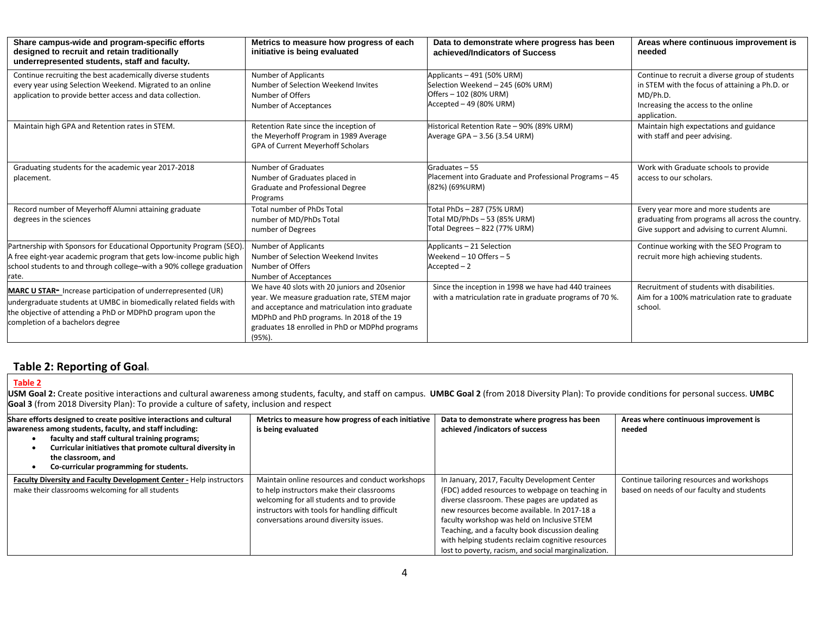| Share campus-wide and program-specific efforts<br>designed to recruit and retain traditionally<br>underrepresented students, staff and faculty.                                                                                      | Metrics to measure how progress of each<br>initiative is being evaluated                                                                                                                                                                                  | Data to demonstrate where progress has been<br>achieved/Indicators of Success                                        | Areas where continuous improvement is<br>needed                                                                                                                      |  |
|--------------------------------------------------------------------------------------------------------------------------------------------------------------------------------------------------------------------------------------|-----------------------------------------------------------------------------------------------------------------------------------------------------------------------------------------------------------------------------------------------------------|----------------------------------------------------------------------------------------------------------------------|----------------------------------------------------------------------------------------------------------------------------------------------------------------------|--|
| Continue recruiting the best academically diverse students<br>every year using Selection Weekend. Migrated to an online<br>application to provide better access and data collection.                                                 | Number of Applicants<br>Number of Selection Weekend Invites<br>Number of Offers<br>Number of Acceptances                                                                                                                                                  | Applicants - 491 (50% URM)<br>Selection Weekend - 245 (60% URM)<br>Offers - 102 (80% URM)<br>Accepted - 49 (80% URM) | Continue to recruit a diverse group of students<br>in STEM with the focus of attaining a Ph.D. or<br>MD/Ph.D.<br>Increasing the access to the online<br>application. |  |
| Maintain high GPA and Retention rates in STEM.                                                                                                                                                                                       | Retention Rate since the inception of<br>the Meyerhoff Program in 1989 Average<br><b>GPA of Current Meyerhoff Scholars</b>                                                                                                                                | Historical Retention Rate - 90% (89% URM)<br>Average GPA - 3.56 (3.54 URM)                                           | Maintain high expectations and guidance<br>with staff and peer advising.                                                                                             |  |
| Graduating students for the academic year 2017-2018<br>placement.                                                                                                                                                                    | Number of Graduates<br>Number of Graduates placed in<br>Graduate and Professional Degree<br>Programs                                                                                                                                                      | Graduates - 55<br>Placement into Graduate and Professional Programs - 45<br>(82%) (69%URM)                           | Work with Graduate schools to provide<br>access to our scholars.                                                                                                     |  |
| Record number of Meyerhoff Alumni attaining graduate<br>degrees in the sciences                                                                                                                                                      | <b>Total number of PhDs Total</b><br>number of MD/PhDs Total<br>number of Degrees                                                                                                                                                                         | Total PhDs - 287 (75% URM)<br>Total MD/PhDs - 53 (85% URM)<br>Total Degrees - 822 (77% URM)                          | Every year more and more students are<br>graduating from programs all across the country.<br>Give support and advising to current Alumni.                            |  |
| Partnership with Sponsors for Educational Opportunity Program (SEO)<br>A free eight-year academic program that gets low-income public high<br>school students to and through college-with a 90% college graduation<br>rate.          | <b>Number of Applicants</b><br>Number of Selection Weekend Invites<br>Number of Offers<br>Number of Acceptances                                                                                                                                           | Applicants - 21 Selection<br>Weekend $-10$ Offers $-5$<br>$Accepted-2$                                               | Continue working with the SEO Program to<br>recruit more high achieving students.                                                                                    |  |
| MARC U STAR- Increase participation of underrepresented (UR)<br>undergraduate students at UMBC in biomedically related fields with<br>the objective of attending a PhD or MDPhD program upon the<br>completion of a bachelors degree | We have 40 slots with 20 juniors and 20 senior<br>year. We measure graduation rate, STEM major<br>and acceptance and matriculation into graduate<br>MDPhD and PhD programs. In 2018 of the 19<br>graduates 18 enrolled in PhD or MDPhd programs<br>(95%). | Since the inception in 1998 we have had 440 trainees<br>with a matriculation rate in graduate programs of 70 %.      | Recruitment of students with disabilities.<br>Aim for a 100% matriculation rate to graduate<br>school.                                                               |  |

## **Table 2: Reporting of Goal**<sup>s</sup>

#### **Table 2**

USM Goal 2: Create positive interactions and cultural awareness among students, faculty, and staff on campus. UMBC Goal 2 (from 2018 Diversity Plan): To provide conditions for personal success. UMBC **Goal 3** (from 2018 Diversity Plan): To provide a culture of safety, inclusion and respect

| Share efforts designed to create positive interactions and cultural<br>awareness among students, faculty, and staff including:<br>faculty and staff cultural training programs;<br>Curricular initiatives that promote cultural diversity in<br>the classroom, and<br>Co-curricular programming for students. | Metrics to measure how progress of each initiative<br>is being evaluated                                                                                                                                                             | Data to demonstrate where progress has been<br>achieved /indicators of success                                                                                                                                                                                                                                                                                                                                  | Areas where continuous improvement is<br>needed                                          |
|---------------------------------------------------------------------------------------------------------------------------------------------------------------------------------------------------------------------------------------------------------------------------------------------------------------|--------------------------------------------------------------------------------------------------------------------------------------------------------------------------------------------------------------------------------------|-----------------------------------------------------------------------------------------------------------------------------------------------------------------------------------------------------------------------------------------------------------------------------------------------------------------------------------------------------------------------------------------------------------------|------------------------------------------------------------------------------------------|
| Faculty Diversity and Faculty Development Center - Help instructors<br>make their classrooms welcoming for all students                                                                                                                                                                                       | Maintain online resources and conduct workshops<br>to help instructors make their classrooms<br>welcoming for all students and to provide<br>instructors with tools for handling difficult<br>conversations around diversity issues. | In January, 2017, Faculty Development Center<br>(FDC) added resources to webpage on teaching in<br>diverse classroom. These pages are updated as<br>new resources become available. In 2017-18 a<br>faculty workshop was held on Inclusive STEM<br>Teaching, and a faculty book discussion dealing<br>with helping students reclaim cognitive resources<br>lost to poverty, racism, and social marginalization. | Continue tailoring resources and workshops<br>based on needs of our faculty and students |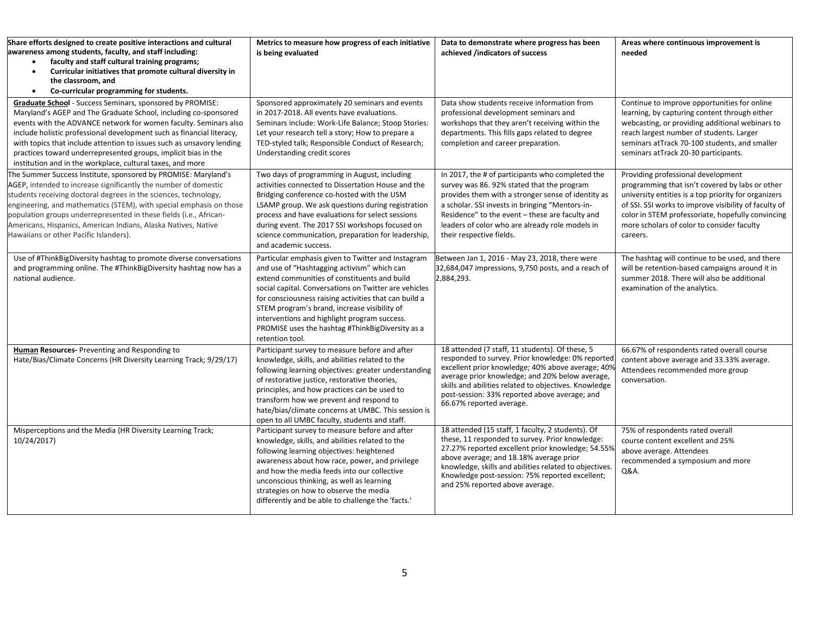| Share efforts designed to create positive interactions and cultural<br>awareness among students, faculty, and staff including:<br>faculty and staff cultural training programs;<br>$\bullet$<br>Curricular initiatives that promote cultural diversity in<br>$\bullet$<br>the classroom, and<br>Co-curricular programming for students.<br>$\bullet$                                                                                                                               | Metrics to measure how progress of each initiative<br>is being evaluated                                                                                                                                                                                                                                                                                                                                                                   | Data to demonstrate where progress has been<br>achieved /indicators of success                                                                                                                                                                                                                                                                      | Areas where continuous improvement is<br>needed                                                                                                                                                                                                                                                                       |
|------------------------------------------------------------------------------------------------------------------------------------------------------------------------------------------------------------------------------------------------------------------------------------------------------------------------------------------------------------------------------------------------------------------------------------------------------------------------------------|--------------------------------------------------------------------------------------------------------------------------------------------------------------------------------------------------------------------------------------------------------------------------------------------------------------------------------------------------------------------------------------------------------------------------------------------|-----------------------------------------------------------------------------------------------------------------------------------------------------------------------------------------------------------------------------------------------------------------------------------------------------------------------------------------------------|-----------------------------------------------------------------------------------------------------------------------------------------------------------------------------------------------------------------------------------------------------------------------------------------------------------------------|
| Graduate School - Success Seminars, sponsored by PROMISE:<br>Maryland's AGEP and The Graduate School, including co-sponsored<br>events with the ADVANCE network for women faculty. Seminars also<br>include holistic professional development such as financial literacy,<br>with topics that include attention to issues such as unsavory lending<br>practices toward underrepresented groups, implicit bias in the<br>institution and in the workplace, cultural taxes, and more | Sponsored approximately 20 seminars and events<br>in 2017-2018. All events have evaluations.<br>Seminars include: Work-Life Balance; Stoop Stories:<br>Let your research tell a story; How to prepare a<br>TED-styled talk; Responsible Conduct of Research;<br>Understanding credit scores                                                                                                                                                | Data show students receive information from<br>professional development seminars and<br>workshops that they aren't receiving within the<br>departments. This fills gaps related to degree<br>completion and career preparation.                                                                                                                     | Continue to improve opportunities for online<br>learning, by capturing content through either<br>webcasting, or providing additional webinars to<br>reach largest number of students. Larger<br>seminars atTrack 70-100 students, and smaller<br>seminars atTrack 20-30 participants.                                 |
| The Summer Success Institute, sponsored by PROMISE: Maryland's<br>AGEP, intended to increase significantly the number of domestic<br>students receiving doctoral degrees in the sciences, technology,<br>engineering, and mathematics (STEM), with special emphasis on those<br>population groups underrepresented in these fields (i.e., African-<br>Americans, Hispanics, American Indians, Alaska Natives, Native<br>Hawaiians or other Pacific Islanders).                     | Two days of programming in August, including<br>activities connected to Dissertation House and the<br>Bridging conference co-hosted with the USM<br>LSAMP group. We ask questions during registration<br>process and have evaluations for select sessions<br>during event. The 2017 SSI workshops focused on<br>science communication, preparation for leadership,<br>and academic success.                                                | In 2017, the # of participants who completed the<br>survey was 86. 92% stated that the program<br>provides them with a stronger sense of identity as<br>a scholar. SSI invests in bringing "Mentors-in-<br>Residence" to the event – these are faculty and<br>leaders of color who are already role models in<br>their respective fields.           | Providing professional development<br>programming that isn't covered by labs or other<br>university entities is a top priority for organizers<br>of SSI. SSI works to improve visibility of faculty of<br>color in STEM professoriate, hopefully convincing<br>more scholars of color to consider faculty<br>careers. |
| Use of #ThinkBigDiversity hashtag to promote diverse conversations<br>and programming online. The #ThinkBigDiversity hashtag now has a<br>national audience.                                                                                                                                                                                                                                                                                                                       | Particular emphasis given to Twitter and Instagram<br>and use of "Hashtagging activism" which can<br>extend communities of constituents and build<br>social capital. Conversations on Twitter are vehicles<br>for consciousness raising activities that can build a<br>STEM program's brand, increase visibility of<br>interventions and highlight program success.<br>PROMISE uses the hashtag #ThinkBigDiversity as a<br>retention tool. | Between Jan 1, 2016 - May 23, 2018, there were<br>32,684,047 impressions, 9,750 posts, and a reach of<br>2,884,293.                                                                                                                                                                                                                                 | The hashtag will continue to be used, and there<br>will be retention-based campaigns around it in<br>summer 2018. There will also be additional<br>examination of the analytics.                                                                                                                                      |
| <b>Human Resources-</b> Preventing and Responding to<br>Hate/Bias/Climate Concerns (HR Diversity Learning Track; 9/29/17)                                                                                                                                                                                                                                                                                                                                                          | Participant survey to measure before and after<br>knowledge, skills, and abilities related to the<br>following learning objectives: greater understanding<br>of restorative justice, restorative theories,<br>principles, and how practices can be used to<br>transform how we prevent and respond to<br>hate/bias/climate concerns at UMBC. This session is<br>open to all UMBC faculty, students and staff.                              | 18 attended (7 staff, 11 students). Of these, 5<br>responded to survey. Prior knowledge: 0% reported<br>excellent prior knowledge; 40% above average; 40%<br>average prior knowledge; and 20% below average,<br>skills and abilities related to objectives. Knowledge<br>post-session: 33% reported above average; and<br>66.67% reported average.  | 66.67% of respondents rated overall course<br>content above average and 33.33% average.<br>Attendees recommended more group<br>conversation.                                                                                                                                                                          |
| Misperceptions and the Media (HR Diversity Learning Track;<br>10/24/2017)                                                                                                                                                                                                                                                                                                                                                                                                          | Participant survey to measure before and after<br>knowledge, skills, and abilities related to the<br>following learning objectives: heightened<br>awareness about how race, power, and privilege<br>and how the media feeds into our collective<br>unconscious thinking, as well as learning<br>strategies on how to observe the media<br>differently and be able to challenge the 'facts.'                                                | 18 attended (15 staff, 1 faculty, 2 students). Of<br>these, 11 responded to survey. Prior knowledge:<br>27.27% reported excellent prior knowledge; 54.55%<br>above average; and 18.18% average prior<br>knowledge, skills and abilities related to objectives<br>Knowledge post-session: 75% reported excellent;<br>and 25% reported above average. | 75% of respondents rated overall<br>course content excellent and 25%<br>above average. Attendees<br>recommended a symposium and more<br>Q&A.                                                                                                                                                                          |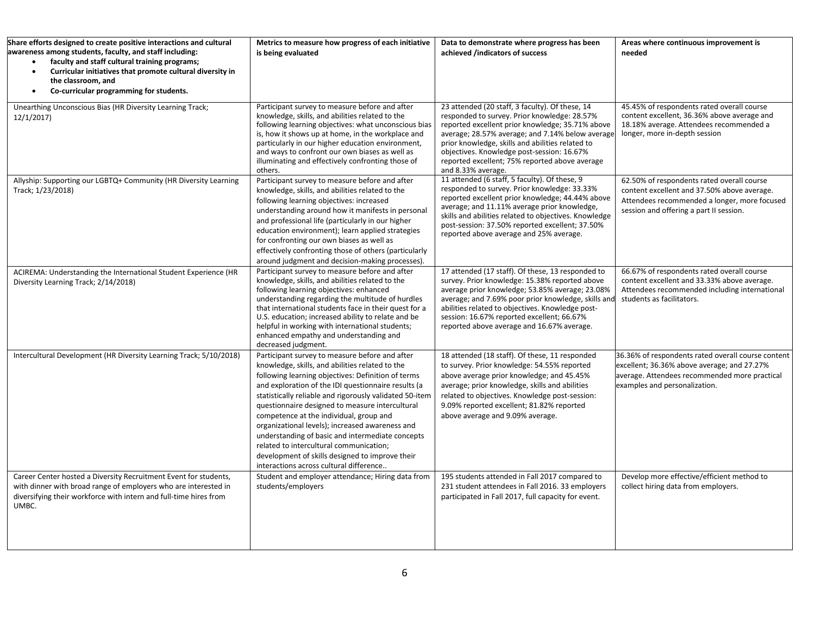| Share efforts designed to create positive interactions and cultural<br>awareness among students, faculty, and staff including:<br>faculty and staff cultural training programs;<br>Curricular initiatives that promote cultural diversity in<br>$\bullet$<br>the classroom, and<br>Co-curricular programming for students.<br>$\bullet$ | Metrics to measure how progress of each initiative<br>is being evaluated                                                                                                                                                                                                                                                                                                                                                                                                                                                                                                                                                | Data to demonstrate where progress has been<br>achieved /indicators of success                                                                                                                                                                                                                                                                                                    | Areas where continuous improvement is<br>needed                                                                                                                                      |
|-----------------------------------------------------------------------------------------------------------------------------------------------------------------------------------------------------------------------------------------------------------------------------------------------------------------------------------------|-------------------------------------------------------------------------------------------------------------------------------------------------------------------------------------------------------------------------------------------------------------------------------------------------------------------------------------------------------------------------------------------------------------------------------------------------------------------------------------------------------------------------------------------------------------------------------------------------------------------------|-----------------------------------------------------------------------------------------------------------------------------------------------------------------------------------------------------------------------------------------------------------------------------------------------------------------------------------------------------------------------------------|--------------------------------------------------------------------------------------------------------------------------------------------------------------------------------------|
| Unearthing Unconscious Bias (HR Diversity Learning Track;<br>12/1/2017)                                                                                                                                                                                                                                                                 | Participant survey to measure before and after<br>knowledge, skills, and abilities related to the<br>following learning objectives: what unconscious bias<br>is, how it shows up at home, in the workplace and<br>particularly in our higher education environment,<br>and ways to confront our own biases as well as<br>illuminating and effectively confronting those of<br>others.                                                                                                                                                                                                                                   | 23 attended (20 staff, 3 faculty). Of these, 14<br>responded to survey. Prior knowledge: 28.57%<br>reported excellent prior knowledge; 35.71% above<br>average; 28.57% average; and 7.14% below average<br>prior knowledge, skills and abilities related to<br>objectives. Knowledge post-session: 16.67%<br>reported excellent; 75% reported above average<br>and 8.33% average. | 45.45% of respondents rated overall course<br>content excellent, 36.36% above average and<br>18.18% average. Attendees recommended a<br>longer, more in-depth session                |
| Allyship: Supporting our LGBTQ+ Community (HR Diversity Learning<br>Track; 1/23/2018)                                                                                                                                                                                                                                                   | Participant survey to measure before and after<br>knowledge, skills, and abilities related to the<br>following learning objectives: increased<br>understanding around how it manifests in personal<br>and professional life (particularly in our higher<br>education environment); learn applied strategies<br>for confronting our own biases as well as<br>effectively confronting those of others (particularly<br>around judgment and decision-making processes).                                                                                                                                                    | 11 attended (6 staff, 5 faculty). Of these, 9<br>responded to survey. Prior knowledge: 33.33%<br>reported excellent prior knowledge; 44.44% above<br>average; and 11.11% average prior knowledge,<br>skills and abilities related to objectives. Knowledge<br>post-session: 37.50% reported excellent; 37.50%<br>reported above average and 25% average.                          | 62.50% of respondents rated overall course<br>content excellent and 37.50% above average.<br>Attendees recommended a longer, more focused<br>session and offering a part II session. |
| ACIREMA: Understanding the International Student Experience (HR<br>Diversity Learning Track; 2/14/2018)                                                                                                                                                                                                                                 | Participant survey to measure before and after<br>knowledge, skills, and abilities related to the<br>following learning objectives: enhanced<br>understanding regarding the multitude of hurdles<br>that international students face in their quest for a<br>U.S. education; increased ability to relate and be<br>helpful in working with international students;<br>enhanced empathy and understanding and<br>decreased judgment.                                                                                                                                                                                     | 17 attended (17 staff). Of these, 13 responded to<br>survey. Prior knowledge: 15.38% reported above<br>average prior knowledge; 53.85% average; 23.08%<br>average; and 7.69% poor prior knowledge, skills and<br>abilities related to objectives. Knowledge post-<br>session: 16.67% reported excellent; 66.67%<br>reported above average and 16.67% average.                     | 66.67% of respondents rated overall course<br>content excellent and 33.33% above average.<br>Attendees recommended including international<br>students as facilitators.              |
| Intercultural Development (HR Diversity Learning Track; 5/10/2018)                                                                                                                                                                                                                                                                      | Participant survey to measure before and after<br>knowledge, skills, and abilities related to the<br>following learning objectives: Definition of terms<br>and exploration of the IDI questionnaire results (a<br>statistically reliable and rigorously validated 50-item<br>questionnaire designed to measure intercultural<br>competence at the individual, group and<br>organizational levels); increased awareness and<br>understanding of basic and intermediate concepts<br>related to intercultural communication;<br>development of skills designed to improve their<br>interactions across cultural difference | 18 attended (18 staff). Of these, 11 responded<br>to survey. Prior knowledge: 54.55% reported<br>above average prior knowledge; and 45.45%<br>average; prior knowledge, skills and abilities<br>related to objectives. Knowledge post-session:<br>9.09% reported excellent; 81.82% reported<br>above average and 9.09% average.                                                   | 36.36% of respondents rated overall course content<br>excellent; 36.36% above average; and 27.27%<br>average. Attendees recommended more practical<br>examples and personalization.  |
| Career Center hosted a Diversity Recruitment Event for students,<br>with dinner with broad range of employers who are interested in<br>diversifying their workforce with intern and full-time hires from<br>UMBC.                                                                                                                       | Student and employer attendance; Hiring data from<br>students/employers                                                                                                                                                                                                                                                                                                                                                                                                                                                                                                                                                 | 195 students attended in Fall 2017 compared to<br>231 student attendees in Fall 2016. 33 employers<br>participated in Fall 2017, full capacity for event.                                                                                                                                                                                                                         | Develop more effective/efficient method to<br>collect hiring data from employers.                                                                                                    |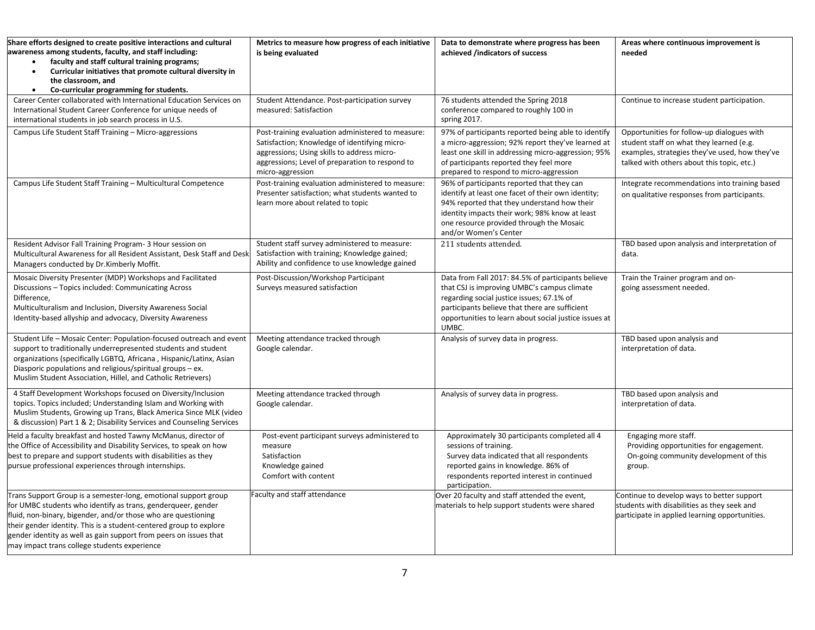| Share efforts designed to create positive interactions and cultural<br>awareness among students, faculty, and staff including:<br>faculty and staff cultural training programs;<br>Curricular initiatives that promote cultural diversity in<br>$\bullet$<br>the classroom, and<br>Co-curricular programming for students.<br>$\bullet$                                                     | Metrics to measure how progress of each initiative<br>is being evaluated                                                                                                                                                 | Data to demonstrate where progress has been<br>achieved /indicators of success                                                                                                                                                                                         | Areas where continuous improvement is<br>needed                                                                                                                                        |  |
|---------------------------------------------------------------------------------------------------------------------------------------------------------------------------------------------------------------------------------------------------------------------------------------------------------------------------------------------------------------------------------------------|--------------------------------------------------------------------------------------------------------------------------------------------------------------------------------------------------------------------------|------------------------------------------------------------------------------------------------------------------------------------------------------------------------------------------------------------------------------------------------------------------------|----------------------------------------------------------------------------------------------------------------------------------------------------------------------------------------|--|
| Career Center collaborated with International Education Services on<br>International Student Career Conference for unique needs of<br>international students in job search process in U.S.                                                                                                                                                                                                  | Student Attendance. Post-participation survey<br>measured: Satisfaction                                                                                                                                                  | 76 students attended the Spring 2018<br>conference compared to roughly 100 in<br>spring 2017.                                                                                                                                                                          | Continue to increase student participation.                                                                                                                                            |  |
| Campus Life Student Staff Training - Micro-aggressions                                                                                                                                                                                                                                                                                                                                      | Post-training evaluation administered to measure:<br>Satisfaction; Knowledge of identifying micro-<br>aggressions; Using skills to address micro-<br>aggressions; Level of preparation to respond to<br>micro-aggression | 97% of participants reported being able to identify<br>a micro-aggression; 92% report they've learned at<br>least one skill in addressing micro-aggression; 95%<br>of participants reported they feel more<br>prepared to respond to micro-aggression                  | Opportunities for follow-up dialogues with<br>student staff on what they learned (e.g.<br>examples, strategies they've used, how they've<br>talked with others about this topic, etc.) |  |
| Campus Life Student Staff Training - Multicultural Competence                                                                                                                                                                                                                                                                                                                               | Post-training evaluation administered to measure:<br>Presenter satisfaction; what students wanted to<br>learn more about related to topic                                                                                | 96% of participants reported that they can<br>identify at least one facet of their own identity;<br>94% reported that they understand how their<br>identity impacts their work; 98% know at least<br>one resource provided through the Mosaic<br>and/or Women's Center | Integrate recommendations into training based<br>on qualitative responses from participants.                                                                                           |  |
| Resident Advisor Fall Training Program- 3 Hour session on<br>Multicultural Awareness for all Resident Assistant, Desk Staff and Desk<br>Managers conducted by Dr.Kimberly Moffit.                                                                                                                                                                                                           | Student staff survey administered to measure:<br>Satisfaction with training; Knowledge gained;<br>Ability and confidence to use knowledge gained                                                                         | 211 students attended.                                                                                                                                                                                                                                                 | TBD based upon analysis and interpretation of<br>data.                                                                                                                                 |  |
| Mosaic Diversity Presenter (MDP) Workshops and Facilitated<br>Discussions - Topics included: Communicating Across<br>Difference,<br>Multiculturalism and Inclusion, Diversity Awareness Social<br>Identity-based allyship and advocacy, Diversity Awareness                                                                                                                                 | Post-Discussion/Workshop Participant<br>Surveys measured satisfaction                                                                                                                                                    | Data from Fall 2017: 84.5% of participants believe<br>that CSJ is improving UMBC's campus climate<br>regarding social justice issues; 67.1% of<br>participants believe that there are sufficient<br>opportunities to learn about social justice issues at<br>UMBC.     | Train the Trainer program and on-<br>going assessment needed.                                                                                                                          |  |
| Student Life - Mosaic Center: Population-focused outreach and event<br>support to traditionally underrepresented students and student<br>organizations (specifically LGBTQ, Africana, Hispanic/Latinx, Asian<br>Diasporic populations and religious/spiritual groups - ex.<br>Muslim Student Association, Hillel, and Catholic Retrievers)                                                  | Meeting attendance tracked through<br>Google calendar.                                                                                                                                                                   | Analysis of survey data in progress.                                                                                                                                                                                                                                   | TBD based upon analysis and<br>interpretation of data.                                                                                                                                 |  |
| 4 Staff Development Workshops focused on Diversity/Inclusion<br>topics. Topics included; Understanding Islam and Working with<br>Muslim Students, Growing up Trans, Black America Since MLK (video<br>& discussion) Part 1 & 2; Disability Services and Counseling Services                                                                                                                 | Meeting attendance tracked through<br>Google calendar.                                                                                                                                                                   | Analysis of survey data in progress.                                                                                                                                                                                                                                   | TBD based upon analysis and<br>interpretation of data.                                                                                                                                 |  |
| Held a faculty breakfast and hosted Tawny McManus, director of<br>the Office of Accessibility and Disability Services, to speak on how<br>best to prepare and support students with disabilities as they<br>pursue professional experiences through internships.                                                                                                                            | Post-event participant surveys administered to<br>measure<br>Satisfaction<br>Knowledge gained<br>Comfort with content                                                                                                    | Approximately 30 participants completed all 4<br>sessions of training.<br>Survey data indicated that all respondents<br>reported gains in knowledge. 86% of<br>respondents reported interest in continued<br>participation.                                            | Engaging more staff.<br>Providing opportunities for engagement.<br>On-going community development of this<br>group.                                                                    |  |
| Trans Support Group is a semester-long, emotional support group<br>for UMBC students who identify as trans, genderqueer, gender<br>fluid, non-binary, bigender, and/or those who are questioning<br>their gender identity. This is a student-centered group to explore<br>gender identity as well as gain support from peers on issues that<br>may impact trans college students experience | Faculty and staff attendance                                                                                                                                                                                             | Over 20 faculty and staff attended the event,<br>materials to help support students were shared                                                                                                                                                                        | Continue to develop ways to better support<br>students with disabilities as they seek and<br>participate in applied learning opportunities.                                            |  |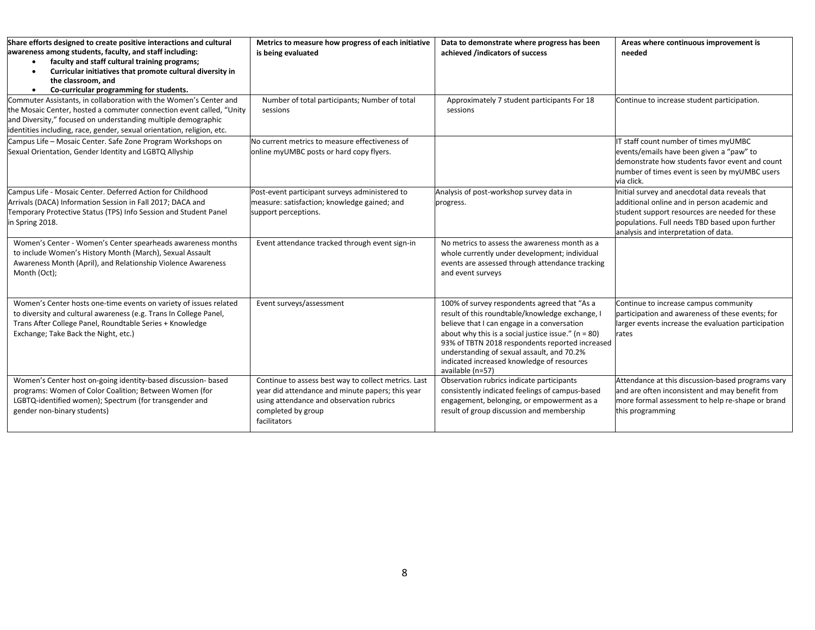| Share efforts designed to create positive interactions and cultural<br>awareness among students, faculty, and staff including:<br>faculty and staff cultural training programs;<br>Curricular initiatives that promote cultural diversity in<br>the classroom, and<br>Co-curricular programming for students.<br>$\bullet$ | Metrics to measure how progress of each initiative<br>is being evaluated                                                                                                                   | Data to demonstrate where progress has been<br>achieved /indicators of success                                                                                                                                                                                                                                                                                               | Areas where continuous improvement is<br>needed                                                                                                                                                                                            |
|----------------------------------------------------------------------------------------------------------------------------------------------------------------------------------------------------------------------------------------------------------------------------------------------------------------------------|--------------------------------------------------------------------------------------------------------------------------------------------------------------------------------------------|------------------------------------------------------------------------------------------------------------------------------------------------------------------------------------------------------------------------------------------------------------------------------------------------------------------------------------------------------------------------------|--------------------------------------------------------------------------------------------------------------------------------------------------------------------------------------------------------------------------------------------|
| Commuter Assistants, in collaboration with the Women's Center and<br>the Mosaic Center, hosted a commuter connection event called, "Unity<br>and Diversity," focused on understanding multiple demographic<br>identities including, race, gender, sexual orientation, religion, etc.                                       | Number of total participants; Number of total<br>sessions                                                                                                                                  | Approximately 7 student participants For 18<br>sessions                                                                                                                                                                                                                                                                                                                      | Continue to increase student participation.                                                                                                                                                                                                |
| Campus Life - Mosaic Center. Safe Zone Program Workshops on<br>Sexual Orientation, Gender Identity and LGBTQ Allyship                                                                                                                                                                                                      | No current metrics to measure effectiveness of<br>online myUMBC posts or hard copy flyers.                                                                                                 |                                                                                                                                                                                                                                                                                                                                                                              | IT staff count number of times myUMBC<br>events/emails have been given a "paw" to<br>demonstrate how students favor event and count<br>number of times event is seen by myUMBC users<br>via click.                                         |
| Campus Life - Mosaic Center. Deferred Action for Childhood<br>Arrivals (DACA) Information Session in Fall 2017; DACA and<br>Temporary Protective Status (TPS) Info Session and Student Panel<br>in Spring 2018.                                                                                                            | Post-event participant surveys administered to<br>measure: satisfaction; knowledge gained; and<br>support perceptions.                                                                     | Analysis of post-workshop survey data in<br>progress.                                                                                                                                                                                                                                                                                                                        | Initial survey and anecdotal data reveals that<br>additional online and in person academic and<br>student support resources are needed for these<br>populations. Full needs TBD based upon further<br>analysis and interpretation of data. |
| Women's Center - Women's Center spearheads awareness months<br>to include Women's History Month (March), Sexual Assault<br>Awareness Month (April), and Relationship Violence Awareness<br>Month (Oct);                                                                                                                    | Event attendance tracked through event sign-in                                                                                                                                             | No metrics to assess the awareness month as a<br>whole currently under development; individual<br>events are assessed through attendance tracking<br>and event surveys                                                                                                                                                                                                       |                                                                                                                                                                                                                                            |
| Women's Center hosts one-time events on variety of issues related<br>to diversity and cultural awareness (e.g. Trans In College Panel,<br>Trans After College Panel, Roundtable Series + Knowledge<br>Exchange; Take Back the Night, etc.)                                                                                 | Event surveys/assessment                                                                                                                                                                   | 100% of survey respondents agreed that "As a<br>result of this roundtable/knowledge exchange, I<br>believe that I can engage in a conversation<br>about why this is a social justice issue." ( $n = 80$ )<br>93% of TBTN 2018 respondents reported increased<br>understanding of sexual assault, and 70.2%<br>indicated increased knowledge of resources<br>available (n=57) | Continue to increase campus community<br>participation and awareness of these events; for<br>larger events increase the evaluation participation<br>rates                                                                                  |
| Women's Center host on-going identity-based discussion- based<br>programs: Women of Color Coalition; Between Women (for<br>LGBTQ-identified women); Spectrum (for transgender and<br>gender non-binary students)                                                                                                           | Continue to assess best way to collect metrics. Last<br>year did attendance and minute papers; this year<br>using attendance and observation rubrics<br>completed by group<br>facilitators | Observation rubrics indicate participants<br>consistently indicated feelings of campus-based<br>engagement, belonging, or empowerment as a<br>result of group discussion and membership                                                                                                                                                                                      | Attendance at this discussion-based programs vary<br>and are often inconsistent and may benefit from<br>more formal assessment to help re-shape or brand<br>this programming                                                               |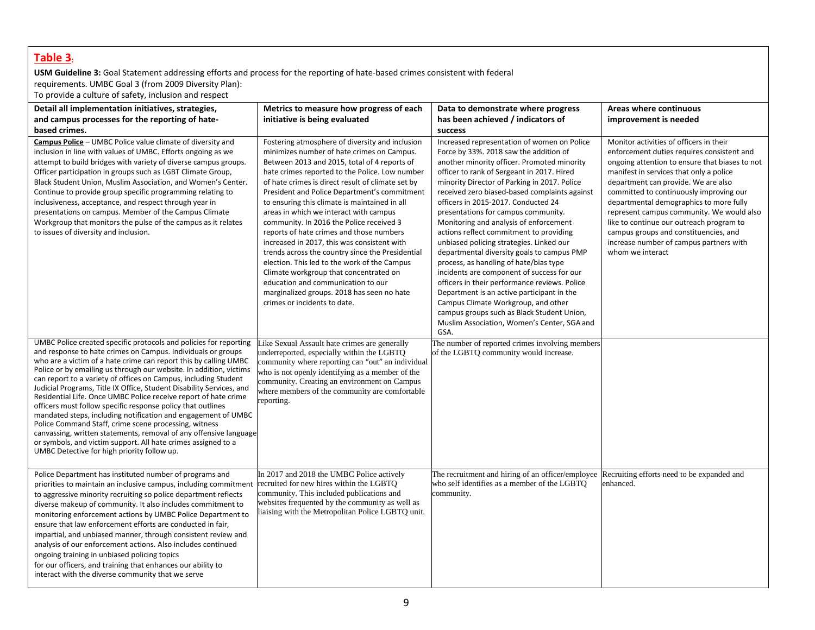## **Table 3:**

**USM Guideline 3:** Goal Statement addressing efforts and process for the reporting of hate-based crimes consistent with federal requirements. UMBC Goal 3 (from 2009 Diversity Plan):

To provide a culture of safety, inclusion and respect

| Detail all implementation initiatives, strategies,<br>and campus processes for the reporting of hate-<br>based crimes.                                                                                                                                                                                                                                                                                                                                                                                                                                                                                                                                                                                                                                                                                                                                                  | Metrics to measure how progress of each<br>initiative is being evaluated                                                                                                                                                                                                                                                                                                                                                                                                                                                                                                                                                                                                                                                                                                                                 | Data to demonstrate where progress<br>has been achieved / indicators of<br>success                                                                                                                                                                                                                                                                                                                                                                                                                                                                                                                                                                                                                                                                                                                                                                                                  | Areas where continuous<br>improvement is needed                                                                                                                                                                                                                                                                                                                                                                                                                                                                  |
|-------------------------------------------------------------------------------------------------------------------------------------------------------------------------------------------------------------------------------------------------------------------------------------------------------------------------------------------------------------------------------------------------------------------------------------------------------------------------------------------------------------------------------------------------------------------------------------------------------------------------------------------------------------------------------------------------------------------------------------------------------------------------------------------------------------------------------------------------------------------------|----------------------------------------------------------------------------------------------------------------------------------------------------------------------------------------------------------------------------------------------------------------------------------------------------------------------------------------------------------------------------------------------------------------------------------------------------------------------------------------------------------------------------------------------------------------------------------------------------------------------------------------------------------------------------------------------------------------------------------------------------------------------------------------------------------|-------------------------------------------------------------------------------------------------------------------------------------------------------------------------------------------------------------------------------------------------------------------------------------------------------------------------------------------------------------------------------------------------------------------------------------------------------------------------------------------------------------------------------------------------------------------------------------------------------------------------------------------------------------------------------------------------------------------------------------------------------------------------------------------------------------------------------------------------------------------------------------|------------------------------------------------------------------------------------------------------------------------------------------------------------------------------------------------------------------------------------------------------------------------------------------------------------------------------------------------------------------------------------------------------------------------------------------------------------------------------------------------------------------|
| Campus Police - UMBC Police value climate of diversity and<br>inclusion in line with values of UMBC. Efforts ongoing as we<br>attempt to build bridges with variety of diverse campus groups.<br>Officer participation in groups such as LGBT Climate Group,<br>Black Student Union, Muslim Association, and Women's Center.<br>Continue to provide group specific programming relating to<br>inclusiveness, acceptance, and respect through year in<br>presentations on campus. Member of the Campus Climate<br>Workgroup that monitors the pulse of the campus as it relates<br>to issues of diversity and inclusion.                                                                                                                                                                                                                                                 | Fostering atmosphere of diversity and inclusion<br>minimizes number of hate crimes on Campus.<br>Between 2013 and 2015, total of 4 reports of<br>hate crimes reported to the Police. Low number<br>of hate crimes is direct result of climate set by<br>President and Police Department's commitment<br>to ensuring this climate is maintained in all<br>areas in which we interact with campus<br>community. In 2016 the Police received 3<br>reports of hate crimes and those numbers<br>increased in 2017, this was consistent with<br>trends across the country since the Presidential<br>election. This led to the work of the Campus<br>Climate workgroup that concentrated on<br>education and communication to our<br>marginalized groups. 2018 has seen no hate<br>crimes or incidents to date. | Increased representation of women on Police<br>Force by 33%. 2018 saw the addition of<br>another minority officer. Promoted minority<br>officer to rank of Sergeant in 2017. Hired<br>minority Director of Parking in 2017. Police<br>received zero biased-based complaints against<br>officers in 2015-2017. Conducted 24<br>presentations for campus community.<br>Monitoring and analysis of enforcement<br>actions reflect commitment to providing<br>unbiased policing strategies. Linked our<br>departmental diversity goals to campus PMP<br>process, as handling of hate/bias type<br>incidents are component of success for our<br>officers in their performance reviews. Police<br>Department is an active participant in the<br>Campus Climate Workgroup, and other<br>campus groups such as Black Student Union,<br>Muslim Association, Women's Center, SGA and<br>GSA. | Monitor activities of officers in their<br>enforcement duties requires consistent and<br>ongoing attention to ensure that biases to not<br>manifest in services that only a police<br>department can provide. We are also<br>committed to continuously improving our<br>departmental demographics to more fully<br>represent campus community. We would also<br>like to continue our outreach program to<br>campus groups and constituencies, and<br>increase number of campus partners with<br>whom we interact |
| UMBC Police created specific protocols and policies for reporting<br>and response to hate crimes on Campus. Individuals or groups<br>who are a victim of a hate crime can report this by calling UMBC<br>Police or by emailing us through our website. In addition, victims<br>can report to a variety of offices on Campus, including Student<br>Judicial Programs, Title IX Office, Student Disability Services, and<br>Residential Life. Once UMBC Police receive report of hate crime<br>officers must follow specific response policy that outlines<br>mandated steps, including notification and engagement of UMBC<br>Police Command Staff, crime scene processing, witness<br>canvassing, written statements, removal of any offensive language<br>or symbols, and victim support. All hate crimes assigned to a<br>UMBC Detective for high priority follow up. | Like Sexual Assault hate crimes are generally<br>underreported, especially within the LGBTQ<br>community where reporting can "out" an individual<br>who is not openly identifying as a member of the<br>community. Creating an environment on Campus<br>where members of the community are comfortable<br>reporting.                                                                                                                                                                                                                                                                                                                                                                                                                                                                                     | The number of reported crimes involving members<br>of the LGBTQ community would increase.                                                                                                                                                                                                                                                                                                                                                                                                                                                                                                                                                                                                                                                                                                                                                                                           |                                                                                                                                                                                                                                                                                                                                                                                                                                                                                                                  |
| Police Department has instituted number of programs and<br>priorities to maintain an inclusive campus, including commitment<br>to aggressive minority recruiting so police department reflects<br>diverse makeup of community. It also includes commitment to<br>monitoring enforcement actions by UMBC Police Department to<br>ensure that law enforcement efforts are conducted in fair,<br>impartial, and unbiased manner, through consistent review and<br>analysis of our enforcement actions. Also includes continued<br>ongoing training in unbiased policing topics<br>for our officers, and training that enhances our ability to<br>interact with the diverse community that we serve                                                                                                                                                                         | In 2017 and 2018 the UMBC Police actively<br>recruited for new hires within the LGBTO<br>community. This included publications and<br>websites frequented by the community as well as<br>liaising with the Metropolitan Police LGBTQ unit.                                                                                                                                                                                                                                                                                                                                                                                                                                                                                                                                                               | The recruitment and hiring of an officer/employee<br>who self identifies as a member of the LGBTO<br>community.                                                                                                                                                                                                                                                                                                                                                                                                                                                                                                                                                                                                                                                                                                                                                                     | Recruiting efforts need to be expanded and<br>enhanced.                                                                                                                                                                                                                                                                                                                                                                                                                                                          |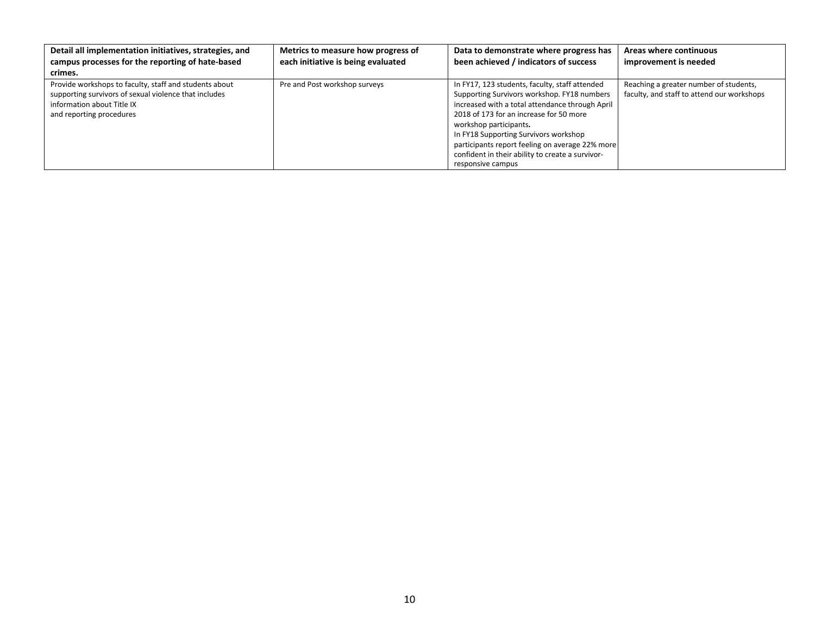| Detail all implementation initiatives, strategies, and<br>campus processes for the reporting of hate-based                                                                | Metrics to measure how progress of<br>each initiative is being evaluated | Data to demonstrate where progress has<br>been achieved / indicators of success                                                                                                                                                                                                                                                                                                            | Areas where continuous<br>improvement is needed                                      |
|---------------------------------------------------------------------------------------------------------------------------------------------------------------------------|--------------------------------------------------------------------------|--------------------------------------------------------------------------------------------------------------------------------------------------------------------------------------------------------------------------------------------------------------------------------------------------------------------------------------------------------------------------------------------|--------------------------------------------------------------------------------------|
| crimes.                                                                                                                                                                   |                                                                          |                                                                                                                                                                                                                                                                                                                                                                                            |                                                                                      |
| Provide workshops to faculty, staff and students about<br>supporting survivors of sexual violence that includes<br>information about Title IX<br>and reporting procedures | Pre and Post workshop surveys                                            | In FY17, 123 students, faculty, staff attended<br>Supporting Survivors workshop. FY18 numbers<br>increased with a total attendance through April<br>2018 of 173 for an increase for 50 more<br>workshop participants.<br>In FY18 Supporting Survivors workshop<br>participants report feeling on average 22% more<br>confident in their ability to create a survivor-<br>responsive campus | Reaching a greater number of students,<br>faculty, and staff to attend our workshops |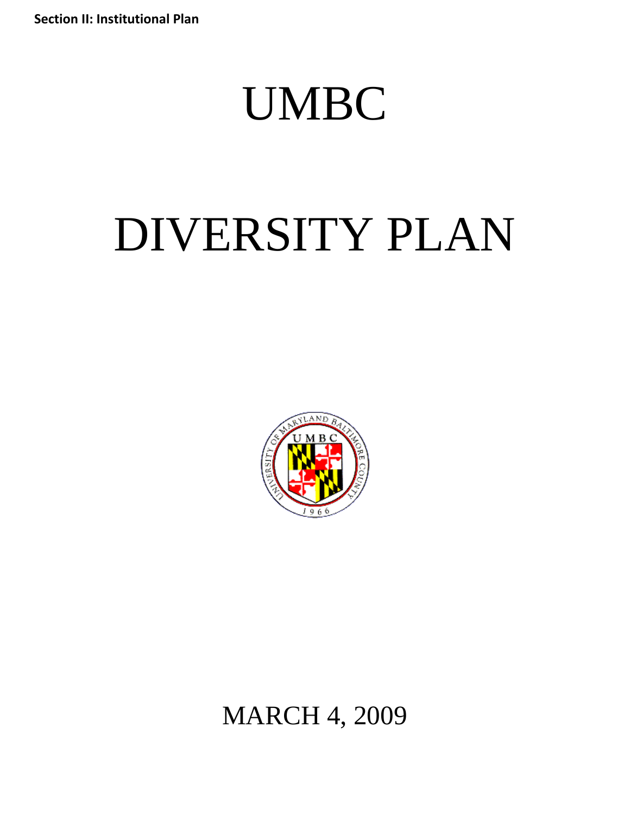**Section II: Institutional Plan**

## UMBC

# DIVERSITY PLAN



MARCH 4, 2009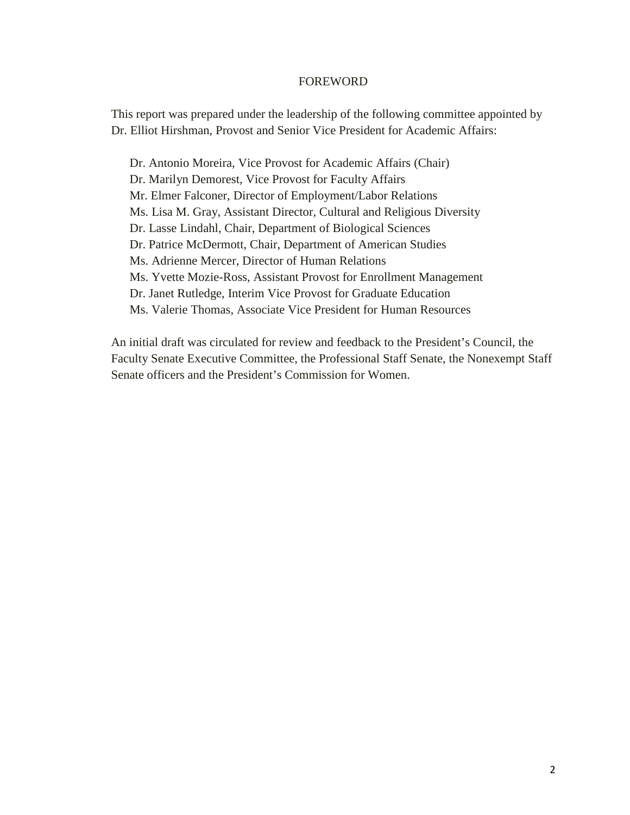#### FOREWORD

This report was prepared under the leadership of the following committee appointed by Dr. Elliot Hirshman, Provost and Senior Vice President for Academic Affairs:

Dr. Antonio Moreira, Vice Provost for Academic Affairs (Chair) Dr. Marilyn Demorest, Vice Provost for Faculty Affairs Mr. Elmer Falconer, Director of Employment/Labor Relations Ms. Lisa M. Gray, Assistant Director, Cultural and Religious Diversity Dr. Lasse Lindahl, Chair, Department of Biological Sciences Dr. Patrice McDermott, Chair, Department of American Studies Ms. Adrienne Mercer, Director of Human Relations Ms. Yvette Mozie-Ross, Assistant Provost for Enrollment Management Dr. Janet Rutledge, Interim Vice Provost for Graduate Education Ms. Valerie Thomas, Associate Vice President for Human Resources

An initial draft was circulated for review and feedback to the President's Council, the Faculty Senate Executive Committee, the Professional Staff Senate, the Nonexempt Staff Senate officers and the President's Commission for Women.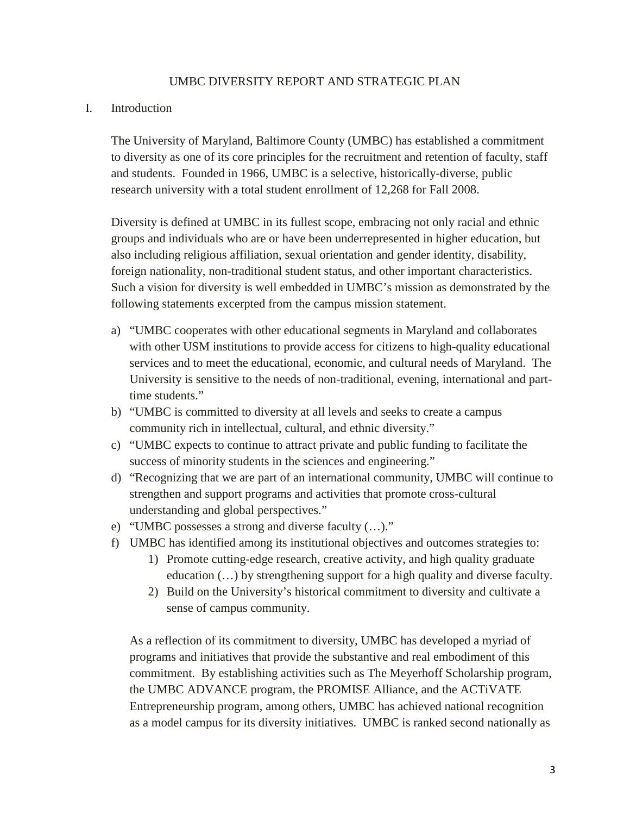## UMBC DIVERSITY REPORT AND STRATEGIC PLAN

## I. Introduction

The University of Maryland, Baltimore County (UMBC) has established a commitment to diversity as one of its core principles for the recruitment and retention of faculty, staff and students. Founded in 1966, UMBC is a selective, historically-diverse, public research university with a total student enrollment of 12,268 for Fall 2008.

Diversity is defined at UMBC in its fullest scope, embracing not only racial and ethnic groups and individuals who are or have been underrepresented in higher education, but also including religious affiliation, sexual orientation and gender identity, disability, foreign nationality, non-traditional student status, and other important characteristics. Such a vision for diversity is well embedded in UMBC's mission as demonstrated by the following statements excerpted from the campus mission statement.

- a) "UMBC cooperates with other educational segments in Maryland and collaborates with other USM institutions to provide access for citizens to high-quality educational services and to meet the educational, economic, and cultural needs of Maryland. The University is sensitive to the needs of non-traditional, evening, international and parttime students."
- b) "UMBC is committed to diversity at all levels and seeks to create a campus community rich in intellectual, cultural, and ethnic diversity."
- c) "UMBC expects to continue to attract private and public funding to facilitate the success of minority students in the sciences and engineering."
- d) "Recognizing that we are part of an international community, UMBC will continue to strengthen and support programs and activities that promote cross-cultural understanding and global perspectives."
- e) "UMBC possesses a strong and diverse faculty (…)."
- f) UMBC has identified among its institutional objectives and outcomes strategies to:
	- 1) Promote cutting-edge research, creative activity, and high quality graduate education (…) by strengthening support for a high quality and diverse faculty.
	- 2) Build on the University's historical commitment to diversity and cultivate a sense of campus community.

As a reflection of its commitment to diversity, UMBC has developed a myriad of programs and initiatives that provide the substantive and real embodiment of this commitment. By establishing activities such as The Meyerhoff Scholarship program, the UMBC ADVANCE program, the PROMISE Alliance, and the ACTiVATE Entrepreneurship program, among others, UMBC has achieved national recognition as a model campus for its diversity initiatives. UMBC is ranked second nationally as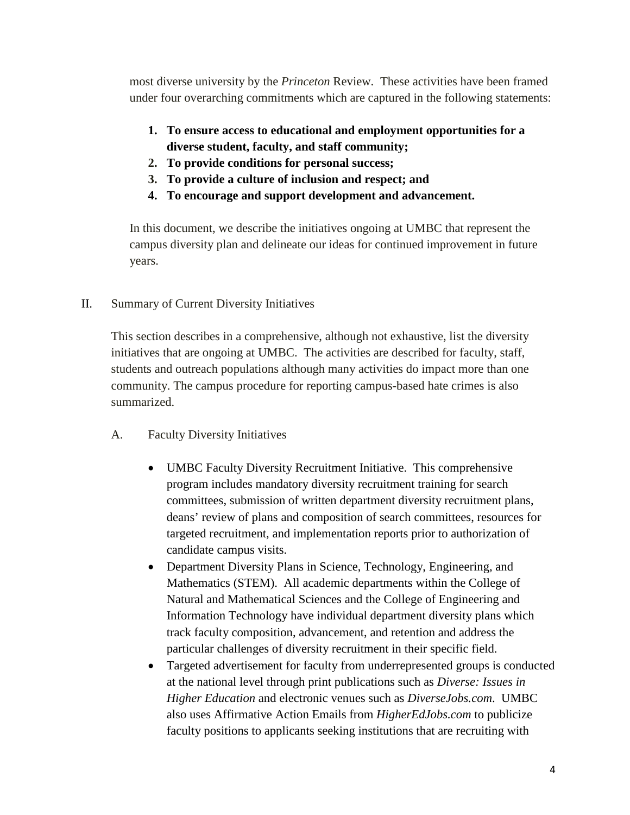most diverse university by the *Princeton* Review. These activities have been framed under four overarching commitments which are captured in the following statements:

- **1. To ensure access to educational and employment opportunities for a diverse student, faculty, and staff community;**
- **2. To provide conditions for personal success;**
- **3. To provide a culture of inclusion and respect; and**
- **4. To encourage and support development and advancement.**

In this document, we describe the initiatives ongoing at UMBC that represent the campus diversity plan and delineate our ideas for continued improvement in future years.

II. Summary of Current Diversity Initiatives

This section describes in a comprehensive, although not exhaustive, list the diversity initiatives that are ongoing at UMBC. The activities are described for faculty, staff, students and outreach populations although many activities do impact more than one community. The campus procedure for reporting campus-based hate crimes is also summarized.

- A. Faculty Diversity Initiatives
	- UMBC Faculty Diversity Recruitment Initiative. This comprehensive program includes mandatory diversity recruitment training for search committees, submission of written department diversity recruitment plans, deans' review of plans and composition of search committees, resources for targeted recruitment, and implementation reports prior to authorization of candidate campus visits.
	- Department Diversity Plans in Science, Technology, Engineering, and Mathematics (STEM). All academic departments within the College of Natural and Mathematical Sciences and the College of Engineering and Information Technology have individual department diversity plans which track faculty composition, advancement, and retention and address the particular challenges of diversity recruitment in their specific field.
	- Targeted advertisement for faculty from underrepresented groups is conducted at the national level through print publications such as *Diverse: Issues in Higher Education* and electronic venues such as *DiverseJobs.com*. UMBC also uses Affirmative Action Emails from *HigherEdJobs.com* to publicize faculty positions to applicants seeking institutions that are recruiting with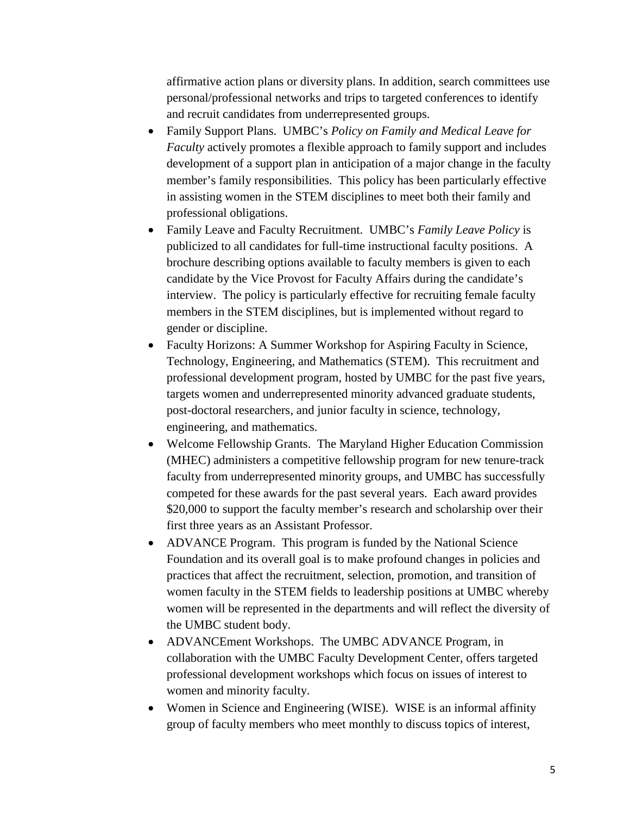affirmative action plans or diversity plans. In addition, search committees use personal/professional networks and trips to targeted conferences to identify and recruit candidates from underrepresented groups.

- Family Support Plans. UMBC's *Policy on Family and Medical Leave for Faculty* actively promotes a flexible approach to family support and includes development of a support plan in anticipation of a major change in the faculty member's family responsibilities. This policy has been particularly effective in assisting women in the STEM disciplines to meet both their family and professional obligations.
- Family Leave and Faculty Recruitment. UMBC's *Family Leave Policy* is publicized to all candidates for full-time instructional faculty positions. A brochure describing options available to faculty members is given to each candidate by the Vice Provost for Faculty Affairs during the candidate's interview. The policy is particularly effective for recruiting female faculty members in the STEM disciplines, but is implemented without regard to gender or discipline.
- Faculty Horizons: A Summer Workshop for Aspiring Faculty in Science, Technology, Engineering, and Mathematics (STEM). This recruitment and professional development program, hosted by UMBC for the past five years, targets women and underrepresented minority advanced graduate students, post-doctoral researchers, and junior faculty in science, technology, engineering, and mathematics.
- Welcome Fellowship Grants. The Maryland Higher Education Commission (MHEC) administers a competitive fellowship program for new tenure-track faculty from underrepresented minority groups, and UMBC has successfully competed for these awards for the past several years. Each award provides \$20,000 to support the faculty member's research and scholarship over their first three years as an Assistant Professor.
- ADVANCE Program. This program is funded by the National Science Foundation and its overall goal is to make profound changes in policies and practices that affect the recruitment, selection, promotion, and transition of women faculty in the STEM fields to leadership positions at UMBC whereby women will be represented in the departments and will reflect the diversity of the UMBC student body.
- ADVANCEment Workshops. The UMBC ADVANCE Program, in collaboration with the UMBC Faculty Development Center, offers targeted professional development workshops which focus on issues of interest to women and minority faculty.
- Women in Science and Engineering (WISE). WISE is an informal affinity group of faculty members who meet monthly to discuss topics of interest,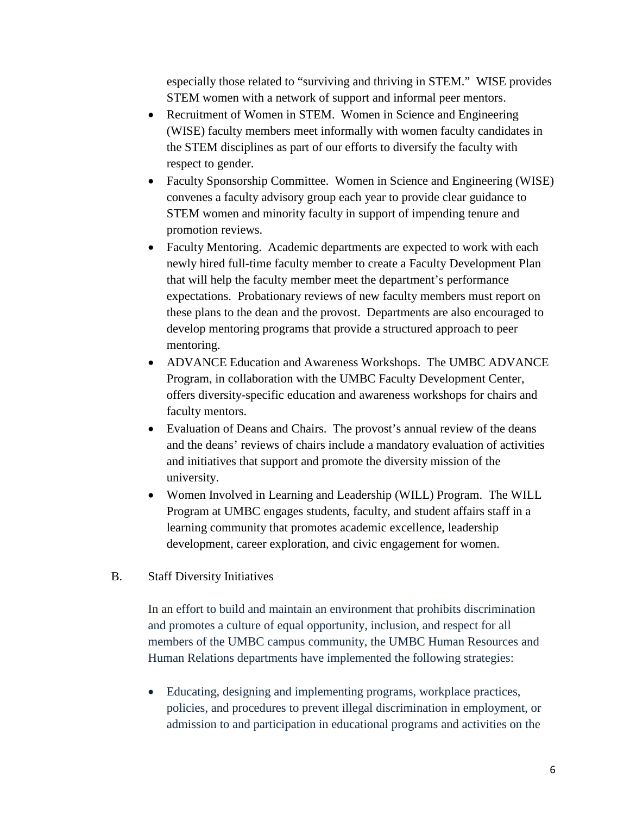especially those related to "surviving and thriving in STEM." WISE provides STEM women with a network of support and informal peer mentors.

- Recruitment of Women in STEM. Women in Science and Engineering (WISE) faculty members meet informally with women faculty candidates in the STEM disciplines as part of our efforts to diversify the faculty with respect to gender.
- Faculty Sponsorship Committee. Women in Science and Engineering (WISE) convenes a faculty advisory group each year to provide clear guidance to STEM women and minority faculty in support of impending tenure and promotion reviews.
- Faculty Mentoring. Academic departments are expected to work with each newly hired full-time faculty member to create a Faculty Development Plan that will help the faculty member meet the department's performance expectations. Probationary reviews of new faculty members must report on these plans to the dean and the provost. Departments are also encouraged to develop mentoring programs that provide a structured approach to peer mentoring.
- ADVANCE Education and Awareness Workshops. The UMBC ADVANCE Program, in collaboration with the UMBC Faculty Development Center, offers diversity-specific education and awareness workshops for chairs and faculty mentors.
- Evaluation of Deans and Chairs. The provost's annual review of the deans and the deans' reviews of chairs include a mandatory evaluation of activities and initiatives that support and promote the diversity mission of the university.
- Women Involved in Learning and Leadership (WILL) Program. The WILL Program at UMBC engages students, faculty, and student affairs staff in a learning community that promotes academic excellence, leadership development, career exploration, and civic engagement for women.

## B. Staff Diversity Initiatives

In an effort to build and maintain an environment that prohibits discrimination and promotes a culture of equal opportunity, inclusion, and respect for all members of the UMBC campus community, the UMBC Human Resources and Human Relations departments have implemented the following strategies:

• Educating, designing and implementing programs, workplace practices, policies, and procedures to prevent illegal [discrimination](http://www.umbc.edu/ola/hr/forms/discrimination_complaint_procedure.pdf) in employment, or admission to and participation in educational programs and activities on the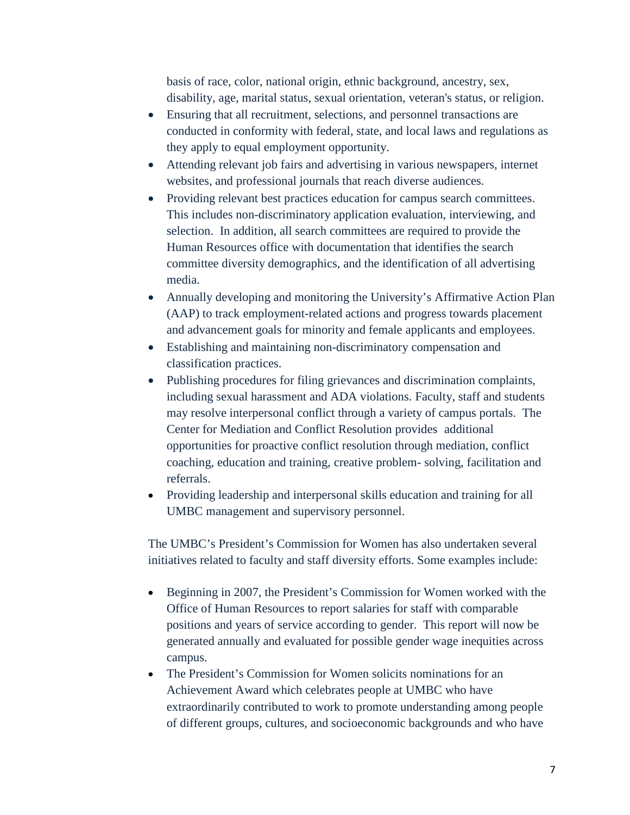basis of race, color, national origin, ethnic background, ancestry, sex, disability, age, marital status, sexual orientation, veteran's status, or religion.

- Ensuring that all recruitment, selections, and personnel transactions are conducted in conformity with federal, state, and local laws and regulations as they apply to equal employment opportunity.
- Attending relevant job fairs and advertising in various newspapers, internet websites, and professional journals that reach diverse audiences.
- Providing relevant best practices education for campus search committees. This includes non-discriminatory application evaluation, interviewing, and selection. In addition, all search committees are required to provide the Human Resources office with documentation that identifies the search committee diversity demographics, and the identification of all advertising media.
- Annually developing and monitoring the University's Affirmative Action Plan (AAP) to track employment-related actions and progress towards placement and advancement goals for minority and female applicants and employees.
- Establishing and maintaining non-discriminatory compensation and classification practices.
- Publishing procedures for filing grievances and discrimination complaints, including sexual harassment and ADA violations. Faculty, staff and students may resolve interpersonal conflict through a variety of campus portals. The Center for Mediation and Conflict Resolution provides additional opportunities for proactive conflict resolution through mediation, conflict coaching, education and training, creative problem- solving, facilitation and referrals.
- Providing leadership and interpersonal skills education and training for all UMBC management and supervisory personnel.

The UMBC's President's Commission for Women has also undertaken several initiatives related to faculty and staff diversity efforts. Some examples include:

- Beginning in 2007, the President's Commission for Women worked with the Office of Human Resources to report salaries for staff with comparable positions and years of service according to gender. This report will now be generated annually and evaluated for possible gender wage inequities across campus.
- The President's Commission for Women solicits nominations for an Achievement Award which celebrates people at UMBC who have extraordinarily contributed to work to promote understanding among people of different groups, cultures, and socioeconomic backgrounds and who have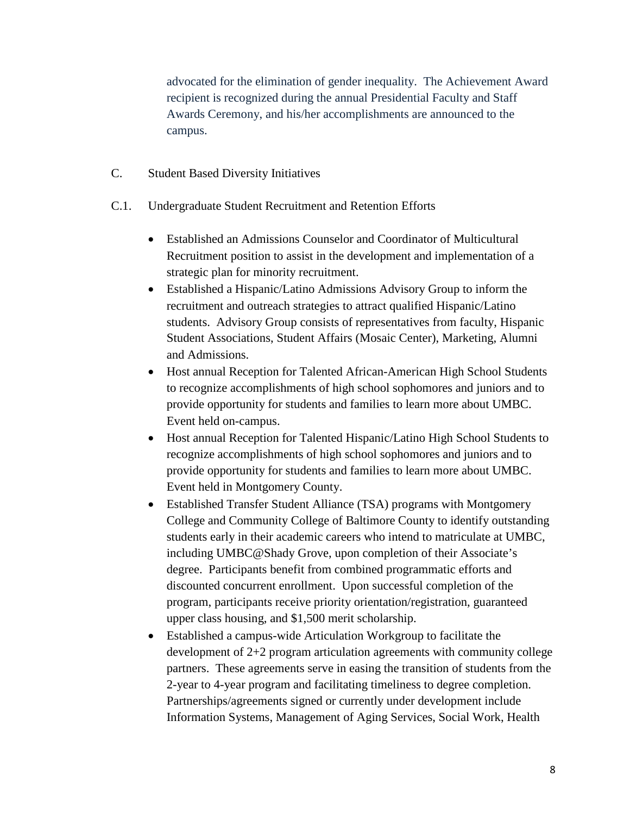advocated for the elimination of gender inequality. The Achievement Award recipient is recognized during the annual Presidential Faculty and Staff Awards Ceremony, and his/her accomplishments are announced to the campus.

- C. Student Based Diversity Initiatives
- C.1. Undergraduate Student Recruitment and Retention Efforts
	- Established an Admissions Counselor and Coordinator of Multicultural Recruitment position to assist in the development and implementation of a strategic plan for minority recruitment.
	- Established a Hispanic/Latino Admissions Advisory Group to inform the recruitment and outreach strategies to attract qualified Hispanic/Latino students. Advisory Group consists of representatives from faculty, Hispanic Student Associations, Student Affairs (Mosaic Center), Marketing, Alumni and Admissions.
	- Host annual Reception for Talented African-American High School Students to recognize accomplishments of high school sophomores and juniors and to provide opportunity for students and families to learn more about UMBC. Event held on-campus.
	- Host annual Reception for Talented Hispanic/Latino High School Students to recognize accomplishments of high school sophomores and juniors and to provide opportunity for students and families to learn more about UMBC. Event held in Montgomery County.
	- Established Transfer Student Alliance (TSA) programs with Montgomery College and Community College of Baltimore County to identify outstanding students early in their academic careers who intend to matriculate at UMBC, including UMBC@Shady Grove, upon completion of their Associate's degree. Participants benefit from combined programmatic efforts and discounted concurrent enrollment. Upon successful completion of the program, participants receive priority orientation/registration, guaranteed upper class housing, and \$1,500 merit scholarship.
	- Established a campus-wide Articulation Workgroup to facilitate the development of 2+2 program articulation agreements with community college partners. These agreements serve in easing the transition of students from the 2-year to 4-year program and facilitating timeliness to degree completion. Partnerships/agreements signed or currently under development include Information Systems, Management of Aging Services, Social Work, Health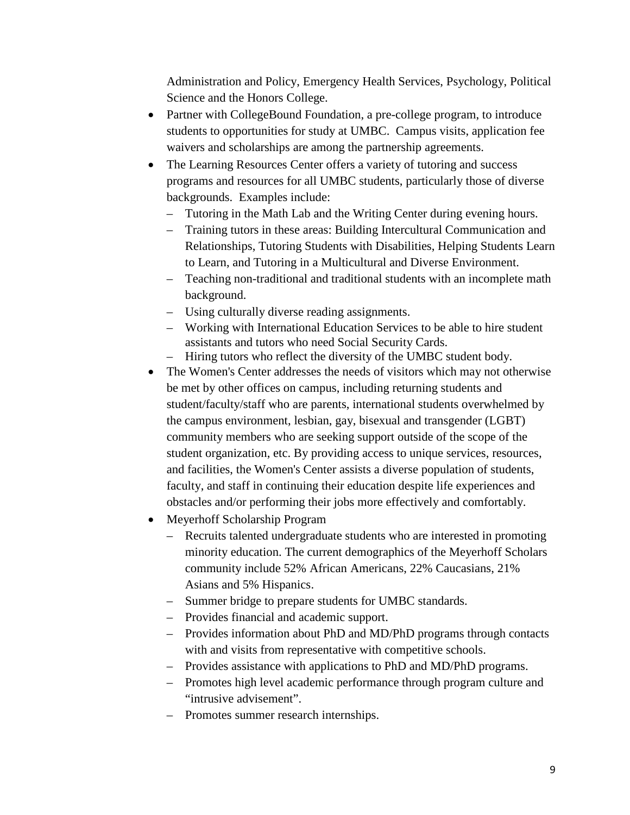Administration and Policy, Emergency Health Services, Psychology, Political Science and the Honors College.

- Partner with CollegeBound Foundation, a pre-college program, to introduce students to opportunities for study at UMBC. Campus visits, application fee waivers and scholarships are among the partnership agreements.
- The Learning Resources Center offers a variety of tutoring and success programs and resources for all UMBC students, particularly those of diverse backgrounds. Examples include:
	- Tutoring in the Math Lab and the Writing Center during evening hours.
	- Training tutors in these areas: Building Intercultural Communication and Relationships, Tutoring Students with Disabilities, Helping Students Learn to Learn, and Tutoring in a Multicultural and Diverse Environment.
	- Teaching non-traditional and traditional students with an incomplete math background.
	- Using culturally diverse reading assignments.
	- Working with International Education Services to be able to hire student assistants and tutors who need Social Security Cards.
	- Hiring tutors who reflect the diversity of the UMBC student body.
- The Women's Center addresses the needs of visitors which may not otherwise be met by other offices on campus, including returning students and student/faculty/staff who are parents, international students overwhelmed by the campus environment, lesbian, gay, bisexual and transgender (LGBT) community members who are seeking support outside of the scope of the student organization, etc. By providing access to unique services, resources, and facilities, the Women's Center assists a diverse population of students, faculty, and staff in continuing their education despite life experiences and obstacles and/or performing their jobs more effectively and comfortably.
- Meyerhoff Scholarship Program
	- Recruits talented undergraduate students who are interested in promoting minority education. The current demographics of the Meyerhoff Scholars community include 52% African Americans, 22% Caucasians, 21% Asians and 5% Hispanics.
	- Summer bridge to prepare students for UMBC standards.
	- Provides financial and academic support.
	- Provides information about PhD and MD/PhD programs through contacts with and visits from representative with competitive schools.
	- Provides assistance with applications to PhD and MD/PhD programs.
	- Promotes high level academic performance through program culture and "intrusive advisement".
	- Promotes summer research internships.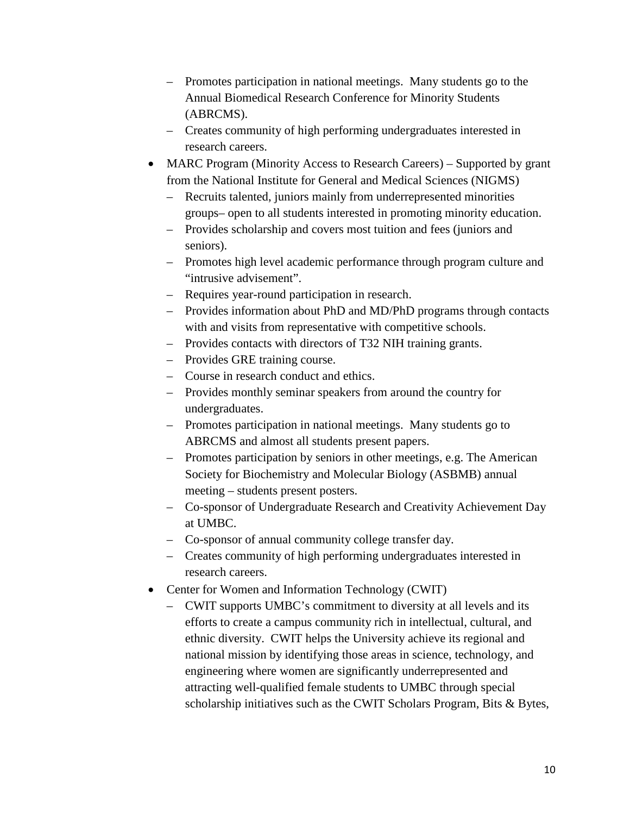- Promotes participation in national meetings. Many students go to the Annual Biomedical Research Conference for Minority Students (ABRCMS).
- Creates community of high performing undergraduates interested in research careers.
- MARC Program (Minority Access to Research Careers) Supported by grant from the National Institute for General and Medical Sciences (NIGMS)
	- Recruits talented, juniors mainly from underrepresented minorities groups– open to all students interested in promoting minority education.
	- Provides scholarship and covers most tuition and fees (juniors and seniors).
	- Promotes high level academic performance through program culture and "intrusive advisement".
	- Requires year-round participation in research.
	- Provides information about PhD and MD/PhD programs through contacts with and visits from representative with competitive schools.
	- Provides contacts with directors of T32 NIH training grants.
	- Provides GRE training course.
	- Course in research conduct and ethics.
	- Provides monthly seminar speakers from around the country for undergraduates.
	- Promotes participation in national meetings. Many students go to ABRCMS and almost all students present papers.
	- Promotes participation by seniors in other meetings, e.g. The American Society for Biochemistry and Molecular Biology (ASBMB) annual meeting – students present posters.
	- Co-sponsor of Undergraduate Research and Creativity Achievement Day at UMBC.
	- Co-sponsor of annual community college transfer day.
	- Creates community of high performing undergraduates interested in research careers.
- Center for Women and Information Technology (CWIT)
	- CWIT supports UMBC's commitment to diversity at all levels and its efforts to create a campus community rich in intellectual, cultural, and ethnic diversity. CWIT helps the University achieve its regional and national mission by identifying those areas in science, technology, and engineering where women are significantly underrepresented and attracting well-qualified female students to UMBC through special scholarship initiatives such as the CWIT Scholars Program, Bits & Bytes,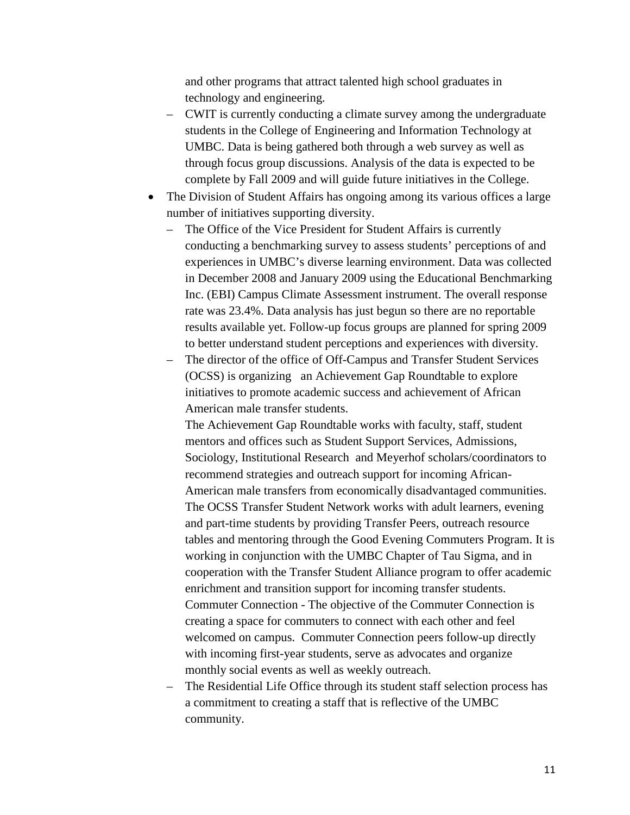and other programs that attract talented high school graduates in technology and engineering.

- CWIT is currently conducting a climate survey among the undergraduate students in the College of Engineering and Information Technology at UMBC. Data is being gathered both through a web survey as well as through focus group discussions. Analysis of the data is expected to be complete by Fall 2009 and will guide future initiatives in the College.
- The Division of Student Affairs has ongoing among its various offices a large number of initiatives supporting diversity.
	- The Office of the Vice President for Student Affairs is currently conducting a benchmarking survey to assess students' perceptions of and experiences in UMBC's diverse learning environment. Data was collected in December 2008 and January 2009 using the Educational Benchmarking Inc. (EBI) Campus Climate Assessment instrument. The overall response rate was 23.4%. Data analysis has just begun so there are no reportable results available yet. Follow-up focus groups are planned for spring 2009 to better understand student perceptions and experiences with diversity.
	- The director of the office of Off-Campus and Transfer Student Services (OCSS) is organizing an Achievement Gap Roundtable to explore initiatives to promote academic success and achievement of African American male transfer students.

The Achievement Gap Roundtable works with faculty, staff, student mentors and offices such as Student Support Services, Admissions, Sociology, Institutional Research and Meyerhof scholars/coordinators to recommend strategies and outreach support for incoming African-American male transfers from economically disadvantaged communities. The OCSS Transfer Student Network works with adult learners, evening and part-time students by providing Transfer Peers, outreach resource tables and mentoring through the Good Evening Commuters Program. It is working in conjunction with the UMBC Chapter of Tau Sigma, and in cooperation with the Transfer Student Alliance program to offer academic enrichment and transition support for incoming transfer students. Commuter Connection - The objective of the Commuter Connection is creating a space for commuters to connect with each other and feel welcomed on campus. Commuter Connection peers follow-up directly with incoming first-year students, serve as advocates and organize monthly social events as well as weekly outreach.

– The Residential Life Office through its student staff selection process has a commitment to creating a staff that is reflective of the UMBC community.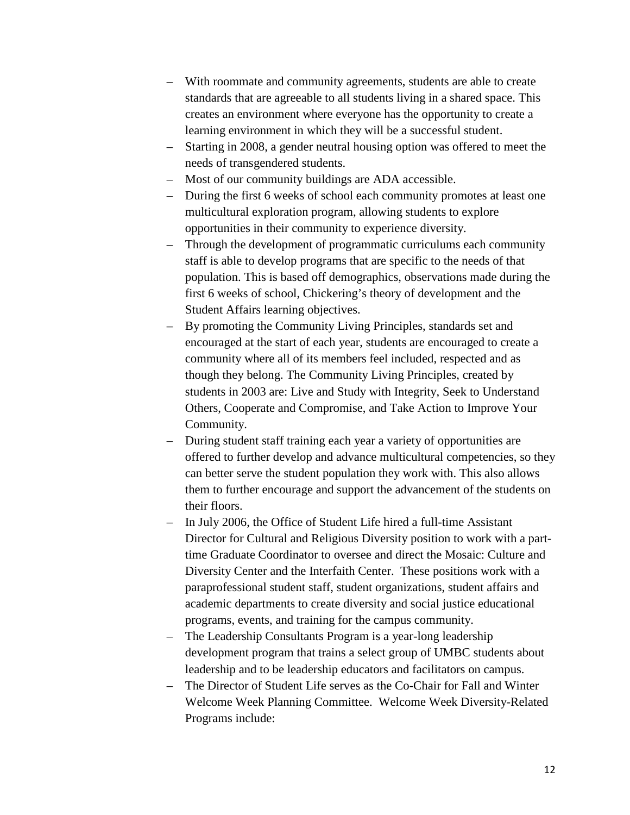- With roommate and community agreements, students are able to create standards that are agreeable to all students living in a shared space. This creates an environment where everyone has the opportunity to create a learning environment in which they will be a successful student.
- Starting in 2008, a gender neutral housing option was offered to meet the needs of transgendered students.
- Most of our community buildings are ADA accessible.
- During the first 6 weeks of school each community promotes at least one multicultural exploration program, allowing students to explore opportunities in their community to experience diversity.
- Through the development of programmatic curriculums each community staff is able to develop programs that are specific to the needs of that population. This is based off demographics, observations made during the first 6 weeks of school, Chickering's theory of development and the Student Affairs learning objectives.
- By promoting the Community Living Principles, standards set and encouraged at the start of each year, students are encouraged to create a community where all of its members feel included, respected and as though they belong. The Community Living Principles, created by students in 2003 are: Live and Study with Integrity, Seek to Understand Others, Cooperate and Compromise, and Take Action to Improve Your Community.
- During student staff training each year a variety of opportunities are offered to further develop and advance multicultural competencies, so they can better serve the student population they work with. This also allows them to further encourage and support the advancement of the students on their floors.
- In July 2006, the Office of Student Life hired a full-time Assistant Director for Cultural and Religious Diversity position to work with a parttime Graduate Coordinator to oversee and direct the Mosaic: Culture and Diversity Center and the Interfaith Center. These positions work with a paraprofessional student staff, student organizations, student affairs and academic departments to create diversity and social justice educational programs, events, and training for the campus community.
- The Leadership Consultants Program is a year-long leadership development program that trains a select group of UMBC students about leadership and to be leadership educators and facilitators on campus.
- The Director of Student Life serves as the Co-Chair for Fall and Winter Welcome Week Planning Committee. Welcome Week Diversity-Related Programs include: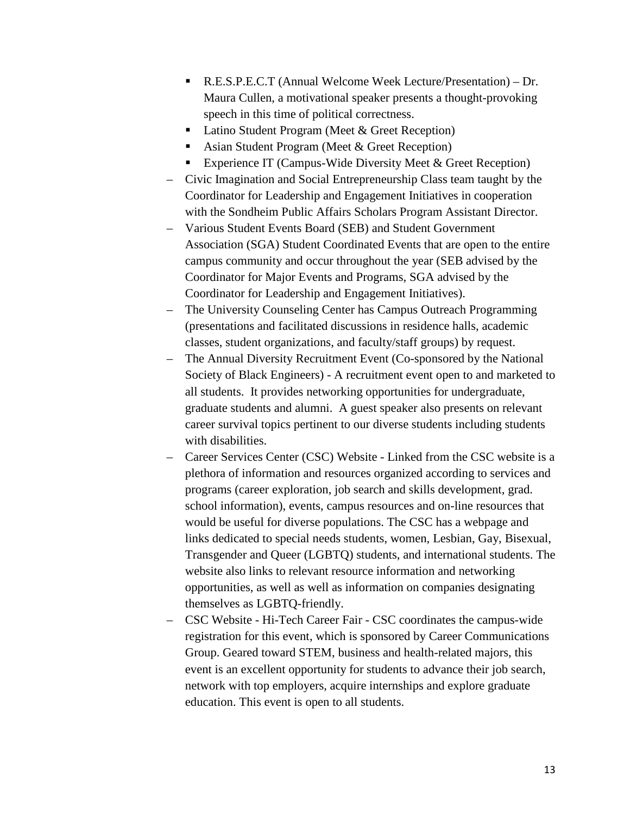- R.E.S.P.E.C.T (Annual Welcome Week Lecture/Presentation) Dr. Maura Cullen, a motivational speaker presents a thought-provoking speech in this time of political correctness.
- Latino Student Program (Meet & Greet Reception)
- Asian Student Program (Meet & Greet Reception)
- Experience IT (Campus-Wide Diversity Meet  $&$  Greet Reception)
- Civic Imagination and Social Entrepreneurship Class team taught by the Coordinator for Leadership and Engagement Initiatives in cooperation with the Sondheim Public Affairs Scholars Program Assistant Director.
- Various Student Events Board (SEB) and Student Government Association (SGA) Student Coordinated Events that are open to the entire campus community and occur throughout the year (SEB advised by the Coordinator for Major Events and Programs, SGA advised by the Coordinator for Leadership and Engagement Initiatives).
- The University Counseling Center has Campus Outreach Programming (presentations and facilitated discussions in residence halls, academic classes, student organizations, and faculty/staff groups) by request.
- The Annual Diversity Recruitment Event (Co-sponsored by the National Society of Black Engineers) - A recruitment event open to and marketed to all students. It provides networking opportunities for undergraduate, graduate students and alumni. A guest speaker also presents on relevant career survival topics pertinent to our diverse students including students with disabilities.
- Career Services Center (CSC) Website Linked from the CSC website is a plethora of information and resources organized according to services and programs (career exploration, job search and skills development, grad. school information), events, campus resources and on-line resources that would be useful for diverse populations. The CSC has a webpage and links dedicated to special needs students, women, Lesbian, Gay, Bisexual, Transgender and Queer (LGBTQ) students, and international students. The website also links to relevant resource information and networking opportunities, as well as well as information on companies designating themselves as LGBTQ-friendly.
- CSC Website Hi-Tech Career Fair CSC coordinates the campus-wide registration for this event, which is sponsored by Career Communications Group. Geared toward STEM, business and health-related majors, this event is an excellent opportunity for students to advance their job search, network with top employers, acquire internships and explore graduate education. This event is open to all students.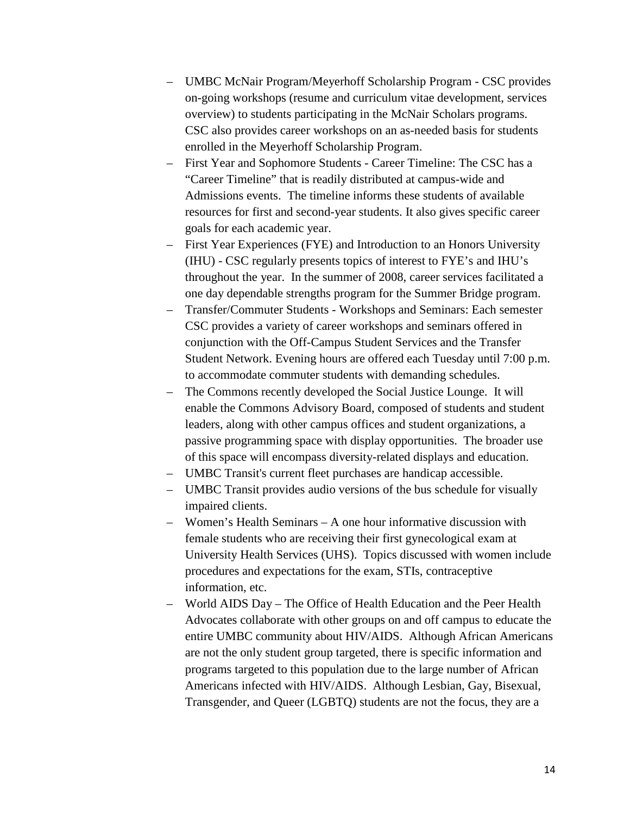- UMBC McNair Program/Meyerhoff Scholarship Program CSC provides on-going workshops (resume and curriculum vitae development, services overview) to students participating in the McNair Scholars programs. CSC also provides career workshops on an as-needed basis for students enrolled in the Meyerhoff Scholarship Program.
- First Year and Sophomore Students Career Timeline: The CSC has a "Career Timeline" that is readily distributed at campus-wide and Admissions events. The timeline informs these students of available resources for first and second-year students. It also gives specific career goals for each academic year.
- First Year Experiences (FYE) and Introduction to an Honors University (IHU) - CSC regularly presents topics of interest to FYE's and IHU's throughout the year. In the summer of 2008, career services facilitated a one day dependable strengths program for the Summer Bridge program.
- Transfer/Commuter Students Workshops and Seminars: Each semester CSC provides a variety of career workshops and seminars offered in conjunction with the Off-Campus Student Services and the Transfer Student Network. Evening hours are offered each Tuesday until 7:00 p.m. to accommodate commuter students with demanding schedules.
- The Commons recently developed the Social Justice Lounge. It will enable the Commons Advisory Board, composed of students and student leaders, along with other campus offices and student organizations, a passive programming space with display opportunities. The broader use of this space will encompass diversity-related displays and education.
- UMBC Transit's current fleet purchases are handicap accessible.
- UMBC Transit provides audio versions of the bus schedule for visually impaired clients.
- Women's Health Seminars A one hour informative discussion with female students who are receiving their first gynecological exam at University Health Services (UHS). Topics discussed with women include procedures and expectations for the exam, STIs, contraceptive information, etc.
- World AIDS Day The Office of Health Education and the Peer Health Advocates collaborate with other groups on and off campus to educate the entire UMBC community about HIV/AIDS. Although African Americans are not the only student group targeted, there is specific information and programs targeted to this population due to the large number of African Americans infected with HIV/AIDS. Although Lesbian, Gay, Bisexual, Transgender, and Queer (LGBTQ) students are not the focus, they are a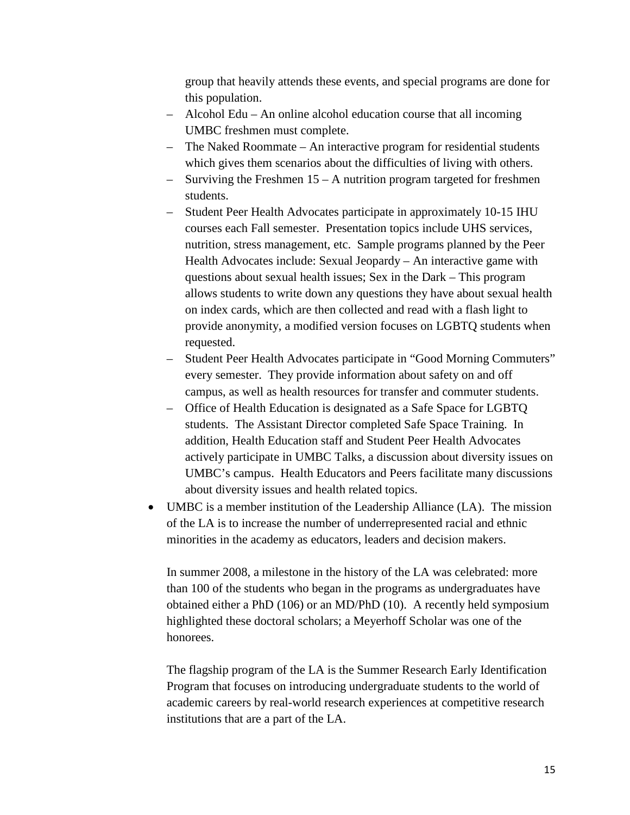group that heavily attends these events, and special programs are done for this population.

- Alcohol Edu An online alcohol education course that all incoming UMBC freshmen must complete.
- The Naked Roommate An interactive program for residential students which gives them scenarios about the difficulties of living with others.
- Surviving the Freshmen 15 A nutrition program targeted for freshmen students.
- Student Peer Health Advocates participate in approximately 10-15 IHU courses each Fall semester. Presentation topics include UHS services, nutrition, stress management, etc. Sample programs planned by the Peer Health Advocates include: Sexual Jeopardy – An interactive game with questions about sexual health issues; Sex in the Dark – This program allows students to write down any questions they have about sexual health on index cards, which are then collected and read with a flash light to provide anonymity, a modified version focuses on LGBTQ students when requested.
- Student Peer Health Advocates participate in "Good Morning Commuters" every semester. They provide information about safety on and off campus, as well as health resources for transfer and commuter students.
- Office of Health Education is designated as a Safe Space for LGBTQ students. The Assistant Director completed Safe Space Training. In addition, Health Education staff and Student Peer Health Advocates actively participate in UMBC Talks, a discussion about diversity issues on UMBC's campus. Health Educators and Peers facilitate many discussions about diversity issues and health related topics.
- UMBC is a member institution of the Leadership Alliance (LA). The mission of the LA is to increase the number of underrepresented racial and ethnic minorities in the academy as educators, leaders and decision makers.

In summer 2008, a milestone in the history of the LA was celebrated: more than 100 of the students who began in the programs as undergraduates have obtained either a PhD (106) or an MD/PhD (10). A recently held symposium highlighted these doctoral scholars; a Meyerhoff Scholar was one of the honorees.

The flagship program of the LA is the Summer Research Early Identification Program that focuses on introducing undergraduate students to the world of academic careers by real-world research experiences at competitive research institutions that are a part of the LA.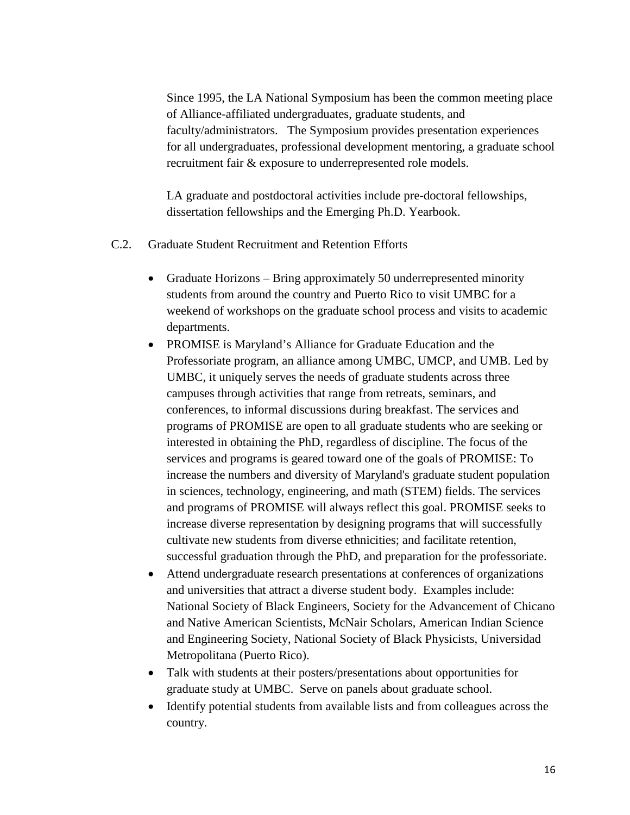Since 1995, the LA National Symposium has been the common meeting place of Alliance-affiliated undergraduates, graduate students, and faculty/administrators. The Symposium provides presentation experiences for all undergraduates, professional development mentoring, a graduate school recruitment fair & exposure to underrepresented role models.

LA graduate and postdoctoral activities include pre-doctoral fellowships, dissertation fellowships and the Emerging Ph.D. Yearbook.

- C.2. Graduate Student Recruitment and Retention Efforts
	- Graduate Horizons Bring approximately 50 underrepresented minority students from around the country and Puerto Rico to visit UMBC for a weekend of workshops on the graduate school process and visits to academic departments.
	- PROMISE is Maryland's Alliance for Graduate Education and the Professoriate program, an alliance among UMBC, UMCP, and UMB. Led by UMBC, it uniquely serves the needs of graduate students across three campuses through activities that range from retreats, seminars, and conferences, to informal discussions during breakfast. The services and programs of PROMISE are open to all graduate students who are seeking or interested in obtaining the PhD, regardless of discipline. The focus of the services and programs is geared toward one of the goals of PROMISE: To increase the numbers and diversity of Maryland's graduate student population in sciences, technology, engineering, and math (STEM) fields. The services and programs of PROMISE will always reflect this goal. PROMISE seeks to increase diverse representation by designing programs that will successfully cultivate new students from diverse ethnicities; and facilitate retention, successful graduation through the PhD, and preparation for the professoriate.
	- Attend undergraduate research presentations at conferences of organizations and universities that attract a diverse student body. Examples include: National Society of Black Engineers, Society for the Advancement of Chicano and Native American Scientists, McNair Scholars, American Indian Science and Engineering Society, National Society of Black Physicists, Universidad Metropolitana (Puerto Rico).
	- Talk with students at their posters/presentations about opportunities for graduate study at UMBC. Serve on panels about graduate school.
	- Identify potential students from available lists and from colleagues across the country.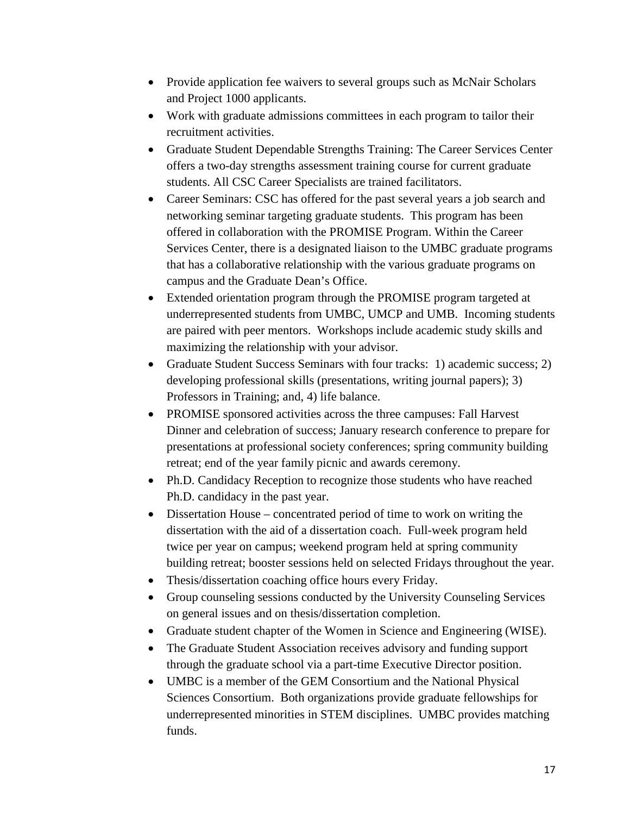- Provide application fee waivers to several groups such as McNair Scholars and Project 1000 applicants.
- Work with graduate admissions committees in each program to tailor their recruitment activities.
- Graduate Student Dependable Strengths Training: The Career Services Center offers a two-day strengths assessment training course for current graduate students. All CSC Career Specialists are trained facilitators.
- Career Seminars: CSC has offered for the past several years a job search and networking seminar targeting graduate students. This program has been offered in collaboration with the PROMISE Program. Within the Career Services Center, there is a designated liaison to the UMBC graduate programs that has a collaborative relationship with the various graduate programs on campus and the Graduate Dean's Office.
- Extended orientation program through the PROMISE program targeted at underrepresented students from UMBC, UMCP and UMB. Incoming students are paired with peer mentors. Workshops include academic study skills and maximizing the relationship with your advisor.
- Graduate Student Success Seminars with four tracks: 1) academic success; 2) developing professional skills (presentations, writing journal papers); 3) Professors in Training; and, 4) life balance.
- PROMISE sponsored activities across the three campuses: Fall Harvest Dinner and celebration of success; January research conference to prepare for presentations at professional society conferences; spring community building retreat; end of the year family picnic and awards ceremony.
- Ph.D. Candidacy Reception to recognize those students who have reached Ph.D. candidacy in the past year.
- Dissertation House concentrated period of time to work on writing the dissertation with the aid of a dissertation coach. Full-week program held twice per year on campus; weekend program held at spring community building retreat; booster sessions held on selected Fridays throughout the year.
- Thesis/dissertation coaching office hours every Friday.
- Group counseling sessions conducted by the University Counseling Services on general issues and on thesis/dissertation completion.
- Graduate student chapter of the Women in Science and Engineering (WISE).
- The Graduate Student Association receives advisory and funding support through the graduate school via a part-time Executive Director position.
- UMBC is a member of the GEM Consortium and the National Physical Sciences Consortium. Both organizations provide graduate fellowships for underrepresented minorities in STEM disciplines. UMBC provides matching funds.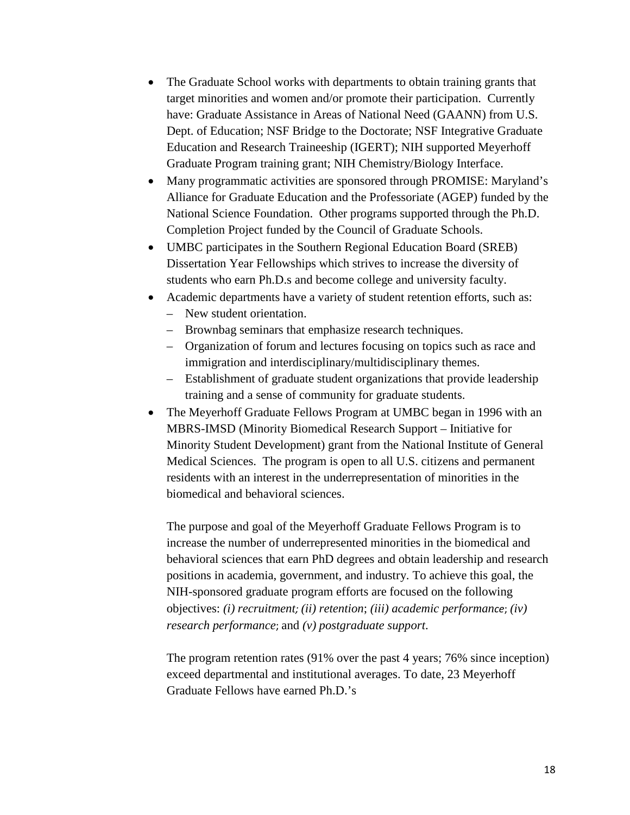- The Graduate School works with departments to obtain training grants that target minorities and women and/or promote their participation. Currently have: Graduate Assistance in Areas of National Need (GAANN) from U.S. Dept. of Education; NSF Bridge to the Doctorate; NSF Integrative Graduate Education and Research Traineeship (IGERT); NIH supported Meyerhoff Graduate Program training grant; NIH Chemistry/Biology Interface.
- Many programmatic activities are sponsored through PROMISE: Maryland's Alliance for Graduate Education and the Professoriate (AGEP) funded by the National Science Foundation. Other programs supported through the Ph.D. Completion Project funded by the Council of Graduate Schools.
- UMBC participates in the Southern Regional Education Board (SREB) Dissertation Year Fellowships which strives to increase the diversity of students who earn Ph.D.s and become college and university faculty.
- Academic departments have a variety of student retention efforts, such as:
	- New student orientation.
	- Brownbag seminars that emphasize research techniques.
	- Organization of forum and lectures focusing on topics such as race and immigration and interdisciplinary/multidisciplinary themes.
	- Establishment of graduate student organizations that provide leadership training and a sense of community for graduate students.
- The Meyerhoff Graduate Fellows Program at UMBC began in 1996 with an MBRS-IMSD (Minority Biomedical Research Support – Initiative for Minority Student Development) grant from the National Institute of General Medical Sciences. The program is open to all U.S. citizens and permanent residents with an interest in the underrepresentation of minorities in the biomedical and behavioral sciences.

The purpose and goal of the Meyerhoff Graduate Fellows Program is to increase the number of underrepresented minorities in the biomedical and behavioral sciences that earn PhD degrees and obtain leadership and research positions in academia, government, and industry. To achieve this goal, the NIH-sponsored graduate program efforts are focused on the following objectives: *(i) recruitment; (ii) retention*; *(iii) academic performance*; *(iv) research performance*; and *(v) postgraduate support*.

The program retention rates (91% over the past 4 years; 76% since inception) exceed departmental and institutional averages. To date, 23 Meyerhoff Graduate Fellows have earned Ph.D.'s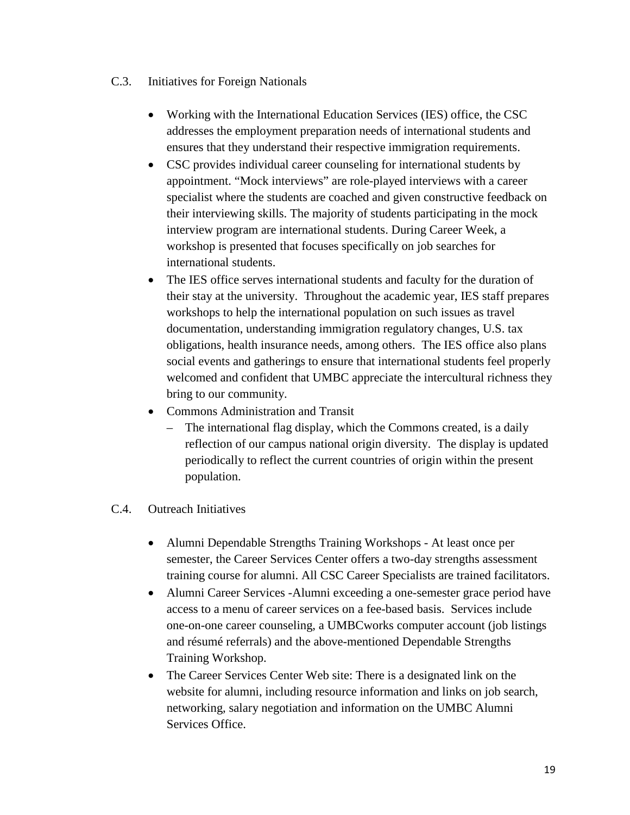- C.3. Initiatives for Foreign Nationals
	- Working with the International Education Services (IES) office, the CSC addresses the employment preparation needs of international students and ensures that they understand their respective immigration requirements.
	- CSC provides individual career counseling for international students by appointment. "Mock interviews" are role-played interviews with a career specialist where the students are coached and given constructive feedback on their interviewing skills. The majority of students participating in the mock interview program are international students. During Career Week, a workshop is presented that focuses specifically on job searches for international students.
	- The IES office serves international students and faculty for the duration of their stay at the university. Throughout the academic year, IES staff prepares workshops to help the international population on such issues as travel documentation, understanding immigration regulatory changes, U.S. tax obligations, health insurance needs, among others. The IES office also plans social events and gatherings to ensure that international students feel properly welcomed and confident that UMBC appreciate the intercultural richness they bring to our community.
	- Commons Administration and Transit
		- The international flag display, which the Commons created, is a daily reflection of our campus national origin diversity. The display is updated periodically to reflect the current countries of origin within the present population.

## C.4. Outreach Initiatives

- Alumni Dependable Strengths Training Workshops At least once per semester, the Career Services Center offers a two-day strengths assessment training course for alumni. All CSC Career Specialists are trained facilitators.
- Alumni Career Services -Alumni exceeding a one-semester grace period have access to a menu of career services on a fee-based basis. Services include one-on-one career counseling, a UMBCworks computer account (job listings and résumé referrals) and the above-mentioned Dependable Strengths Training Workshop.
- The Career Services Center Web site: There is a designated link on the website for alumni, including resource information and links on job search, networking, salary negotiation and information on the UMBC Alumni Services Office.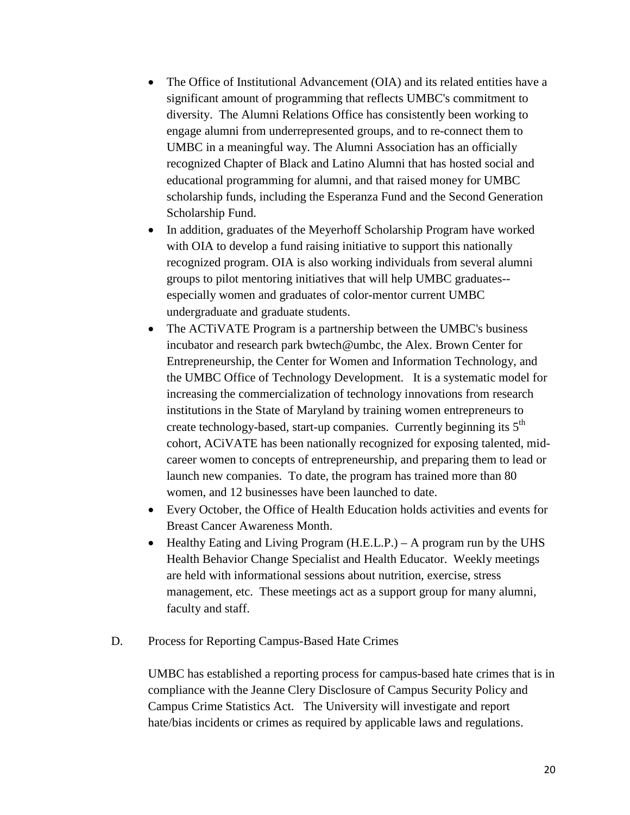- The Office of Institutional Advancement (OIA) and its related entities have a significant amount of programming that reflects UMBC's commitment to diversity. The Alumni Relations Office has consistently been working to engage alumni from underrepresented groups, and to re-connect them to UMBC in a meaningful way. The Alumni Association has an officially recognized Chapter of Black and Latino Alumni that has hosted social and educational programming for alumni, and that raised money for UMBC scholarship funds, including the Esperanza Fund and the Second Generation Scholarship Fund.
- In addition, graduates of the Meyerhoff Scholarship Program have worked with OIA to develop a fund raising initiative to support this nationally recognized program. OIA is also working individuals from several alumni groups to pilot mentoring initiatives that will help UMBC graduates- especially women and graduates of color-mentor current UMBC undergraduate and graduate students.
- The ACTiVATE Program is a partnership between the UMBC's business incubator and research park bwtech@umbc, the Alex. Brown Center for Entrepreneurship, the Center for Women and Information Technology, and the UMBC Office of Technology Development. It is a systematic model for increasing the commercialization of technology innovations from research institutions in the State of Maryland by training women entrepreneurs to create technology-based, start-up companies. Currently beginning its 5<sup>th</sup> cohort, ACiVATE has been nationally recognized for exposing talented, midcareer women to concepts of entrepreneurship, and preparing them to lead or launch new companies. To date, the program has trained more than 80 women, and 12 businesses have been launched to date.
- Every October, the Office of Health Education holds activities and events for Breast Cancer Awareness Month.
- Healthy Eating and Living Program (H.E.L.P.) A program run by the UHS Health Behavior Change Specialist and Health Educator. Weekly meetings are held with informational sessions about nutrition, exercise, stress management, etc. These meetings act as a support group for many alumni, faculty and staff.
- D. Process for Reporting Campus-Based Hate Crimes

UMBC has established a reporting process for campus-based hate crimes that is in compliance with the Jeanne Clery Disclosure of Campus Security Policy and Campus Crime Statistics Act. The University will investigate and report hate/bias incidents or crimes as required by applicable laws and regulations.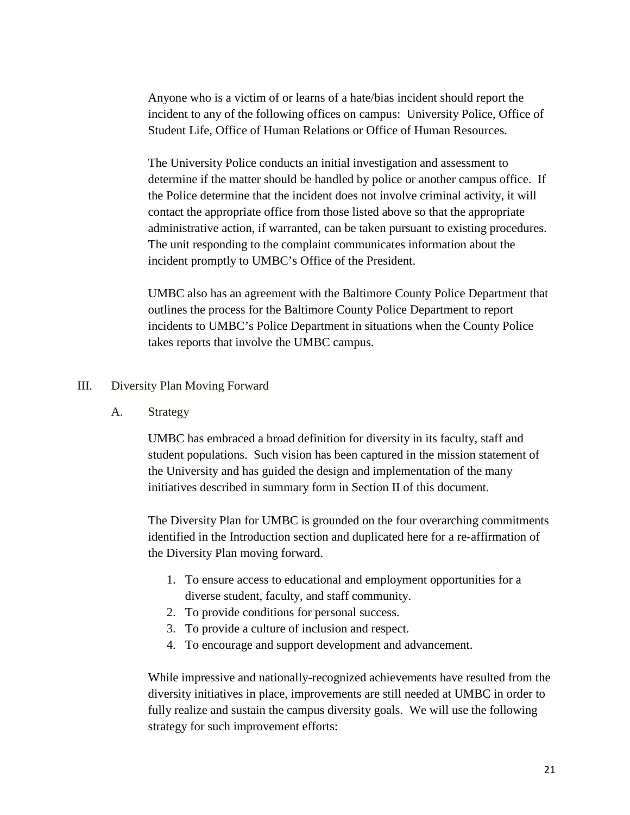Anyone who is a victim of or learns of a hate/bias incident should report the incident to any of the following offices on campus: University Police, Office of Student Life, Office of Human Relations or Office of Human Resources.

The University Police conducts an initial investigation and assessment to determine if the matter should be handled by police or another campus office. If the Police determine that the incident does not involve criminal activity, it will contact the appropriate office from those listed above so that the appropriate administrative action, if warranted, can be taken pursuant to existing procedures. The unit responding to the complaint communicates information about the incident promptly to UMBC's Office of the President.

UMBC also has an agreement with the Baltimore County Police Department that outlines the process for the Baltimore County Police Department to report incidents to UMBC's Police Department in situations when the County Police takes reports that involve the UMBC campus.

## III. Diversity Plan Moving Forward

A. Strategy

UMBC has embraced a broad definition for diversity in its faculty, staff and student populations. Such vision has been captured in the mission statement of the University and has guided the design and implementation of the many initiatives described in summary form in Section II of this document.

The Diversity Plan for UMBC is grounded on the four overarching commitments identified in the Introduction section and duplicated here for a re-affirmation of the Diversity Plan moving forward.

- 1. To ensure access to educational and employment opportunities for a diverse student, faculty, and staff community.
- 2. To provide conditions for personal success.
- 3. To provide a culture of inclusion and respect.
- 4. To encourage and support development and advancement.

While impressive and nationally-recognized achievements have resulted from the diversity initiatives in place, improvements are still needed at UMBC in order to fully realize and sustain the campus diversity goals. We will use the following strategy for such improvement efforts: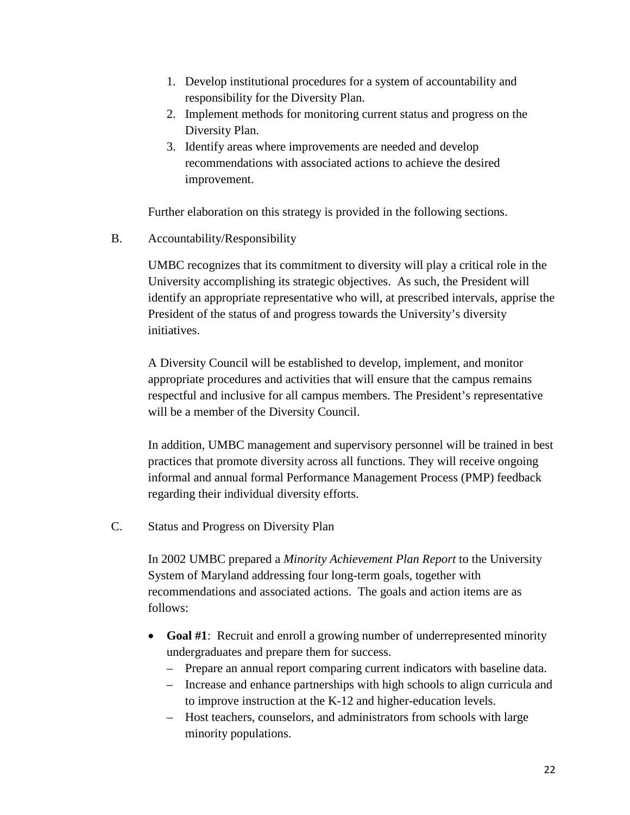- 1. Develop institutional procedures for a system of accountability and responsibility for the Diversity Plan.
- 2. Implement methods for monitoring current status and progress on the Diversity Plan.
- 3. Identify areas where improvements are needed and develop recommendations with associated actions to achieve the desired improvement.

Further elaboration on this strategy is provided in the following sections.

B. Accountability/Responsibility

UMBC recognizes that its commitment to diversity will play a critical role in the University accomplishing its strategic objectives. As such, the President will identify an appropriate representative who will, at prescribed intervals, apprise the President of the status of and progress towards the University's diversity initiatives.

A Diversity Council will be established to develop, implement, and monitor appropriate procedures and activities that will ensure that the campus remains respectful and inclusive for all campus members. The President's representative will be a member of the Diversity Council.

In addition, UMBC management and supervisory personnel will be trained in best practices that promote diversity across all functions. They will receive ongoing informal and annual formal Performance Management Process (PMP) feedback regarding their individual diversity efforts.

C. Status and Progress on Diversity Plan

In 2002 UMBC prepared a *Minority Achievement Plan Report* to the University System of Maryland addressing four long-term goals, together with recommendations and associated actions. The goals and action items are as follows:

- **Goal #1**: Recruit and enroll a growing number of underrepresented minority undergraduates and prepare them for success.
	- Prepare an annual report comparing current indicators with baseline data.
	- Increase and enhance partnerships with high schools to align curricula and to improve instruction at the K-12 and higher-education levels.
	- Host teachers, counselors, and administrators from schools with large minority populations.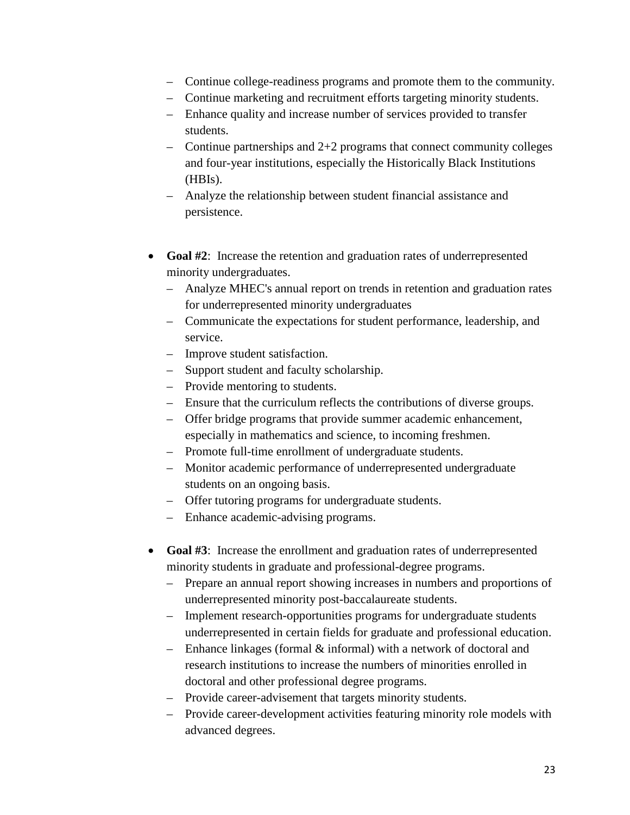- Continue college-readiness programs and promote them to the community.
- Continue marketing and recruitment efforts targeting minority students.
- Enhance quality and increase number of services provided to transfer students.
- $\sim$  Continue partnerships and 2+2 programs that connect community colleges and four-year institutions, especially the Historically Black Institutions (HBIs).
- Analyze the relationship between student financial assistance and persistence.
- **Goal #2:** Increase the retention and graduation rates of underrepresented minority undergraduates.
	- Analyze MHEC's annual report on trends in retention and graduation rates for underrepresented minority undergraduates
	- Communicate the expectations for student performance, leadership, and service.
	- Improve student satisfaction.
	- Support student and faculty scholarship.
	- Provide mentoring to students.
	- Ensure that the curriculum reflects the contributions of diverse groups.
	- Offer bridge programs that provide summer academic enhancement, especially in mathematics and science, to incoming freshmen.
	- Promote full-time enrollment of undergraduate students.
	- Monitor academic performance of underrepresented undergraduate students on an ongoing basis.
	- Offer tutoring programs for undergraduate students.
	- Enhance academic-advising programs.
- **Goal #3**: Increase the enrollment and graduation rates of underrepresented minority students in graduate and professional-degree programs.
	- Prepare an annual report showing increases in numbers and proportions of underrepresented minority post-baccalaureate students.
	- Implement research-opportunities programs for undergraduate students underrepresented in certain fields for graduate and professional education.
	- Enhance linkages (formal & informal) with a network of doctoral and research institutions to increase the numbers of minorities enrolled in doctoral and other professional degree programs.
	- Provide career-advisement that targets minority students.
	- Provide career-development activities featuring minority role models with advanced degrees.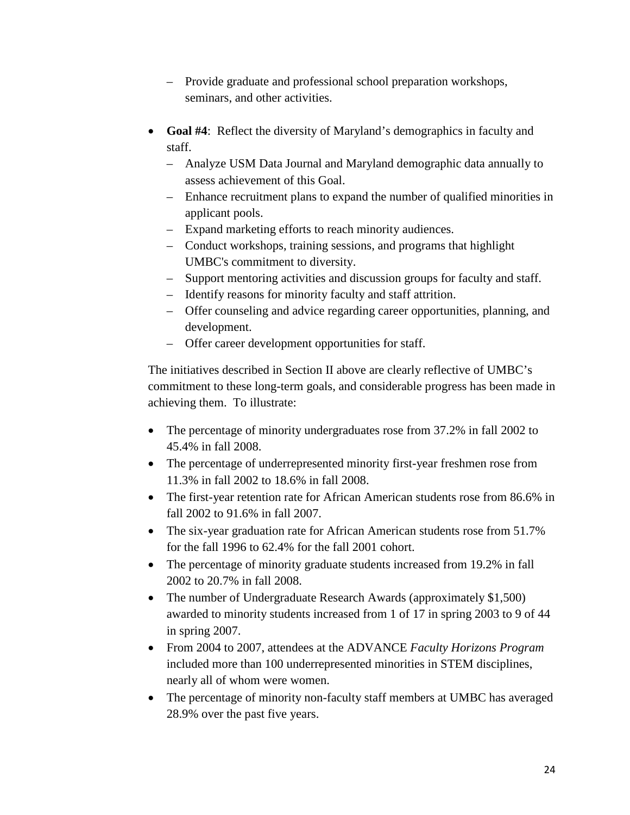- Provide graduate and professional school preparation workshops, seminars, and other activities.
- **Goal #4**: Reflect the diversity of Maryland's demographics in faculty and staff.
	- Analyze USM Data Journal and Maryland demographic data annually to assess achievement of this Goal.
	- Enhance recruitment plans to expand the number of qualified minorities in applicant pools.
	- Expand marketing efforts to reach minority audiences.
	- Conduct workshops, training sessions, and programs that highlight UMBC's commitment to diversity.
	- Support mentoring activities and discussion groups for faculty and staff.
	- Identify reasons for minority faculty and staff attrition.
	- Offer counseling and advice regarding career opportunities, planning, and development.
	- Offer career development opportunities for staff.

The initiatives described in Section II above are clearly reflective of UMBC's commitment to these long-term goals, and considerable progress has been made in achieving them. To illustrate:

- The percentage of minority undergraduates rose from 37.2% in fall 2002 to 45.4% in fall 2008.
- The percentage of underrepresented minority first-year freshmen rose from 11.3% in fall 2002 to 18.6% in fall 2008.
- The first-year retention rate for African American students rose from 86.6% in fall 2002 to 91.6% in fall 2007.
- The six-year graduation rate for African American students rose from 51.7% for the fall 1996 to 62.4% for the fall 2001 cohort.
- The percentage of minority graduate students increased from 19.2% in fall 2002 to 20.7% in fall 2008.
- The number of Undergraduate Research Awards (approximately \$1,500) awarded to minority students increased from 1 of 17 in spring 2003 to 9 of 44 in spring 2007.
- From 2004 to 2007, attendees at the ADVANCE *Faculty Horizons Program* included more than 100 underrepresented minorities in STEM disciplines, nearly all of whom were women.
- The percentage of minority non-faculty staff members at UMBC has averaged 28.9% over the past five years.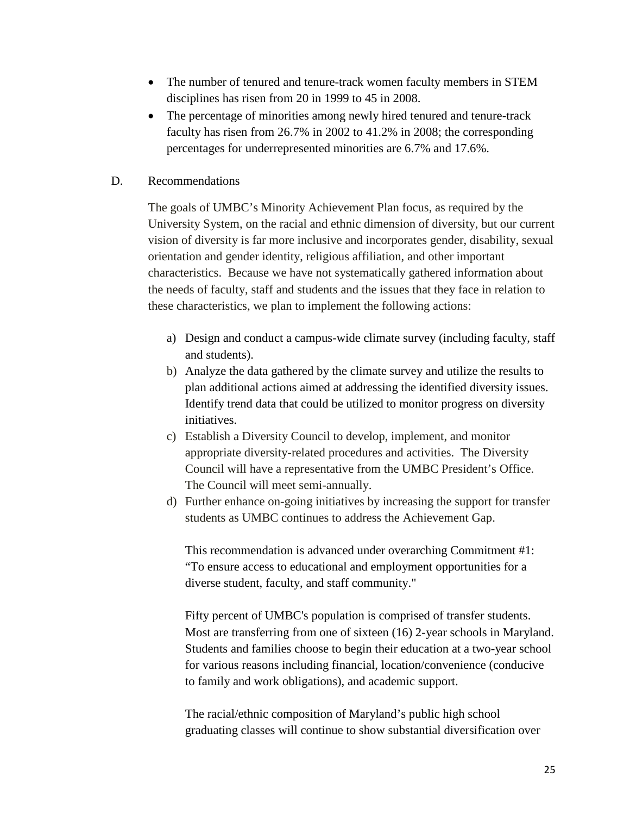- The number of tenured and tenure-track women faculty members in STEM disciplines has risen from 20 in 1999 to 45 in 2008.
- The percentage of minorities among newly hired tenured and tenure-track faculty has risen from 26.7% in 2002 to 41.2% in 2008; the corresponding percentages for underrepresented minorities are 6.7% and 17.6%.
- D. Recommendations

The goals of UMBC's Minority Achievement Plan focus, as required by the University System, on the racial and ethnic dimension of diversity, but our current vision of diversity is far more inclusive and incorporates gender, disability, sexual orientation and gender identity, religious affiliation, and other important characteristics. Because we have not systematically gathered information about the needs of faculty, staff and students and the issues that they face in relation to these characteristics, we plan to implement the following actions:

- a) Design and conduct a campus-wide climate survey (including faculty, staff and students).
- b) Analyze the data gathered by the climate survey and utilize the results to plan additional actions aimed at addressing the identified diversity issues. Identify trend data that could be utilized to monitor progress on diversity initiatives.
- c) Establish a Diversity Council to develop, implement, and monitor appropriate diversity-related procedures and activities. The Diversity Council will have a representative from the UMBC President's Office. The Council will meet semi-annually.
- d) Further enhance on-going initiatives by increasing the support for transfer students as UMBC continues to address the Achievement Gap.

This recommendation is advanced under overarching Commitment #1: "To ensure access to educational and employment opportunities for a diverse student, faculty, and staff community."

Fifty percent of UMBC's population is comprised of transfer students. Most are transferring from one of sixteen (16) 2-year schools in Maryland. Students and families choose to begin their education at a two-year school for various reasons including financial, location/convenience (conducive to family and work obligations), and academic support.

The racial/ethnic composition of Maryland's public high school graduating classes will continue to show substantial diversification over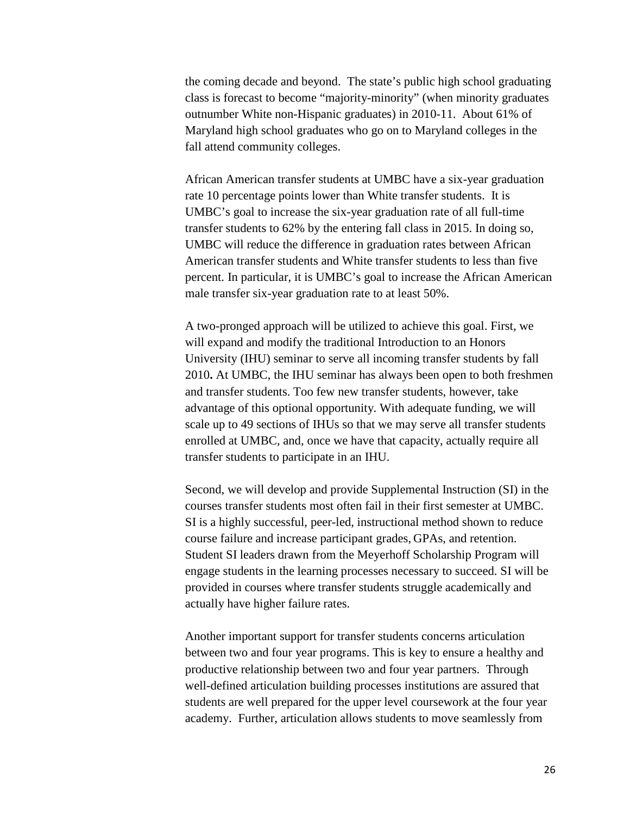the coming decade and beyond. The state's public high school graduating class is forecast to become "majority-minority" (when minority graduates outnumber White non-Hispanic graduates) in 2010-11. About 61% of Maryland high school graduates who go on to Maryland colleges in the fall attend community colleges.

African American transfer students at UMBC have a six-year graduation rate 10 percentage points lower than White transfer students. It is UMBC's goal to increase the six-year graduation rate of all full-time transfer students to 62% by the entering fall class in 2015. In doing so, UMBC will reduce the difference in graduation rates between African American transfer students and White transfer students to less than five percent. In particular, it is UMBC's goal to increase the African American male transfer six-year graduation rate to at least 50%.

A two-pronged approach will be utilized to achieve this goal. First, we will expand and modify the traditional Introduction to an Honors University (IHU) seminar to serve all incoming transfer students by fall 2010**.** At UMBC, the IHU seminar has always been open to both freshmen and transfer students. Too few new transfer students, however, take advantage of this optional opportunity. With adequate funding, we will scale up to 49 sections of IHUs so that we may serve all transfer students enrolled at UMBC, and, once we have that capacity, actually require all transfer students to participate in an IHU.

Second, we will develop and provide Supplemental Instruction (SI) in the courses transfer students most often fail in their first semester at UMBC. SI is a highly successful, peer-led, instructional method shown to reduce course failure and increase participant grades, GPAs, and retention. Student SI leaders drawn from the Meyerhoff Scholarship Program will engage students in the learning processes necessary to succeed. SI will be provided in courses where transfer students struggle academically and actually have higher failure rates.

Another important support for transfer students concerns articulation between two and four year programs. This is key to ensure a healthy and productive relationship between two and four year partners. Through well-defined articulation building processes institutions are assured that students are well prepared for the upper level coursework at the four year academy. Further, articulation allows students to move seamlessly from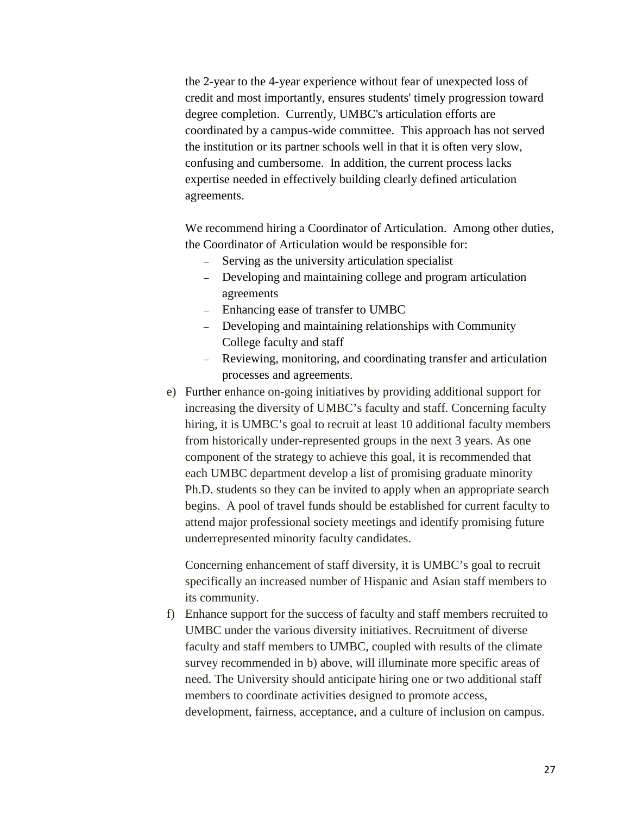the 2-year to the 4-year experience without fear of unexpected loss of credit and most importantly, ensures students' timely progression toward degree completion. Currently, UMBC's articulation efforts are coordinated by a campus-wide committee. This approach has not served the institution or its partner schools well in that it is often very slow, confusing and cumbersome. In addition, the current process lacks expertise needed in effectively building clearly defined articulation agreements.

We recommend hiring a Coordinator of Articulation. Among other duties, the Coordinator of Articulation would be responsible for:

- Serving as the university articulation specialist
- Developing and maintaining college and program articulation agreements
- Enhancing ease of transfer to UMBC
- Developing and maintaining relationships with Community College faculty and staff
- Reviewing, monitoring, and coordinating transfer and articulation processes and agreements.
- e) Further enhance on-going initiatives by providing additional support for increasing the diversity of UMBC's faculty and staff. Concerning faculty hiring, it is UMBC's goal to recruit at least 10 additional faculty members from historically under-represented groups in the next 3 years. As one component of the strategy to achieve this goal, it is recommended that each UMBC department develop a list of promising graduate minority Ph.D. students so they can be invited to apply when an appropriate search begins. A pool of travel funds should be established for current faculty to attend major professional society meetings and identify promising future underrepresented minority faculty candidates.

Concerning enhancement of staff diversity, it is UMBC's goal to recruit specifically an increased number of Hispanic and Asian staff members to its community.

f) Enhance support for the success of faculty and staff members recruited to UMBC under the various diversity initiatives. Recruitment of diverse faculty and staff members to UMBC, coupled with results of the climate survey recommended in b) above, will illuminate more specific areas of need. The University should anticipate hiring one or two additional staff members to coordinate activities designed to promote access, development, fairness, acceptance, and a culture of inclusion on campus.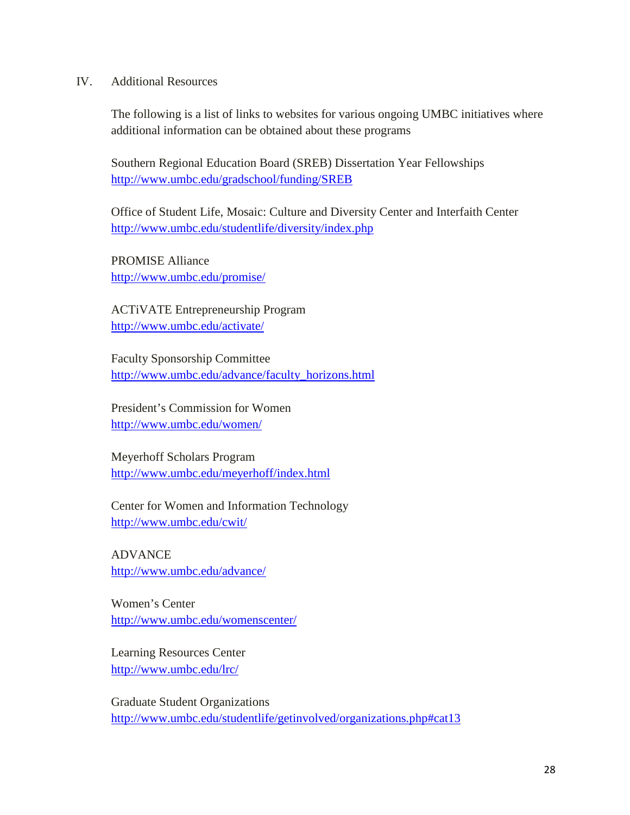### IV. Additional Resources

The following is a list of links to websites for various ongoing UMBC initiatives where additional information can be obtained about these programs

Southern Regional Education Board (SREB) Dissertation Year Fellowships <http://www.umbc.edu/gradschool/funding/SREB>

Office of Student Life, Mosaic: Culture and Diversity Center and Interfaith Center <http://www.umbc.edu/studentlife/diversity/index.php>

PROMISE Alliance <http://www.umbc.edu/promise/>

ACTiVATE Entrepreneurship Program <http://www.umbc.edu/activate/>

Faculty Sponsorship Committee [http://www.umbc.edu/advance/faculty\\_horizons.html](http://www.umbc.edu/advance/faculty_horizons.html)

President's Commission for Women <http://www.umbc.edu/women/>

Meyerhoff Scholars Program <http://www.umbc.edu/meyerhoff/index.html>

Center for Women and Information Technology <http://www.umbc.edu/cwit/>

ADVANCE <http://www.umbc.edu/advance/>

Women's Center <http://www.umbc.edu/womenscenter/>

Learning Resources Center <http://www.umbc.edu/lrc/>

Graduate Student Organizations <http://www.umbc.edu/studentlife/getinvolved/organizations.php#cat13>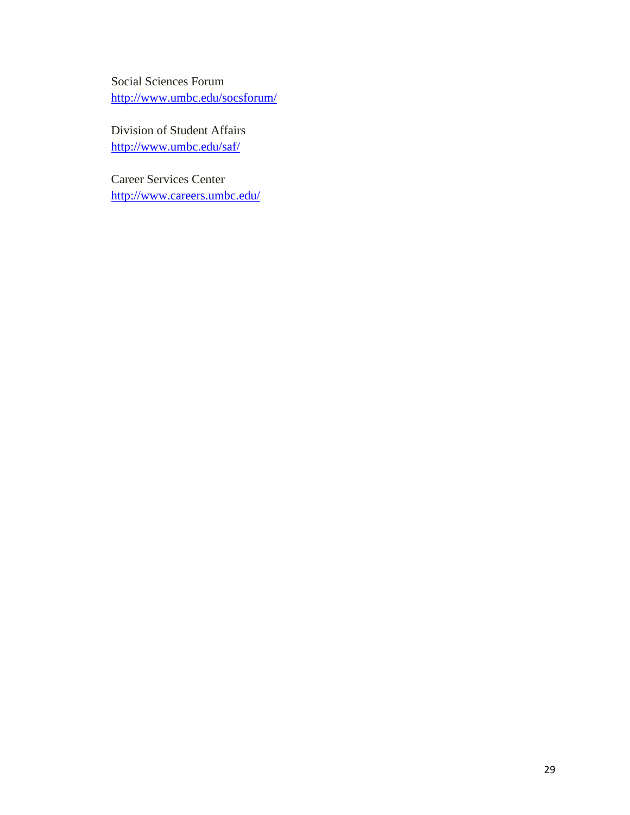Social Sciences Forum <http://www.umbc.edu/socsforum/>

Division of Student Affairs <http://www.umbc.edu/saf/>

Career Services Center <http://www.careers.umbc.edu/>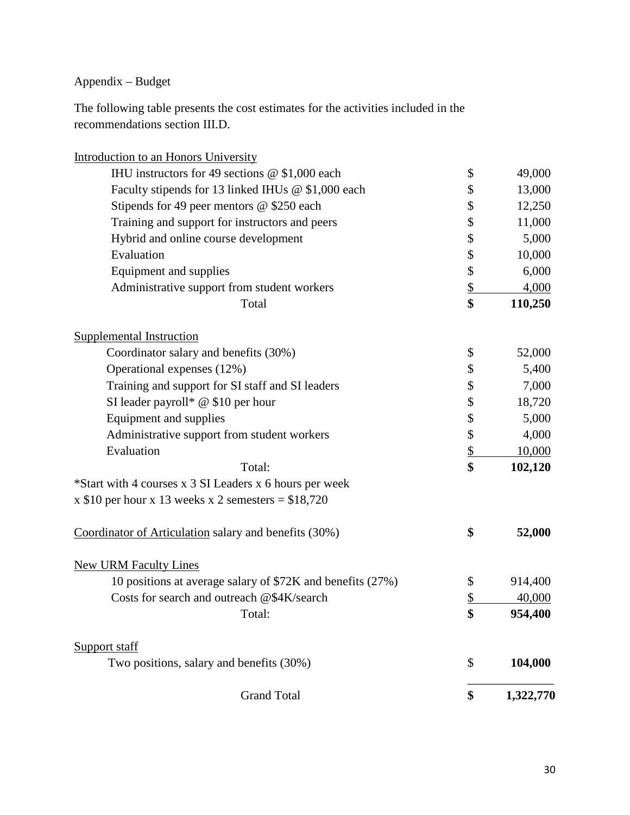Appendix – Budget

The following table presents the cost estimates for the activities included in the recommendations section III.D.

| <b>Grand Total</b>                                                       | \$                       | 1,322,770 |
|--------------------------------------------------------------------------|--------------------------|-----------|
| Support staff<br>Two positions, salary and benefits (30%)                | \$                       | 104,000   |
| Total:                                                                   |                          | 954,400   |
| Costs for search and outreach @\$4K/search                               | \$<br>\$                 | 40,000    |
| 10 positions at average salary of \$72K and benefits (27%)               |                          | 914,400   |
| <b>New URM Faculty Lines</b>                                             | \$                       |           |
| Coordinator of Articulation salary and benefits (30%)                    | \$                       | 52,000    |
| x \$10 per hour x 13 weeks x 2 semesters = $$18,720$                     |                          |           |
| *Start with 4 courses x 3 SI Leaders x 6 hours per week                  |                          |           |
| Total:                                                                   | \$                       | 102,120   |
| Evaluation                                                               | $\overline{\mathcal{L}}$ | 10,000    |
| Administrative support from student workers                              | \$                       | 4,000     |
| Equipment and supplies                                                   | \$                       | 5,000     |
| SI leader payroll* $@$ \$10 per hour                                     | \$                       | 18,720    |
| Training and support for SI staff and SI leaders                         | \$                       | 7,000     |
| Operational expenses (12%)                                               | \$                       | 5,400     |
| <b>Supplemental Instruction</b><br>Coordinator salary and benefits (30%) | \$                       | 52,000    |
| Total                                                                    | \$                       | 110,250   |
| Administrative support from student workers                              | \$                       | 4,000     |
| Equipment and supplies                                                   | \$                       | 6,000     |
| Evaluation                                                               | \$                       | 10,000    |
| Hybrid and online course development                                     | \$                       | 5,000     |
| Training and support for instructors and peers                           | \$                       | 11,000    |
| Stipends for 49 peer mentors @ \$250 each                                | \$                       | 12,250    |
| Faculty stipends for 13 linked IHUs @ \$1,000 each                       | \$                       | 13,000    |
| IHU instructors for 49 sections $@$ \$1,000 each                         | \$                       | 49,000    |
| Introduction to an Honors University                                     |                          |           |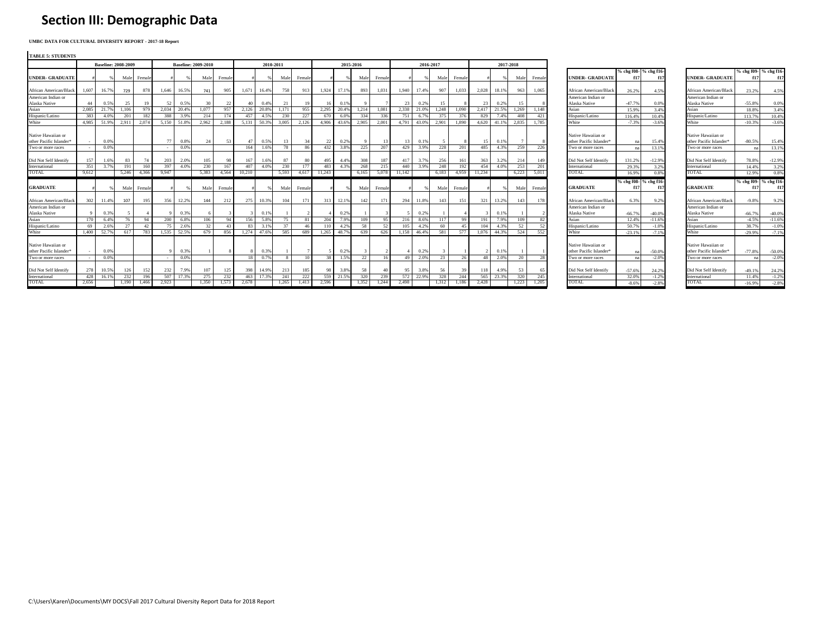## **Section III: Demographic Data**

**UMBC DATA FOR CULTURAL DIVERSITY REPORT - 2017-18 Report**

| <b>TABLE 5: STUDENTS</b> |       |                            |       |        |       |                 |                            |        |        |             |           |                 |        |           |              |        |        |           |       |       |        |       |           |        |                         |          |                              |                                     |          |                              |
|--------------------------|-------|----------------------------|-------|--------|-------|-----------------|----------------------------|--------|--------|-------------|-----------|-----------------|--------|-----------|--------------|--------|--------|-----------|-------|-------|--------|-------|-----------|--------|-------------------------|----------|------------------------------|-------------------------------------|----------|------------------------------|
|                          |       | <b>Baseline: 2008-2009</b> |       |        |       |                 | <b>Baseline: 2009-2010</b> |        |        |             | 2010-2011 |                 |        | 2015-2016 |              |        |        | 2016-2017 |       |       |        |       | 2017-2018 |        |                         |          |                              |                                     |          |                              |
| <b>UNDER- GRADUATE</b>   |       |                            | Male  | Female |       |                 | Male                       | Femal  |        |             | Mal       | Female          |        |           | Male         | Female |        |           | Male  | Femal |        |       | Male      | Female | <b>UNDER- GRADUATE</b>  |          | % chg f08- % chg f16-<br>f1. | <b>UNDER- GRADUATE</b>              | f17      | % chg f09- % chg f16-<br>f17 |
| African American/Black   | 1.607 | 16.7%                      | 729   | 878    | 1.646 | 16.5%           | 741                        | 905    | 1.671  | 16.4%       | 758       | 913             | 1.924  | 17.1%     | 893          | 1.031  | 1,940  | 17.4%     | 907   | 1.033 | 2.028  | 18.1% | 963       | 1.065  | African American/Black  | 26.2%    | 4.5%                         | African American/Black              | 23.2%    | 4.5%                         |
| American Indian or       |       |                            |       |        |       |                 |                            |        |        |             |           |                 |        |           |              |        |        |           |       |       |        |       |           |        | American Indian or      |          |                              | American Indian or                  |          |                              |
| Alaska Native            | 44    | 0.5%                       | 25    | 19     | 52    | 0.5%            | 30                         | 22     | 40     | 0.4%        | -21       |                 | 16     | 0.19      |              |        | 23     | 0.2%      | -15   |       | 23     | 0.2%  | 15        |        | Alaska Native           | -47.7%   | 0.0%                         | Alaska Native                       | $-55.8%$ | 0.0%                         |
| Asian                    | 2.085 | 21.7%                      | 1.106 | 979    | 2.034 | 20.49           | 1.077                      | 957    |        | 2.126 20.89 | 1.171     | 955             | 2.295  | 20.49     | 1.214        | 1.081  | 2.338  | 21.0%     | 1.248 | 1.090 | 2.417  | 21.5% | 1.269     | 1.148  | Asian                   | 15.9%    | 3.4%                         | Asian                               | 18.8%    | 3.4%                         |
| Hispanic/Latino          | 383   | 4.0%                       | 201   | 182    | 388   |                 | 214                        | 174    | 457    | 4.59        | 230       | 227             | 670    | 6.09      | 334          | 336    | 751    | 6.7%      |       | 376   | 829    | 7.4%  | 408       | 421    | Hispanic/Latino         | 116.4%   | 10.4%                        | Hispanic/Latino                     | 113.7%   | 10.4%                        |
| White                    | 4.985 | 51.9%                      | 2.911 | 2.074  |       | 5.150 51.8%     | 2.962                      | 2.188  |        | 5.131 50.3% | 3.005     | 2,126           | 4.906  | 43.69     | 2.905        | 2.001  | 4.791  | 43.0%     | 2.901 | 1.890 | 4.620  | 41.1% | 2,835     | 1.785  | White                   | $-7.3%$  | $-3.6%$                      | White                               | $-10.3%$ | $-3.6%$                      |
| Native Hawaiian or       |       |                            |       |        |       |                 |                            |        |        |             |           |                 |        |           |              |        |        |           |       |       |        |       |           |        | Native Hawaiian or      |          |                              | Native Hawaiian or                  |          |                              |
| other Pacific Islander*  |       | 0.0%                       |       |        | 77    | 0.8%            | 24                         | 53     | 47     | 0.5%        | 13        |                 | 22     | 0.2%      | $\mathbf{Q}$ | 13     | 13     | 0.1%      |       |       | 15     | 0.1%  |           |        | other Pacific Islander* | na       | 15.4%                        | other Pacific Islander <sup>®</sup> | $-80.5%$ | 15.4%                        |
| Two or more races        |       | 0.0%                       |       |        |       | 0.09            |                            |        | 164    | 1.6%        | -78       | 86              | 432    | 3.89      | 225          | 207    | 429    | 3.9%      | 228   | 201   | 485    | 4.3%  | 259       | 226    | I'wo or more races      | na       | 13.1%                        | Two or more races                   | na       | 13.1%                        |
| Did Not Self Identify    | 157   | 1.6%                       | 83    | 74     | 203   | 2.0%            | 105                        | 98     | 167    | 1.6%        | 87        | 80              | 495    | 4.4%      | 308          | 187    | 417    | 3.7%      | 256   | 161   | 363    | 3.2%  | 214       | 149    | Did Not Self Identify   | 131.2%   | $-12.9%$                     | Did Not Self Identify               | 78.8%    | $-12.9%$                     |
| International            | 351   | 3.7%                       | 191   | 160    | 397   | 40 <sup>°</sup> | 230                        | 167    | 407    | 4.09        | 230       | 177             | 483    | 4.3%      | 268          | 215    | 440    | 3.9%      | 248   | 192   | 454    | 4.0%  | 253       | 201    | International           | 29.3%    | 3.2%                         | International                       | 14.4%    | 3.2%                         |
| TOTAL                    | 9,612 |                            | 5,246 | 4,366  | 9,947 |                 | 5,383                      | 4,564  | 10,210 |             | 5,593     | 4,617           | 11,243 |           | 6,165        | 5,078  | 11,142 |           | 6,183 | 4,959 | 11,234 |       | 6,223     | 5,011  | TOTAL                   | 16.9%    | 0.8%                         | TOTAL                               | 12.9%    | 0.8%                         |
|                          |       |                            |       |        |       |                 |                            |        |        |             |           |                 |        |           |              |        |        |           |       |       |        |       |           |        |                         |          | % chg f08- % chg f16-        |                                     |          | % chg f09- % chg f16-        |
| <b>GRADUATE</b>          |       |                            | Male  | Female |       |                 | Male                       | Female |        |             | Mal       | Female          |        |           | Male         | Female |        |           | Male  | Femal |        |       | Male      | Female | <b>GRADUATE</b>         | f17      | f17                          | <b>GRADUATE</b>                     | f17      | f17                          |
| African American/Black   | 302   | 11.4%                      | 107   | 195    | 356   | 12.2%           | 144                        | 212    | 275    | 10.3%       | 104       | 171             | 313    | 12.1%     | 142          | 171    | 294    | 11.8%     | 143   | 151   | 321    | 13.2% | 143       | 178    | African American/Black  | 6.3%     | 9.2%                         | African American/Black              | $-9.8%$  | 9.2%                         |
| American Indian or       |       |                            |       |        |       |                 |                            |        |        |             |           |                 |        |           |              |        |        |           |       |       |        |       |           |        | American Indian or      |          |                              | American Indian or                  |          |                              |
| Alaska Native            |       | 0.3%                       |       |        |       |                 |                            |        |        | 0.19        |           |                 |        | 0.2%      |              |        |        | 0.2%      |       |       |        | 0.1%  |           |        | Alaska Native           | $-66.7%$ | $-40.0%$                     | Alaska Native                       | $-66.7%$ | $-40.0%$                     |
| Asian                    | 170   | 6.4%                       | 76    | 94     | 200   | 6.8%            | 106                        | 94     | 156    | 5.8%        | 75        | 81              | 204    | 7.99      | 109          | 95     | 216    | 8.6%      | 117   | 99    | 191    | 7.9%  | 109       | 82     | Asian                   | 12.4%    | $-11.6%$                     | Asian                               | $-4.5%$  | $-11.6%$                     |
| Hispanic/Latino          | 69    | 2.6%                       | 27    | 42     | 75 I  | 2.69            | 32                         | 43     | 83     | -3.19       | 37        | 46              |        | 4.29      | 58           | 52     | 105    | 4.2%      | 60    | 45    | 104    | 4.3%  | 52        | 52     | Hispanic/Latino         | 50.7%    | $-1.0%$                      | Hispanic/Latino                     | 38.7%    | $-1.0%$                      |
| White                    | 1.400 | 52.7%                      | 617   | 783    | 1.535 | 52.5%           | 679                        | 856    | 1.274  | 47.69       | 585       | 689             | 1.265  | 48.79     | 639          | 626    | 1.158  | 46.4%     | 581   | 577   | 1.076  | 44.3% | 524       | 552    | White                   | $-23.1%$ | $-7.1%$                      | White                               | $-29.9%$ | $-7.1%$                      |
| Native Hawaiian or       |       |                            |       |        |       |                 |                            |        |        |             |           |                 |        |           |              |        |        |           |       |       |        |       |           |        | Native Hawaiian or      |          |                              | Native Hawaiian or                  |          |                              |
| other Pacific Islander*  |       | 0.0%                       |       |        |       | 0.3%            |                            |        |        | 0.3%        |           |                 |        | 0.2%      | -3           |        |        | 0.2%      |       |       |        | 0.1%  |           |        | other Pacific Islander* | na       | $-50.0%$                     | other Pacific Islander*             | $-77.8%$ | $-50.0%$                     |
| Two or more races        |       | 0.0%                       |       |        |       | 0.09            |                            |        |        | 0.7'        |           | 10 <sup>°</sup> | 38     | 1.5%      | 22           | 16     | 49     | 2.0%      | 23    | 26    | 48     | 2.0%  | 20        | 28     | I'wo or more races      | na       | $-2.0%$                      | Two or more races                   | n:       | $-2.0%$                      |
| Did Not Self Identify    | 278   | 10.5%                      | 126   | 152    | 232   | 7.9%            | 107                        | 125    | 398    | 14.9%       | 213       | 185             | 98     | 3.89      | 58           | 40     | -95    | 3.8%      | 56    |       | 118    | 4.9%  | 53        | 65     | Did Not Self Identify   | $-57.6%$ | 24.2%                        | Did Not Self Identify               | $-49.1%$ | 24.2%                        |
| International            | 428   | 16.1%                      | 232   | 196    | 507   | 17.3%           | 275                        | 232    | 463    |             | 241       | 222             | 559    | 21.5%     | 320          | 239    | 572    | 22.9%     | 328   | 244   | 565    | 23.3% | 320       | 245    | International           | 32.0%    | $-1.2%$                      | International                       | 11.4%    | $-1.2%$                      |
| TOTAL                    | 2,656 |                            | 1,190 | 1,466  | 2,923 |                 | 1,350                      | 1,573  | 2.678  |             | 1,265     | 1,413           | 2,596  |           | 1,352        | 1,244  | 2,498  |           | 1,312 | 1,186 | 2,428  |       | 1,223     | 1.205  | TOTAL                   | $-8.6%$  | $-2.8%$                      | TOTAL                               | $-16.9%$ | $-2.8%$                      |

|                                                                                                                       | % chg f08- % chg f16 |                              |
|-----------------------------------------------------------------------------------------------------------------------|----------------------|------------------------------|
| <b>UNDER- GRADUATE</b>                                                                                                | f17                  | f17                          |
|                                                                                                                       |                      |                              |
| African American/Black                                                                                                | 26.2%                | 4.5%                         |
| American Indian or                                                                                                    |                      |                              |
| Alaska Native                                                                                                         | -47.7%               | 0.0%                         |
| Asian                                                                                                                 | 15.9%                | 3.4%                         |
| Hispanic/Latino                                                                                                       | 116.4%               | 10.4%                        |
| White                                                                                                                 | $-7.3%$              | $-3.6%$                      |
|                                                                                                                       |                      |                              |
| Native Hawaiian or                                                                                                    |                      |                              |
| other Pacific Islander*                                                                                               | na                   | 15.4%                        |
| Two or more races                                                                                                     | na                   | 13.1%                        |
|                                                                                                                       |                      |                              |
| Did Not Self Identify                                                                                                 | 131.2%               | $-12.9%$                     |
| International                                                                                                         | 29.3%                | 3.2%                         |
| TOTAL                                                                                                                 | 16.9%                | 0.8%                         |
|                                                                                                                       |                      |                              |
|                                                                                                                       |                      |                              |
|                                                                                                                       | f17                  | % chg f08- % chg f16-<br>f17 |
|                                                                                                                       |                      |                              |
|                                                                                                                       | 6.3%                 | 9.2%                         |
|                                                                                                                       |                      |                              |
|                                                                                                                       | $-66.7%$             | $-40.0%$                     |
|                                                                                                                       | 12.4%                |                              |
|                                                                                                                       | 50.7%                | $-11.6%$<br>$-1.0%$          |
| <b>GRADUATE</b><br>African American/Black<br>American Indian or<br>Alaska Native<br>Asian<br>Hispanic/Latino<br>White | $-23.1%$             | $-7.1%$                      |
|                                                                                                                       |                      |                              |
|                                                                                                                       |                      |                              |
|                                                                                                                       | nа                   |                              |
| Native Hawaiian or<br>other Pacific Islander*<br>Two or more races                                                    | na                   | $-50.0%$<br>$-2.0%$          |
|                                                                                                                       |                      |                              |
|                                                                                                                       | $-57.6%$             | 24.2%                        |
| Did Not Self Identify<br>International                                                                                | 32.0%                | $-1.2%$                      |
| TOTAL                                                                                                                 | $-8.6%$              | $-2.8%$                      |

|                          |                   | % chg f09- % chg f16- |
|--------------------------|-------------------|-----------------------|
| <b>UNDER- GRADUATE</b>   | f17               | f17                   |
| African American/Black   | 23.2%             | 4.5%                  |
| American Indian or       |                   |                       |
| Alaska Native            | $-55.8%$          | 0.0%                  |
| Asian                    | 18.8%             | 3.4%                  |
| Hispanic/Latino          | 113.7%            | 10.4%                 |
| White                    | $-10.3%$          | $-3.6%$               |
| Native Hawaiian or       |                   |                       |
| other Pacific Islander*  | $-80.5%$          | 15.4%                 |
| Two or more races        | na                | 13.1%                 |
|                          |                   |                       |
| Did Not Self Identify    | 78.8%             | $-12.9%$              |
| International            | 14.4%             | 3.2%                  |
| TOTAL.                   | 12.9%             | 0.8%                  |
|                          |                   | % chg f09- % chg f16- |
| <b>GRADUATE</b>          | f17               |                       |
|                          |                   | f17                   |
|                          |                   |                       |
| African American/Black   | $-9.8%$           | 9.2%                  |
| American Indian or       |                   |                       |
| Alaska Native<br>Asian   | $-66.7%$          | $-40.0%$              |
|                          | $-4.5%$           | $-11.6%$              |
| Hispanic/Latino<br>White | 38.7%<br>$-29.9%$ | $-1.0%$<br>$-7.1%$    |
|                          |                   |                       |
| Native Hawaiian or       |                   |                       |
| other Pacific Islander*  | $-77.8%$          | $-50.0%$              |
| Two or more races        | na                | $-2.0%$               |
|                          |                   |                       |
| Did Not Self Identify    | $-49.1%$          | 24.2%                 |
| International<br>TOTAL   | 11.4%<br>-16.9%   | $-1.2%$<br>$-2.8%$    |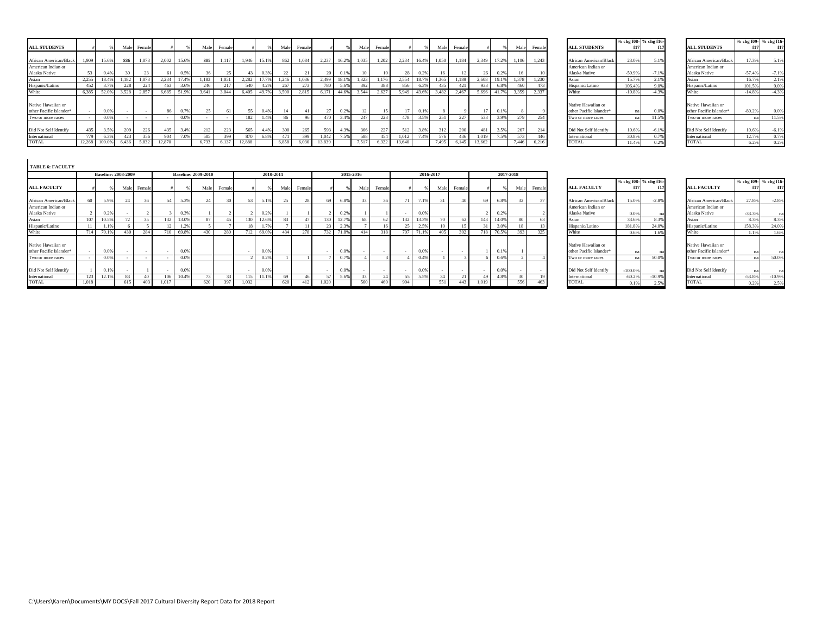|                                               |        |       |       |             |        |       |       |        |        |       |         |        |        |       |       |        |        |       |       |        |        |             |       |        |                                               | % chg f08- % chg f16- |         |                                               |          | % chg f09- % chg f16- |
|-----------------------------------------------|--------|-------|-------|-------------|--------|-------|-------|--------|--------|-------|---------|--------|--------|-------|-------|--------|--------|-------|-------|--------|--------|-------------|-------|--------|-----------------------------------------------|-----------------------|---------|-----------------------------------------------|----------|-----------------------|
| <b>ALL STUDENTS</b>                           |        |       |       | Male Female |        |       | Male: | Female |        |       | Male    | Female |        |       | Male  | Female |        |       | Male  | Female |        |             | Male  | Female | <b>ALL STUDENTS</b>                           | f17                   | f17     | <b>ALL STUDENTS</b>                           | f17 I    |                       |
| African American/Black                        | 1,909  | 15.6% | 836   | 1.073       | 2,002  | 15.6% | 885   | 1.117  | 1,946  | 15.1% | 862     | 1,084  | 2,237  | 16.2% | 1,035 | 1,202  | 2,234  | 16.4% | 1,050 | 1.184  |        | 2,349 17.2% | 1,106 | 1,243  | African American/Black                        | 23.0%                 | 5.1%    | African American/Black                        |          | 5.1%                  |
| American Indian or<br>Alaska Native           | 53.    | 0.4%  |       |             |        | 0.5%  |       |        |        |       |         |        |        | 0.1%  | 10    |        |        | 0.2%  | 16    |        |        | 0.2%        |       |        | American Indian or<br>Alaska Native           | $-50.9%$              | $-7.1%$ | American Indian or<br>Alaska Native           | $-57.4%$ | $-7.1%$               |
|                                               | 2.255  | 18.4% | 1.182 | 1.073       | 2.234  | 17.4% | 1.183 | 1.051  | 2.282  | 17.79 | 1.246   | 1.036  | 2.499  | 18.1% | 1,323 | 1.176  | 2.554  | 18.7% | 1,365 | 1.189  | 2.608  | 19.1%       | 1.378 | 1.230  | Asian                                         | 15.7%                 | 2.1%    | Asian                                         | 16.79    | 2.1%                  |
| Hispanic/Latino                               |        |       |       |             | 463    | 3.6%  | 246   |        | 540    |       |         |        | 780.   | 5.6%  | 392   | 388    | 856    | 6.3%  |       |        | 933    | 6.8%        | 460   | 473    | Hispanic/Latino                               | 106.4%                | 9.0%    | Hispanic/Latino                               | 101.5%   | 9.0%                  |
|                                               | 6.385  | 52.09 | 3,528 | 2,857       | 6,685  | 51.9% | 3,641 | 3.044  | 6.405  | 49.7  | 3,590   | 2.815  |        | 44.6% | 3,544 | 2.627  | 5,949  | 43.6% | 3,482 | 2.467  | 5.696  | 41.7%       | 3.359 | 2.337  | <b>White</b>                                  | $-10.8%$              | $-4.3%$ | White                                         | $-14.8%$ | $-4.3%$               |
| Native Hawaiian or<br>other Pacific Islander* |        |       |       |             | 86     | 0.7%  |       |        | 55     | 0.4%  |         |        |        | 0.2%  | 12    |        | 17     | 0.1%  |       |        |        | 0.1%        |       |        | Native Hawaiian or<br>other Pacific Islander* |                       | 0.0%    | Native Hawaiian or<br>other Pacific Islander* | $-80.2%$ | 0.0%                  |
| I'wo or more races                            |        |       |       |             |        | 0.0%  |       |        | 182    |       |         |        |        | 3.4%  | 247   | 223    | 478    | 3.5%  |       |        |        | 3.99        | 279   | 754    | Two or more races                             |                       | 11.5%   | Two or more races                             |          | 11.5%                 |
| Did Not Self Identify                         | 435    | 3.5%  |       |             | 435    | 3.4%  | 212   | 223    | 565    | 4.4%  | $300 -$ |        | 593    | 4.3%  | 366   | 227    | 512    | 3.8%  | 312   | 200    | 481    | 3.5%        |       | 214    | Did Not Self Identify                         | 10.6%                 | $-6.1%$ | Did Not Self Identify                         | 10.6%    | $-6.1%$               |
| International                                 | 779    | 6.3%  |       |             | 904    | 7.0%  | 505   | 399    | 870    |       |         | 399    | 1.042  | 7.5%  | 588   | 454    | 1,012  | 7.4%  | 576   |        | 1.019  | 7.5%        | 573   | 446    | International                                 | 30.8%                 | 0.7%    | International                                 | 12.7%    | 0.7%                  |
| TOTAL                                         | 12.268 |       | 6.436 |             | 12.870 |       | 6.733 |        | 12.888 |       | 6,858   | 6,030  | 13,839 |       | 7.517 | 6,322  | 13.640 |       | 1.49. |        | 13.662 |             | 7.446 | 6.216  | <b>TOTAL</b>                                  |                       | 0.2%    | TOTAL                                         |          | 0.2%                  |

|                         |          | % chg f08- % chg f16- |
|-------------------------|----------|-----------------------|
| <b>ALL STUDENTS</b>     | f17      | f17                   |
|                         |          |                       |
| African American/Black  | 23.0%    | 5.1%                  |
| American Indian or      |          |                       |
| Alaska Native           | $-50.9%$ | $-7.1%$               |
| Asian                   | 15.7%    | 2.1%                  |
| Hispanic/Latino         | 106.4%   | 9.0%                  |
| White                   | $-10.8%$ | $-4.3%$               |
| Native Hawaiian or      |          |                       |
| other Pacific Islander* | na       | 0.0%                  |
| Two or more races       | na       | 11.5%                 |
| Did Not Self Identify   | 10.6%    | $-6.1%$               |
| International           | 30.8%    | 0.7%                  |
| ТОТАІ.                  | 11.4%    | 0.2%                  |

|                         |          | % chg f09- % chg f16- |
|-------------------------|----------|-----------------------|
| <b>ALL STUDENTS</b>     | f17      | f17                   |
| African American/Black  | 17.3%    | 5.1%                  |
| American Indian or      |          |                       |
| Alaska Native           | $-57.4%$ | $-7.1%$               |
| Asian                   | 16.7%    | 2.1%                  |
| Hispanic/Latino         | 101.5%   | 9.0%                  |
| White                   | $-14.8%$ | $-4.3%$               |
| Native Hawaiian or      |          |                       |
| other Pacific Islander* | $-80.2%$ | 0.0%                  |
| Two or more races       | na       | 11.5%                 |
| Did Not Self Identify   | 10.6%    | $-6.1%$               |
| International           | 12.7%    | 0.7%                  |
| TOTAL                   | 6.2%     | 0.2%                  |

| <b>TABLE 6: FACULTY</b>                       |                            |               |        |       |       |                            |        |                          |           |      |        |       |       |           |        |      |       |           |            |       |       |           |        |                                               |                       |          |                                               |                       |          |
|-----------------------------------------------|----------------------------|---------------|--------|-------|-------|----------------------------|--------|--------------------------|-----------|------|--------|-------|-------|-----------|--------|------|-------|-----------|------------|-------|-------|-----------|--------|-----------------------------------------------|-----------------------|----------|-----------------------------------------------|-----------------------|----------|
|                                               | <b>Baseline: 2008-2009</b> |               |        |       |       | <b>Baseline: 2009-2010</b> |        |                          | 2010-2011 |      |        |       |       | 2015-2016 |        |      |       | 2016-2017 |            |       |       | 2017-2018 |        |                                               |                       |          |                                               |                       |          |
|                                               |                            |               |        |       |       |                            |        |                          |           |      |        |       |       |           |        |      |       |           |            |       |       |           |        |                                               | % chg f08- % chg f16- |          |                                               | % chg f09- % chg f16- |          |
| <b>ALL FACULTY</b>                            |                            | Male          | Female |       |       | Male                       | Female |                          |           | Male | Female |       |       | Male      | Female |      |       | Male      | Female     |       |       | Male      | Female | <b>ALL FACULTY</b>                            | f17                   | f17      | <b>ALL FACULTY</b>                            |                       | f17      |
| African American/Black                        | 5.9%                       | $\mathcal{D}$ |        | 54    | 5.3%  | 24                         |        | 53                       | 5.1%      | 25   |        |       | 6.89  | 33        |        |      | 7.1%  | $\sim$    | $\Delta$ 0 | -69   | 6.8%  | 32        |        | African American/Black                        | 15.0%                 | $-2.8%$  | <b>African American/Black</b>                 | 27.8%                 | $-2.8%$  |
| American Indian or                            |                            |               |        |       |       |                            |        |                          |           |      |        |       |       |           |        |      |       |           |            |       |       |           |        | American Indian or                            |                       |          | American Indian or                            |                       |          |
| Alaska Native                                 | 0.2%                       |               |        |       | 0.3%  |                            |        |                          | 0.2%      |      |        |       | 0.2%  |           |        |      | 0.0%  |           |            |       | 0.2%  |           |        | Alaska Native                                 | 0.0%                  |          | Alaska Native                                 | $-33.39$              | na       |
| Asian                                         | 10.59                      | $\sim$        | 35     | 132   | 13.0% | 87                         |        |                          | 12.6%     | -83  |        |       | 12.70 | 68        |        |      | 13.3% |           |            | 143   | 14.09 | 80        |        | Asian                                         | 33.6%                 | 8.39     | Asian                                         | 8.39                  | 8.3%     |
| Hispanic/Latino                               |                            |               |        |       | 1.2%  |                            |        |                          | 1.73      |      |        |       |       |           |        |      | 2.5%  |           |            |       |       |           |        | Hispanic/Latino                               | 181.8%                | 24.09    | Hispanic/Latino                               | 158.39                | 24.0%    |
| White                                         | 70.19                      |               | 284    |       | 69.8% | 430                        | 280    |                          | 69.09     |      | 278    | 73    | 71.89 | 414       |        | 707  | 71.1% | 405       | 302        | 718   | 70.59 | 393       | 325    | White                                         | 0.6%                  |          | White                                         | 1.13                  | 1.6%     |
| Native Hawaiian or<br>other Pacific Islander* | 0.09                       |               |        | ۰.    | 0.0%  |                            |        | $\overline{\phantom{a}}$ | 0.0%      |      |        |       |       |           |        |      | 0.0%  |           |            |       | 0.1%  |           |        | Native Hawaiian or<br>other Pacific Islander* | na                    |          | Native Hawaiian or<br>other Pacific Islander* |                       |          |
| Two or more races                             | 0.0                        |               |        |       | 0.0%  |                            |        |                          | $_{0.2}$  |      |        |       |       |           |        |      | 0.4%  |           |            |       | 0.69  |           |        | Two or more races                             |                       | 50.09    | Two or more races                             |                       | 50.0%    |
| Did Not Self Identify                         | 0.19                       |               |        |       | 0.0%  |                            |        |                          | 0.09      |      |        |       |       |           |        |      | 0.0%  |           |            |       | 0.09  |           |        | Did Not Self Identify                         | $-100.0%$             |          | Did Not Self Identify                         |                       |          |
| International                                 | 12.19                      | $8^{\circ}$   |        | 106   | 10.4% |                            |        |                          |           | 69   |        |       |       |           |        |      | 5.5%  |           |            | 49    | 4.89  | 30        |        | International                                 | $-60.2%$              | $-10.99$ | International                                 | $-53.89$              | $-10.9%$ |
| TOTAL                                         |                            | -61           | -403   | 1,017 |       | 620                        |        | 1,032                    |           | 62   |        | 1,020 |       | 560       | 460    | 994. |       |           | 443        | 1,019 |       | 556       | 463    | TOTAL                                         | 0.1%                  | 250      | TOTAL                                         | 0.29                  | 2.5%     |

|                         |           | % chg f08- % chg f16- |
|-------------------------|-----------|-----------------------|
| <b>ALL FACULTY</b>      | f17       | f17                   |
|                         |           |                       |
| African American/Black  | 15.0%     | $-2.8%$               |
| American Indian or      |           |                       |
| Alaska Native           | 0.0%      | na                    |
| Asian                   | 33.6%     | 8.3%                  |
| Hispanic/Latino         | 181.8%    | 24.0%                 |
| White                   | 0.6%      | 1.6%                  |
|                         |           |                       |
| Native Hawaiian or      |           |                       |
| other Pacific Islander* | na        | na                    |
| Two or more races       | na        | 50.0%                 |
|                         |           |                       |
| Did Not Self Identify   | $-100.0%$ | na                    |
| International           | $-60.2%$  | $-10.9%$              |
|                         | 0.1%      | 2.5%                  |

|                         |          | % chg f09- % chg f16- |
|-------------------------|----------|-----------------------|
| <b>ALL FACULTY</b>      | f17      | f17                   |
| African American/Black  | 27.8%    | $-2.8%$               |
| American Indian or      |          |                       |
| Alaska Native           | $-33.3%$ | na                    |
| Asian                   | 8.3%     | 8.3%                  |
| Hispanic/Latino         | 158.3%   | 24.0%                 |
| White                   | 1.1%     | 1.6%                  |
| Native Hawaiian or      |          |                       |
| other Pacific Islander* | na       | na                    |
| Two or more races       | na       | 50.0%                 |
| Did Not Self Identify   | na       | na                    |
| International           | $-53.8%$ | $-10.9%$              |
|                         | 0.2%     | 2.5%                  |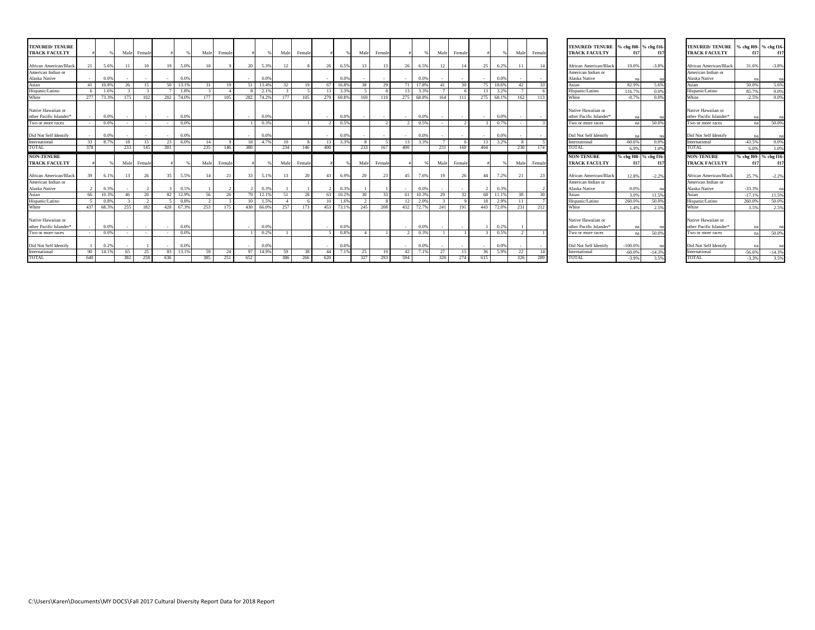| <b>TENURED/TENURE</b><br><b>TRACK FACULTY</b> |           |       |           | Male Female |           |       | Male      | Female    |                 |       | Male            | Female     |                  |       | Male         | Female     |           |       | Male      | Female       |                        |           | Male         | Female       | TENURED/TENURE % chg f08- % chg f16-<br><b>TRACK FACULTY</b> |                     | f17                   | <b>TENURED/ TENURE</b><br><b>TRACK FACULTY</b> |                       | % chg f09- % chg f16-   |
|-----------------------------------------------|-----------|-------|-----------|-------------|-----------|-------|-----------|-----------|-----------------|-------|-----------------|------------|------------------|-------|--------------|------------|-----------|-------|-----------|--------------|------------------------|-----------|--------------|--------------|--------------------------------------------------------------|---------------------|-----------------------|------------------------------------------------|-----------------------|-------------------------|
| African American/Black                        |           | 5.6%  |           | 10          | 19        | 5.09  |           |           | 20              | 5.39  |                 |            |                  | 6.5%  | 13           |            | 26        | 6.5%  | 12        |              | 25                     | 6.2%      |              |              | African American/Black                                       | 19.0%               | $-3.8%$               | African American/Black                         | 31.6%                 | $-3.8%$                 |
| American Indian or                            |           |       |           |             |           |       |           |           |                 |       |                 |            |                  |       |              |            |           |       |           |              |                        |           |              |              | American Indian or                                           |                     |                       | American Indian or                             |                       |                         |
| Alaska Native                                 |           | 0.09  |           |             |           | 0.09  |           |           |                 | 0.0   |                 |            |                  | 0.0%  |              |            |           | 0.0%  |           |              |                        | 0.09      |              |              | Alaska Native                                                |                     |                       | Alaska Native                                  |                       | na                      |
| Asian                                         |           | 10.8% | 26        | -15         | 50        | 13.1% | 31        | 19        | -51             | 13.4% |                 |            |                  | 16.8% | 38           | 29         | 71        | 17.8% | -41       | $30^{\circ}$ |                        | 18.6%     | 42           | 33           | Asian                                                        | 82.9%               | 5.6%                  | Asian                                          | 50.0%                 | 5.6%                    |
| Hispanic/Latino                               |           | 1.6%  |           |             |           | 1.8%  |           |           |                 | 2.1%  |                 |            | 13               | 3.3%  | -5           |            | 13        | 3.3%  |           |              |                        | 3.2%      |              |              | Hispanic/Latino                                              | 116.7%              | 0.0%                  | Hispanic/Latino                                | 85.7%                 | 0.0%                    |
| White                                         | 277       | 73.3% | 175       | 102         | 282       | 74.0% | 177       | 105       | 282             | 74.2% | 177             | 105        | 279              | 69.8% | 169          | 110        | 275       | 68.8% | 164       | -111         | 275                    | 68.1%     | 162          | 113          | White                                                        | $-0.7%$             | 0.0%                  | White                                          | $-2.5%$               | 0.0%                    |
| Native Hawaiian or                            |           |       |           |             |           |       |           |           |                 |       |                 |            |                  |       |              |            |           |       |           |              |                        |           |              |              | Native Hawaiian or                                           |                     |                       | Native Hawaiian or                             |                       |                         |
| other Pacific Islander*                       |           | 0.0%  |           |             |           | 0.0%  |           |           |                 | 0.09  |                 |            |                  | 0.0%  |              |            |           | 0.0%  |           |              |                        | 0.0%      |              |              | other Pacific Islander*                                      |                     |                       | other Pacific Islander*                        |                       | na                      |
| Two or more races                             |           | 0.0%  |           |             |           | 0.0%  |           |           |                 | 0.3%  |                 |            |                  | 0.5%  |              |            |           | 0.5%  |           |              |                        | 0.7%      |              |              | Two or more races                                            |                     | 50.0%                 | Two or more races                              |                       | 50.0%                   |
| Did Not Self Identify                         |           | 0.09  |           |             |           | 0.09  |           |           |                 | 0.0   |                 |            |                  | 0.0%  |              |            |           | 0.0%  |           |              |                        | 0.0%      |              |              | Did Not Self Identify                                        |                     |                       | Did Not Self Identify                          |                       | na                      |
| International                                 | 33        | 8.7%  | 18        | 15          | 23        | 6.0%  | 14        |           | -18             | 4.7%  | 10 <sup>°</sup> |            | 13               | 3.3%  | $\mathbf{R}$ |            | -13       | 3.3%  |           |              | 13 <sup>1</sup>        | 3.2%      | $\mathbf{R}$ |              | International                                                | $-60.6%$            | 0.0%                  | International                                  | $-43.5%$              | 0.0%                    |
| TOTAL                                         | 378       |       | 233       | 145         | 381       |       | 235       | 146       | 380             |       | 234             | 146        | 400              |       | 233          | 167        | 400       |       | 231       | 169          | 404                    |           | 230          | 174          | <b>TOTAL</b>                                                 | 6.9%                | 1.0%                  | TOTAL                                          | 6.0%                  | 1.0%                    |
|                                               |           |       |           |             |           |       |           |           |                 |       |                 |            |                  |       |              |            |           |       |           |              |                        |           |              |              |                                                              |                     |                       |                                                |                       |                         |
| <b>NON-TENURE</b>                             |           |       |           |             |           |       |           |           |                 |       |                 |            |                  |       |              |            |           |       |           |              |                        |           |              |              | <b>NON-TENURE</b>                                            |                     | % chg f08- % chg f16- | <b>NON-TENURE</b>                              | % chg f09- % chg f16- |                         |
| <b>TRACK FACULTY</b>                          |           |       | Male      | Female      |           |       | Male      | Female    |                 |       | Mal             | Femal      |                  |       | Male         | Female     |           |       | Male      | Femal        |                        |           | Mak          | Femal        | <b>TRACK FACULTY</b>                                         | f17                 | f17                   | <b>TRACK FACULTY</b>                           | f17                   |                         |
| African American/Black                        |           | 6.1%  |           | 26          | 35        | 5.5%  | 14        |           | 33              | 5.19  |                 |            |                  | 6.9%  | 20           |            | 45        | 7.6%  | 19        |              | 44                     | 7.2%      |              |              | African American/Black                                       | 12.8%               | $-2.2%$               | African American/Black                         | 25.7%                 |                         |
| American Indian or                            |           |       |           |             |           |       |           |           |                 |       |                 |            |                  |       |              |            |           |       |           |              |                        |           |              |              | American Indian or                                           |                     |                       | American Indian or                             |                       |                         |
| Alaska Native                                 |           | 0.39  |           |             |           | 0.5%  |           |           |                 | 0.39  |                 |            |                  | 0.3%  |              |            |           | 0.0%  |           |              |                        | 0.39      |              |              | Alaska Native                                                | 0.0%                |                       | Alaska Native                                  | $-33.3%$              |                         |
| Asian                                         | 66        | 10.3% | 46        | 20          | 82        | 12.9% | 56        | 26        | 79              | 12.1% | -51             | 28         | 63               | 10.2% | 30           | 33         | -61       | 10.3% | 29        | 32           |                        | 11.1%     | 38           | $30^{\circ}$ | Asian                                                        | 3.0%                | 11.5%                 | Asian                                          | $-17.1%$              | f17<br>$-2.2%$<br>11.5% |
| Hispanic/Latino                               |           | 0.8%  |           |             |           | 0.8%  |           |           | 10 <sup>2</sup> | 1.59  |                 |            | 10 <sup>10</sup> | 1.6%  |              |            | 12        | 2.0%  |           |              |                        | 2.9%      |              |              | Hispanic/Latino                                              | 260.0%              | 50.0%                 | Hispanic/Latino                                | 260.0%                |                         |
| White                                         | 437       | 68.3% | 255       | 182         | 428       | 67.3% | 253       | 175       | 430             | 66.0% | 257             | 173        | 453              | 73.1% | 245          | 208        | 432       | 72.7% | 241       | 191          |                        | 443 72.0% | 231          | 212          | White                                                        | 1.4%                | 2.5%                  | White                                          | 3.5%                  | 50.0%<br>2.5%           |
| Native Hawaiian or                            |           |       |           |             |           |       |           |           |                 |       |                 |            |                  |       |              |            |           |       |           |              |                        |           |              |              | Native Hawaiian or                                           |                     |                       | Native Hawaiian or                             |                       |                         |
| other Pacific Islander*                       |           | 0.0%  |           |             |           | 0.09  |           |           |                 | 0.09  |                 |            |                  | 0.0%  |              |            |           | 0.0%  |           |              |                        | 0.2%      |              |              | other Pacific Islander*                                      |                     |                       | other Pacific Islander*                        |                       | na                      |
| Two or more races                             |           | 0.0%  |           |             |           | 0.0%  |           |           |                 | 0.2%  |                 |            |                  | 0.8%  |              |            |           | 0.3%  |           |              |                        | 0.5%      |              |              | Two or more races                                            | na                  | 50.0%                 | Two or more races                              |                       | 50.0%                   |
| Did Not Self Identify                         |           | 0.2%  |           |             |           | 0.09  |           |           |                 | 0.0   |                 |            |                  | 0.0%  |              |            |           | 0.0%  |           |              |                        | 0.09      |              |              | Did Not Self Identify                                        | $-100.0%$           |                       | Did Not Self Identify                          |                       | na                      |
| International<br>TOTAL                        | 90<br>640 | 14.1% | 65<br>382 | 25<br>258   | 83<br>636 | 13.1% | 59<br>385 | 24<br>251 | 97<br>652       | 14.9% | -59<br>386      | -38<br>266 | 44<br>620        | 7.1%  | 25<br>327    | -19<br>293 | 42<br>594 | 7.1%  | 27<br>320 | -15<br>274   | 36 <sub>1</sub><br>615 | 5.9%      | 22<br>326    | 289          | International<br>TOTAL                                       | $-60.0%$<br>$-3.9%$ | $-14.3%$<br>3.5%      | International<br>TOTAL                         | $-56.6%$<br>$-3.3%$   | $-14.3%$<br>3.5%        |

| <b>TENURED/TENURE</b>                         | % chg f08- % chg f16- |                       | <b>TEN</b>   |
|-----------------------------------------------|-----------------------|-----------------------|--------------|
| <b>TRACK FACULTY</b>                          | f17                   | f17                   | TRA          |
|                                               |                       |                       |              |
| African American/Black                        | 19.0%                 | $-3.8%$               | Afric        |
| American Indian or                            |                       |                       | Ame          |
| Alaska Native                                 | na                    | na                    | Alasl        |
| Asian                                         | 82.9%                 | 5.6%                  | Asia         |
| Hispanic/Latino                               | 116.7%                | 0.0%                  | <b>Hisp</b>  |
| White                                         | $-0.7%$               | 0.0%                  | Whit         |
|                                               |                       |                       |              |
| Native Hawaiian or                            |                       |                       | Nativ        |
| other Pacific Islander*                       | na                    | na                    | other        |
| Two or more races                             | na                    | 50.0%                 | Two          |
|                                               |                       |                       |              |
| Did Not Self Identify                         | na                    | na                    | Did 1        |
| International<br>TOTAL                        | $-60.6%$              | 0.0%                  | Inter<br>TOT |
|                                               | 6.9%                  | 1.0%                  |              |
| <b>NON-TENURE</b>                             |                       | % chg f08- % chg f16- | NON          |
|                                               |                       |                       |              |
| <b>TRACK FACULTY</b>                          | f17                   | f17                   | TRA          |
|                                               |                       |                       |              |
| African American/Black                        | 12.8%                 | $-2.2%$               | Afric        |
| American Indian or                            |                       |                       | Ame          |
| Alaska Native                                 | 0.0%                  | na                    | Alasl        |
|                                               | 3.0%                  | 11.5%                 | Asia         |
|                                               | 260.0%                | 50.0%                 | Hisp         |
| Asian<br>Hispanic/Latino<br>White             | 1.4%                  | 2.5%                  | Whit         |
|                                               |                       |                       |              |
|                                               |                       |                       | Nativ        |
| Native Hawaiian or<br>other Pacific Islander* | nа                    | na                    | other        |
|                                               | na                    | 50.0%                 | Two          |
| Two or more races<br>Did Not Self Identify    | $-100.0%$             | na                    | Did 1        |
| International                                 | $-60.0%$              | $-14.3%$              | Inter        |

| <b>TENURED/ TENURE</b>  |          | % chg f09- % chg f16- |
|-------------------------|----------|-----------------------|
|                         |          |                       |
| <b>TRACK FACULTY</b>    | f17      | f17                   |
|                         |          |                       |
| African American/Black  | 31.6%    | $-3.8%$               |
| American Indian or      |          |                       |
| Alaska Native           | na       | na                    |
| Asian                   | 50.0%    | 5.6%                  |
| Hispanic/Latino         | 85.7%    | 0.0%                  |
| White                   | $-2.5%$  | 0.0%                  |
|                         |          |                       |
| Native Hawaiian or      |          |                       |
| other Pacific Islander* | na       | na                    |
| Two or more races       | na       | 50.0%                 |
|                         |          |                       |
| Did Not Self Identify   | na       | na                    |
| International           | $-43.5%$ | 0.0%                  |
| TOTAL                   | 6.0%     | 1.0%                  |
|                         |          |                       |
| <b>NON-TENURE</b>       |          | % chg f09- % chg f16- |
| <b>TRACK FACULTY</b>    | f17      | f17                   |
|                         |          |                       |
| African American/Black  | 25.7%    | $-2.2%$               |
| American Indian or      |          |                       |
| Alaska Native           | $-33.3%$ | na                    |
| Asian                   | $-17.1%$ | 11.5%                 |
| Hispanic/Latino         | 260.0%   | 50.0%                 |
| White                   | 3.5%     | 2.5%                  |
|                         |          |                       |
| Native Hawaiian or      |          |                       |
| other Pacific Islander* | na       | na                    |
| Two or more races       | na       | 50.0%                 |
|                         |          |                       |
| Did Not Self Identify   | na       | na                    |
| International           | $-56.6%$ | $-14.3%$              |